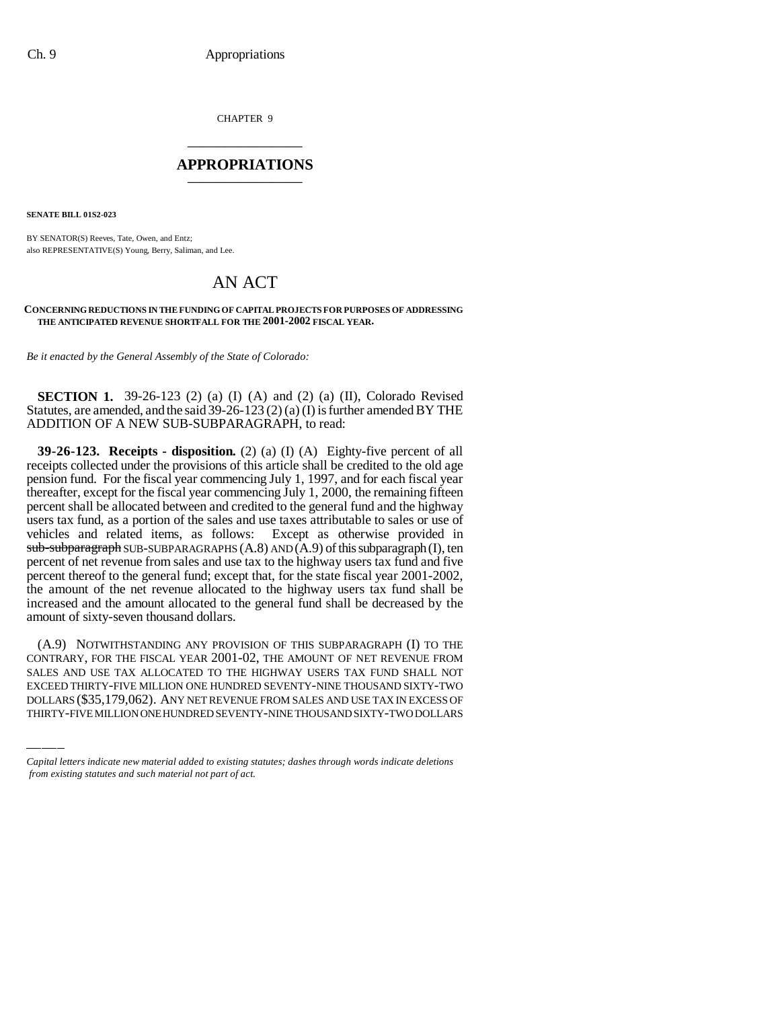CHAPTER 9 \_\_\_\_\_\_\_\_\_\_\_\_\_\_\_

#### **APPROPRIATIONS** \_\_\_\_\_\_\_\_\_\_\_\_\_\_\_

**SENATE BILL 01S2-023**

BY SENATOR(S) Reeves, Tate, Owen, and Entz; also REPRESENTATIVE(S) Young, Berry, Saliman, and Lee.

### AN ACT

#### **CONCERNING REDUCTIONS IN THE FUNDING OF CAPITAL PROJECTS FOR PURPOSES OF ADDRESSING THE ANTICIPATED REVENUE SHORTFALL FOR THE 2001-2002 FISCAL YEAR.**

*Be it enacted by the General Assembly of the State of Colorado:*

**SECTION 1.** 39-26-123 (2) (a) (I) (A) and (2) (a) (II), Colorado Revised Statutes, are amended, and the said  $39-26-123$  (2) (a) (I) is further amended BY THE ADDITION OF A NEW SUB-SUBPARAGRAPH, to read:

**39-26-123. Receipts - disposition.** (2) (a) (I) (A) Eighty-five percent of all receipts collected under the provisions of this article shall be credited to the old age pension fund. For the fiscal year commencing July 1, 1997, and for each fiscal year thereafter, except for the fiscal year commencing July 1, 2000, the remaining fifteen percent shall be allocated between and credited to the general fund and the highway users tax fund, as a portion of the sales and use taxes attributable to sales or use of vehicles and related items, as follows: Except as otherwise provided in  $sub-sub$ -subparagraph SUB-SUBPARAGRAPHS  $(A.8)$  AND  $(A.9)$  of this subparagraph  $(I)$ , ten percent of net revenue from sales and use tax to the highway users tax fund and five percent thereof to the general fund; except that, for the state fiscal year 2001-2002, the amount of the net revenue allocated to the highway users tax fund shall be increased and the amount allocated to the general fund shall be decreased by the amount of sixty-seven thousand dollars.

CONTRARY, FOR THE FISCAL YEAR 2001-02, THE AMOUNT OF NET REVENUE FROM (A.9) NOTWITHSTANDING ANY PROVISION OF THIS SUBPARAGRAPH (I) TO THE SALES AND USE TAX ALLOCATED TO THE HIGHWAY USERS TAX FUND SHALL NOT EXCEED THIRTY-FIVE MILLION ONE HUNDRED SEVENTY-NINE THOUSAND SIXTY-TWO DOLLARS (\$35,179,062). ANY NET REVENUE FROM SALES AND USE TAX IN EXCESS OF THIRTY-FIVE MILLION ONE HUNDRED SEVENTY-NINE THOUSAND SIXTY-TWO DOLLARS

*Capital letters indicate new material added to existing statutes; dashes through words indicate deletions from existing statutes and such material not part of act.*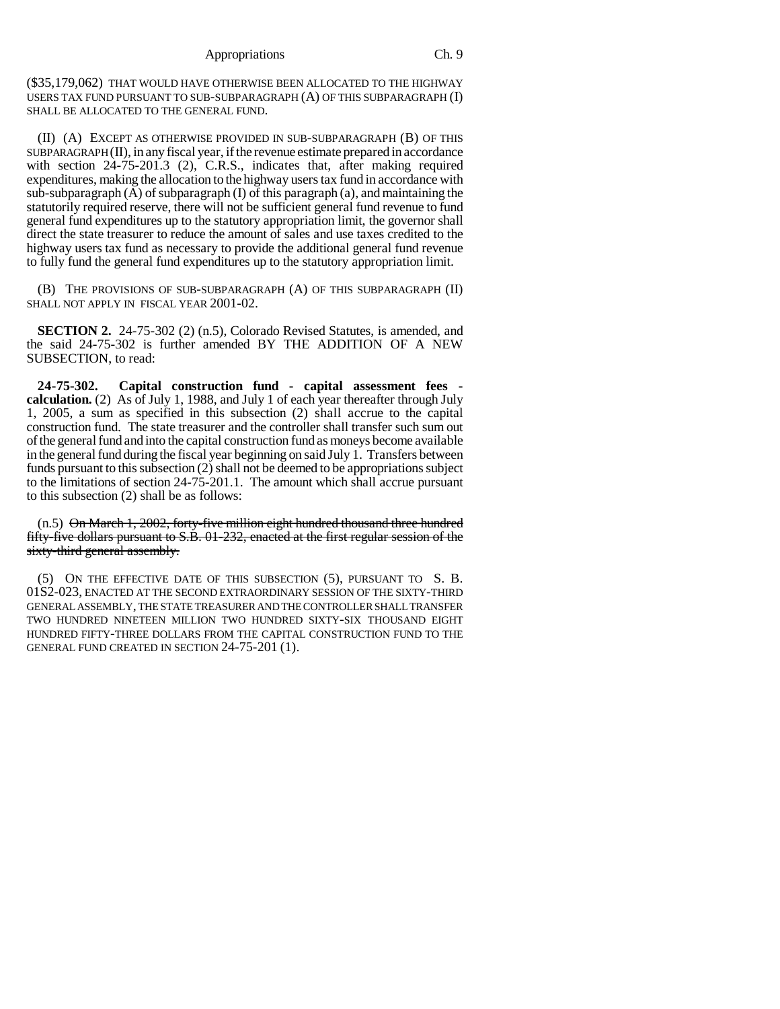(\$35,179,062) THAT WOULD HAVE OTHERWISE BEEN ALLOCATED TO THE HIGHWAY USERS TAX FUND PURSUANT TO SUB-SUBPARAGRAPH (A) OF THIS SUBPARAGRAPH (I) SHALL BE ALLOCATED TO THE GENERAL FUND.

(II) (A) EXCEPT AS OTHERWISE PROVIDED IN SUB-SUBPARAGRAPH (B) OF THIS SUBPARAGRAPH (II), in any fiscal year, if the revenue estimate prepared in accordance with section 24-75-201.3 (2), C.R.S., indicates that, after making required expenditures, making the allocation to the highway users tax fund in accordance with sub-subparagraph  $(A)$  of subparagraph  $(I)$  of this paragraph  $(a)$ , and maintaining the statutorily required reserve, there will not be sufficient general fund revenue to fund general fund expenditures up to the statutory appropriation limit, the governor shall direct the state treasurer to reduce the amount of sales and use taxes credited to the highway users tax fund as necessary to provide the additional general fund revenue to fully fund the general fund expenditures up to the statutory appropriation limit.

(B) THE PROVISIONS OF SUB-SUBPARAGRAPH (A) OF THIS SUBPARAGRAPH (II) SHALL NOT APPLY IN FISCAL YEAR 2001-02.

**SECTION 2.** 24-75-302 (2) (n.5), Colorado Revised Statutes, is amended, and the said 24-75-302 is further amended BY THE ADDITION OF A NEW SUBSECTION, to read:

**24-75-302. Capital construction fund - capital assessment fees calculation.** (2) As of July 1, 1988, and July 1 of each year thereafter through July 1, 2005, a sum as specified in this subsection (2) shall accrue to the capital construction fund. The state treasurer and the controller shall transfer such sum out of the general fund and into the capital construction fund as moneys become available in the general fund during the fiscal year beginning on said July 1. Transfers between funds pursuant to this subsection (2) shall not be deemed to be appropriations subject to the limitations of section 24-75-201.1. The amount which shall accrue pursuant to this subsection (2) shall be as follows:

(n.5) On March 1, 2002, forty-five million eight hundred thousand three hundred fifty-five dollars pursuant to S.B. 01-232, enacted at the first regular session of the sixty-third general assembly.

(5) ON THE EFFECTIVE DATE OF THIS SUBSECTION (5), PURSUANT TO S. B. 01S2-023, ENACTED AT THE SECOND EXTRAORDINARY SESSION OF THE SIXTY-THIRD GENERAL ASSEMBLY, THE STATE TREASURER AND THE CONTROLLER SHALL TRANSFER TWO HUNDRED NINETEEN MILLION TWO HUNDRED SIXTY-SIX THOUSAND EIGHT HUNDRED FIFTY-THREE DOLLARS FROM THE CAPITAL CONSTRUCTION FUND TO THE GENERAL FUND CREATED IN SECTION 24-75-201 (1).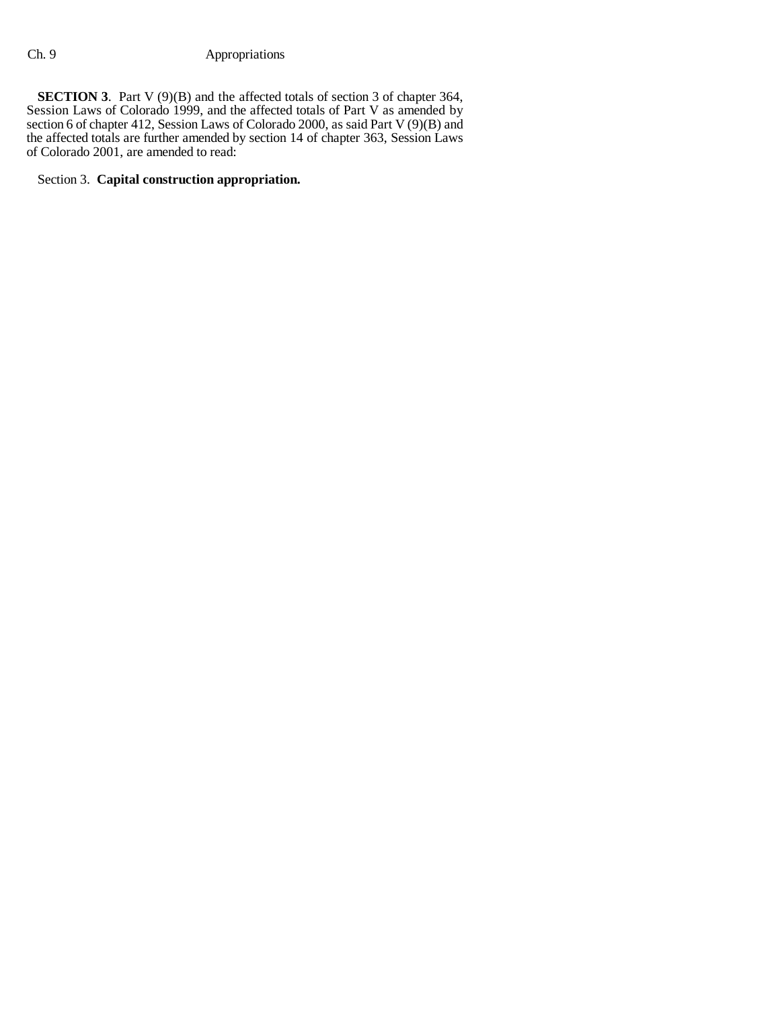**SECTION 3**. Part V (9)(B) and the affected totals of section 3 of chapter 364, Session Laws of Colorado 1999, and the affected totals of Part V as amended by section 6 of chapter 412, Session Laws of Colorado 2000, as said Part V (9)(B) and the affected totals are further amended by section 14 of chapter 363, Session Laws of Colorado 2001, are amended to read:

### Section 3. **Capital construction appropriation.**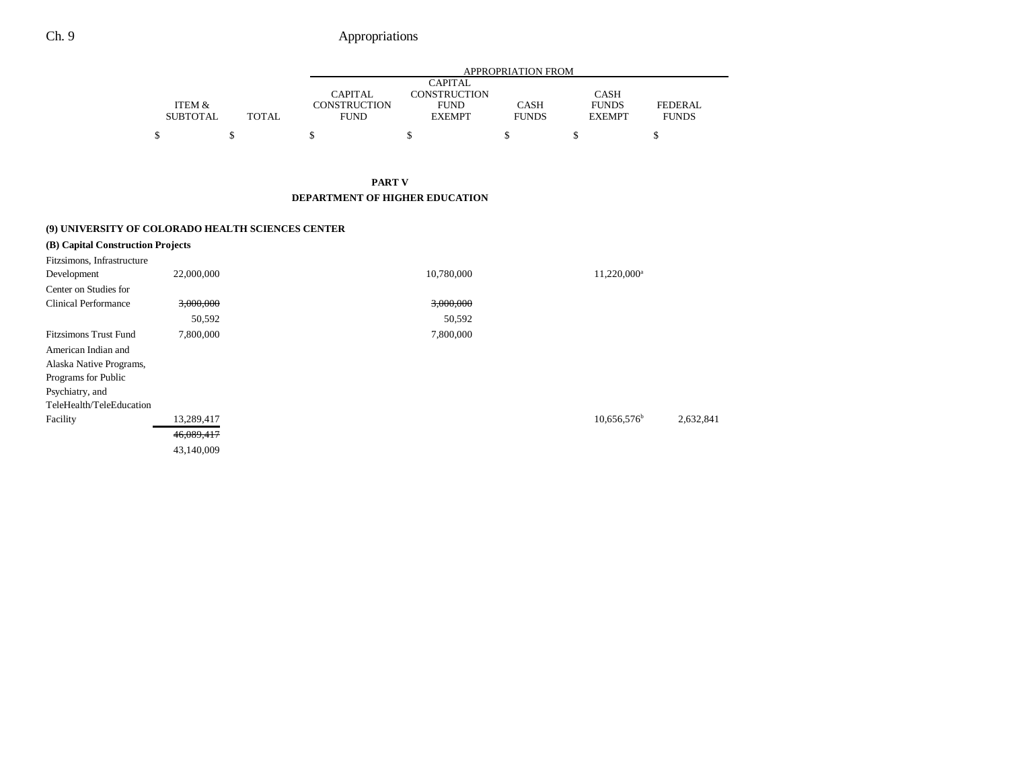|                 |              |              | <b>APPROPRIATION FROM</b> |              |               |              |  |  |  |  |
|-----------------|--------------|--------------|---------------------------|--------------|---------------|--------------|--|--|--|--|
|                 |              |              | <b>CAPITAL</b>            |              |               |              |  |  |  |  |
|                 |              | CAPITAL      | CONSTRUCTION              |              | <b>CASH</b>   |              |  |  |  |  |
| ITEM &          |              | CONSTRUCTION | <b>FUND</b>               | <b>CASH</b>  | <b>FUNDS</b>  | FEDERAL      |  |  |  |  |
| <b>SUBTOTAL</b> | <b>TOTAL</b> | <b>FUND</b>  | <b>EXEMPT</b>             | <b>FUNDS</b> | <b>EXEMPT</b> | <b>FUNDS</b> |  |  |  |  |
|                 |              |              |                           |              |               |              |  |  |  |  |
| \$              |              |              |                           |              |               |              |  |  |  |  |

**PART V DEPARTMENT OF HIGHER EDUCATION**

|                                   | (9) UNIVERSITY OF COLORADO HEALTH SCIENCES CENTER |            |                         |           |
|-----------------------------------|---------------------------------------------------|------------|-------------------------|-----------|
| (B) Capital Construction Projects |                                                   |            |                         |           |
| Fitzsimons, Infrastructure        |                                                   |            |                         |           |
| Development                       | 22,000,000                                        | 10,780,000 | 11,220,000 <sup>a</sup> |           |
| Center on Studies for             |                                                   |            |                         |           |
| <b>Clinical Performance</b>       | 3,000,000                                         | 3,000,000  |                         |           |
|                                   | 50,592                                            | 50,592     |                         |           |
| <b>Fitzsimons Trust Fund</b>      | 7,800,000                                         | 7,800,000  |                         |           |
| American Indian and               |                                                   |            |                         |           |
| Alaska Native Programs,           |                                                   |            |                         |           |
| Programs for Public               |                                                   |            |                         |           |
| Psychiatry, and                   |                                                   |            |                         |           |
| TeleHealth/TeleEducation          |                                                   |            |                         |           |
| Facility                          | 13,289,417                                        |            | $10,656,576^b$          | 2,632,841 |
|                                   | 46,089,417                                        |            |                         |           |
|                                   | 43,140,009                                        |            |                         |           |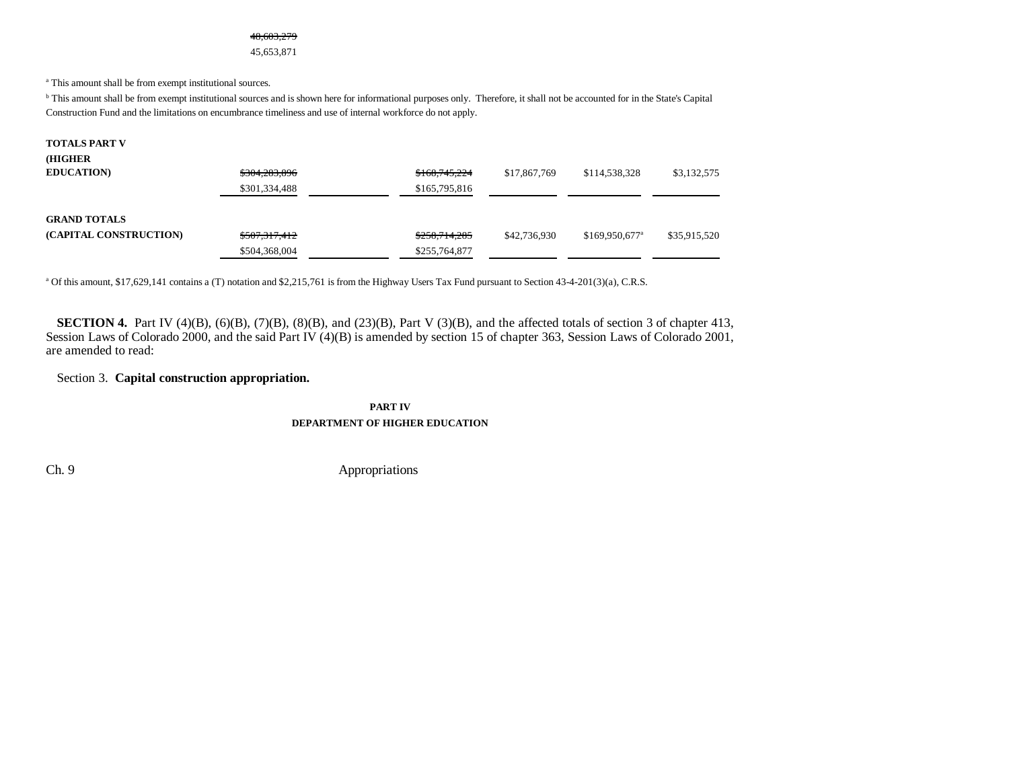#### 48,603,279

45,653,871

a This amount shall be from exempt institutional sources.

b This amount shall be from exempt institutional sources and is shown here for informational purposes only. Therefore, it shall not be accounted for in the State's Capital Construction Fund and the limitations on encumbrance timeliness and use of internal workforce do not apply.

| <b>TOTALS PART V</b><br>(HIGHER               |                                |                                |              |                        |              |
|-----------------------------------------------|--------------------------------|--------------------------------|--------------|------------------------|--------------|
| <b>EDUCATION</b>                              | \$304,283,896                  | \$168,745,224                  | \$17,867,769 | \$114,538,328          | \$3,132,575  |
|                                               | \$301,334,488                  | \$165,795,816                  |              |                        |              |
| <b>GRAND TOTALS</b><br>(CAPITAL CONSTRUCTION) | \$507,317,412<br>\$504,368,004 | \$258,714,285<br>\$255,764,877 | \$42,736,930 | $$169,950,677^{\circ}$ | \$35,915,520 |

a Of this amount, \$17,629,141 contains a (T) notation and \$2,215,761 is from the Highway Users Tax Fund pursuant to Section 43-4-201(3)(a), C.R.S.

**SECTION 4.** Part IV (4)(B), (6)(B), (7)(B), (8)(B), and (23)(B), Part V (3)(B), and the affected totals of section 3 of chapter 413, Session Laws of Colorado 2000, and the said Part IV (4)(B) is amended by section 15 of chapter 363, Session Laws of Colorado 2001, are amended to read:

### Section 3. **Capital construction appropriation.**

**PART IVDEPARTMENT OF HIGHER EDUCATION**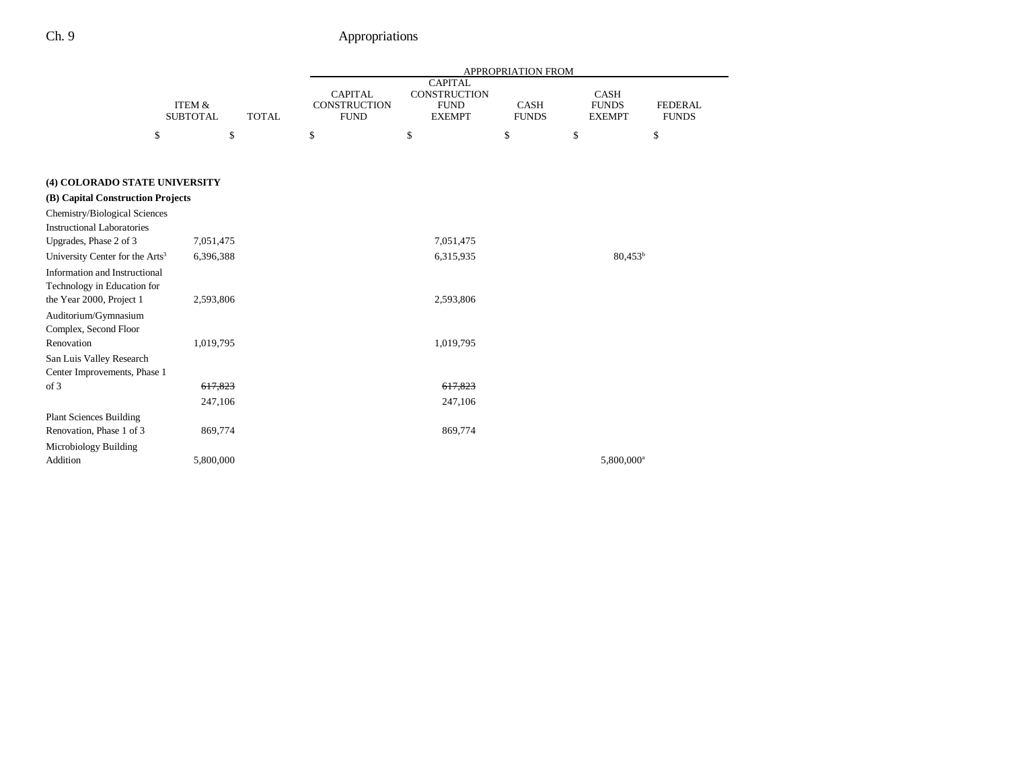-

|                                             |                                                      | APPROPRIATION FROM |                                                                                                                                                               |           |    |                                              |                                |
|---------------------------------------------|------------------------------------------------------|--------------------|---------------------------------------------------------------------------------------------------------------------------------------------------------------|-----------|----|----------------------------------------------|--------------------------------|
|                                             | <b>ITEM &amp;</b><br><b>SUBTOTAL</b><br><b>TOTAL</b> |                    | <b>CAPITAL</b><br><b>CAPITAL</b><br><b>CONSTRUCTION</b><br><b>CONSTRUCTION</b><br>${\rm FUND}$<br><b>CASH</b><br><b>FUND</b><br><b>FUNDS</b><br><b>EXEMPT</b> |           |    | <b>CASH</b><br><b>FUNDS</b><br><b>EXEMPT</b> | <b>FEDERAL</b><br><b>FUNDS</b> |
| \$                                          | \$                                                   |                    | \$                                                                                                                                                            | \$        | \$ | \$                                           | \$                             |
|                                             |                                                      |                    |                                                                                                                                                               |           |    |                                              |                                |
| (4) COLORADO STATE UNIVERSITY               |                                                      |                    |                                                                                                                                                               |           |    |                                              |                                |
| (B) Capital Construction Projects           |                                                      |                    |                                                                                                                                                               |           |    |                                              |                                |
| Chemistry/Biological Sciences               |                                                      |                    |                                                                                                                                                               |           |    |                                              |                                |
| Instructional Laboratories                  |                                                      |                    |                                                                                                                                                               |           |    |                                              |                                |
| Upgrades, Phase 2 of 3                      | 7,051,475                                            |                    |                                                                                                                                                               | 7,051,475 |    |                                              |                                |
| University Center for the Arts <sup>3</sup> | 6,396,388                                            |                    |                                                                                                                                                               | 6,315,935 |    | $80.453^{b}$                                 |                                |
| Information and Instructional               |                                                      |                    |                                                                                                                                                               |           |    |                                              |                                |
| Technology in Education for                 |                                                      |                    |                                                                                                                                                               |           |    |                                              |                                |
| the Year 2000, Project 1                    | 2,593,806                                            |                    |                                                                                                                                                               | 2,593,806 |    |                                              |                                |
| Auditorium/Gymnasium                        |                                                      |                    |                                                                                                                                                               |           |    |                                              |                                |
| Complex, Second Floor                       |                                                      |                    |                                                                                                                                                               |           |    |                                              |                                |
| Renovation                                  | 1,019,795                                            |                    |                                                                                                                                                               | 1,019,795 |    |                                              |                                |
| San Luis Valley Research                    |                                                      |                    |                                                                                                                                                               |           |    |                                              |                                |
| Center Improvements, Phase 1                |                                                      |                    |                                                                                                                                                               |           |    |                                              |                                |
| of 3                                        | 617,823                                              |                    |                                                                                                                                                               | 617,823   |    |                                              |                                |
|                                             | 247,106                                              |                    |                                                                                                                                                               | 247,106   |    |                                              |                                |
| <b>Plant Sciences Building</b>              |                                                      |                    |                                                                                                                                                               |           |    |                                              |                                |
| Renovation, Phase 1 of 3                    | 869,774                                              |                    |                                                                                                                                                               | 869,774   |    |                                              |                                |
| Microbiology Building                       |                                                      |                    |                                                                                                                                                               |           |    |                                              |                                |
| Addition                                    | 5,800,000                                            |                    |                                                                                                                                                               |           |    | 5,800,000 <sup>a</sup>                       |                                |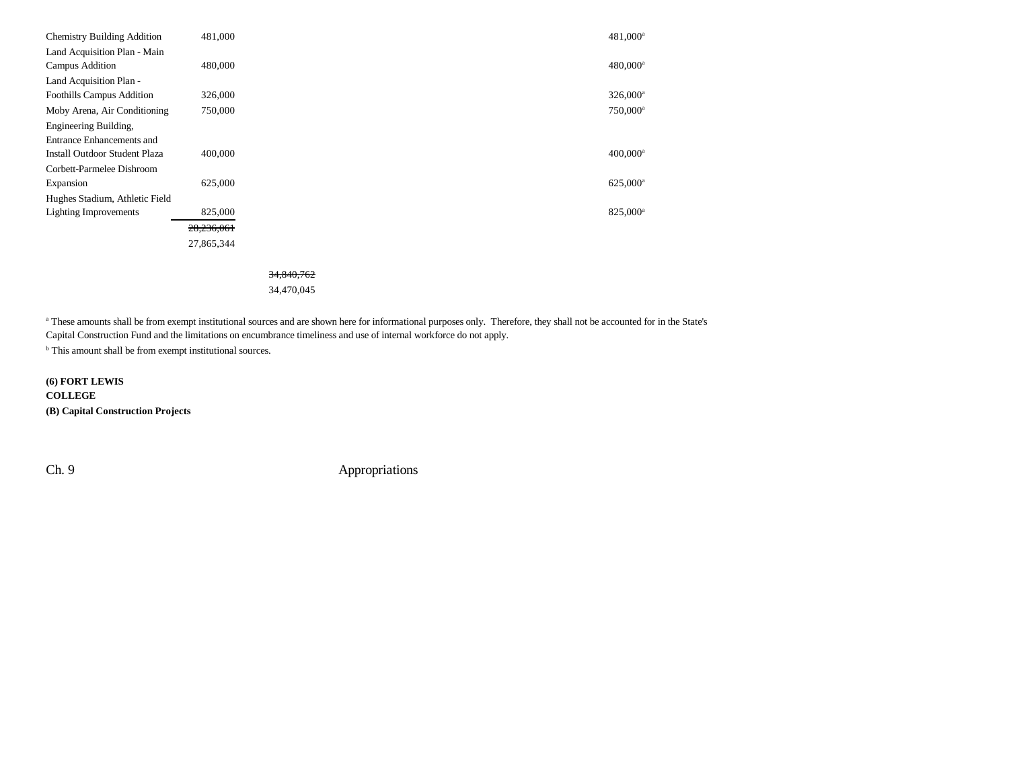| <b>Chemistry Building Addition</b>   | 481.000    | 481,000 <sup>a</sup>   |
|--------------------------------------|------------|------------------------|
| Land Acquisition Plan - Main         |            |                        |
| Campus Addition                      | 480,000    | $480,000^{\rm a}$      |
| Land Acquisition Plan -              |            |                        |
| <b>Foothills Campus Addition</b>     | 326,000    | $326,000^a$            |
| Moby Arena, Air Conditioning         | 750,000    | 750,000 <sup>a</sup>   |
| Engineering Building,                |            |                        |
| Entrance Enhancements and            |            |                        |
| <b>Install Outdoor Student Plaza</b> | 400,000    | $400,000$ <sup>a</sup> |
| Corbett-Parmelee Dishroom            |            |                        |
| Expansion                            | 625,000    | 625,000 <sup>a</sup>   |
| Hughes Stadium, Athletic Field       |            |                        |
| <b>Lighting Improvements</b>         | 825,000    | 825,000 <sup>a</sup>   |
|                                      | 28,236,061 |                        |
|                                      | 27,865,344 |                        |
|                                      |            |                        |

#### 34,840,762

34,470,045

a These amounts shall be from exempt institutional sources and are shown here for informational purposes only. Therefore, they shall not be accounted for in the State's Capital Construction Fund and the limitations on encumbrance timeliness and use of internal workforce do not apply.

 $^{\rm b}$  This amount shall be from exempt institutional sources.

**(6) FORT LEWIS COLLEGE (B) Capital Construction Projects**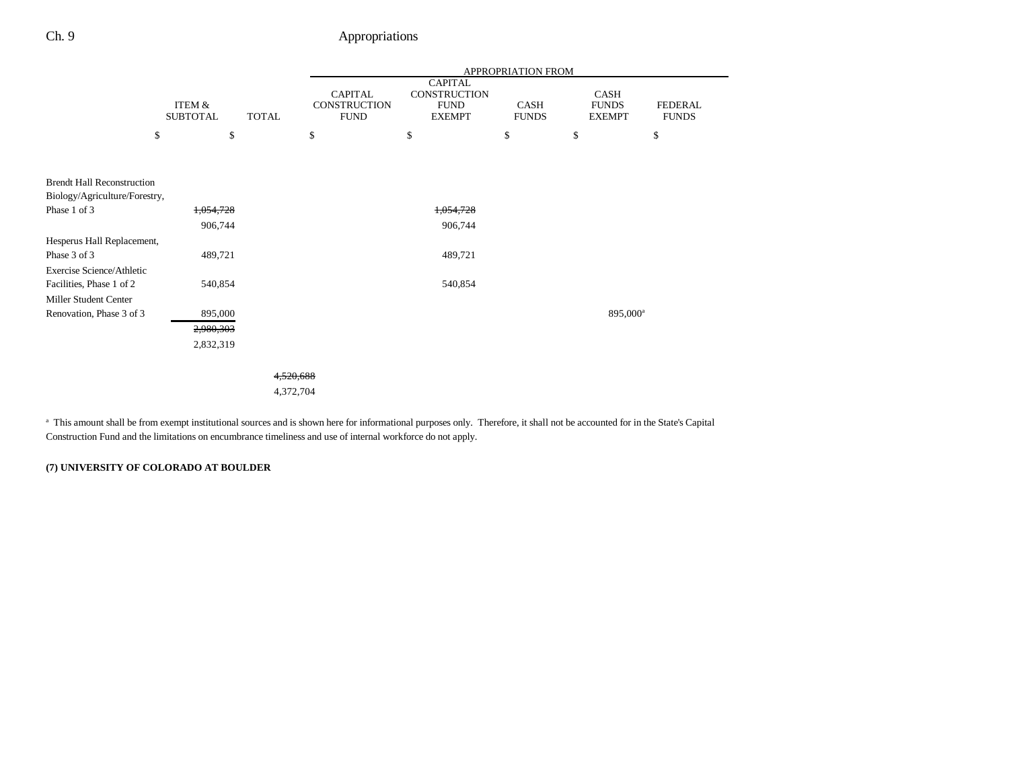|                                   |                           |              | <b>APPROPRIATION FROM</b>                     |                                                                |                      |                                       |                                |
|-----------------------------------|---------------------------|--------------|-----------------------------------------------|----------------------------------------------------------------|----------------------|---------------------------------------|--------------------------------|
|                                   | ITEM &<br><b>SUBTOTAL</b> | <b>TOTAL</b> | <b>CAPITAL</b><br>CONSTRUCTION<br><b>FUND</b> | <b>CAPITAL</b><br>CONSTRUCTION<br><b>FUND</b><br><b>EXEMPT</b> | CASH<br><b>FUNDS</b> | CASH<br><b>FUNDS</b><br><b>EXEMPT</b> | <b>FEDERAL</b><br><b>FUNDS</b> |
| \$                                | \$                        |              | \$                                            | \$                                                             | \$                   | \$                                    | \$                             |
|                                   |                           |              |                                               |                                                                |                      |                                       |                                |
| <b>Brendt Hall Reconstruction</b> |                           |              |                                               |                                                                |                      |                                       |                                |
| Biology/Agriculture/Forestry,     |                           |              |                                               |                                                                |                      |                                       |                                |
| Phase 1 of 3                      | 1,054,728                 |              |                                               | 1,054,728                                                      |                      |                                       |                                |
|                                   | 906,744                   |              |                                               | 906,744                                                        |                      |                                       |                                |
| Hesperus Hall Replacement,        |                           |              |                                               |                                                                |                      |                                       |                                |
| Phase 3 of 3                      | 489,721                   |              |                                               | 489,721                                                        |                      |                                       |                                |
| Exercise Science/Athletic         |                           |              |                                               |                                                                |                      |                                       |                                |
| Facilities, Phase 1 of 2          | 540,854                   |              |                                               | 540,854                                                        |                      |                                       |                                |
| Miller Student Center             |                           |              |                                               |                                                                |                      |                                       |                                |
| Renovation, Phase 3 of 3          | 895,000                   |              |                                               |                                                                |                      |                                       | 895,000 <sup>a</sup>           |
|                                   | 2,980,303                 |              |                                               |                                                                |                      |                                       |                                |
|                                   | 2,832,319                 |              |                                               |                                                                |                      |                                       |                                |
|                                   |                           |              |                                               |                                                                |                      |                                       |                                |
|                                   |                           | 4,520,688    |                                               |                                                                |                      |                                       |                                |
|                                   |                           | 4,372,704    |                                               |                                                                |                      |                                       |                                |
|                                   |                           |              |                                               |                                                                |                      |                                       |                                |

<sup>a</sup> This amount shall be from exempt institutional sources and is shown here for informational purposes only. Therefore, it shall not be accounted for in the State's Capital Construction Fund and the limitations on encumbrance timeliness and use of internal workforce do not apply.

### **(7) UNIVERSITY OF COLORADO AT BOULDER**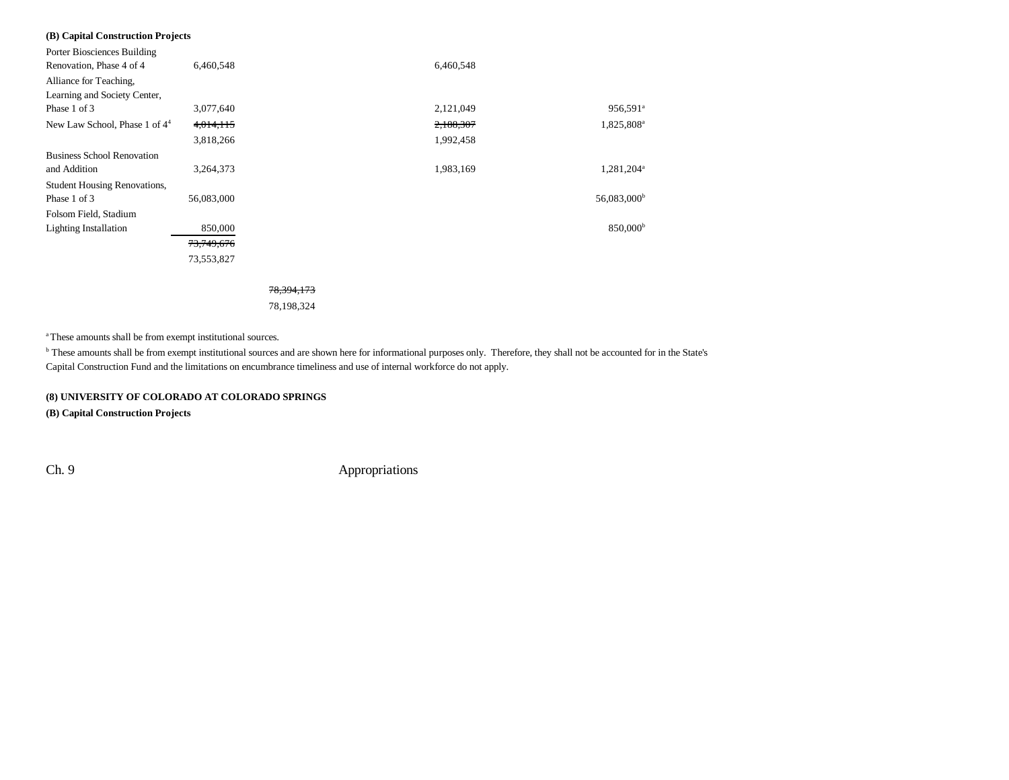| (B) Capital Construction Projects   |            |            |           |                        |
|-------------------------------------|------------|------------|-----------|------------------------|
| Porter Biosciences Building         |            |            |           |                        |
| Renovation, Phase 4 of 4            | 6,460,548  |            | 6,460,548 |                        |
| Alliance for Teaching,              |            |            |           |                        |
| Learning and Society Center,        |            |            |           |                        |
| Phase 1 of 3                        | 3,077,640  |            | 2,121,049 | 956,591 <sup>a</sup>   |
| New Law School, Phase 1 of $44$     | 4,014,115  |            | 2,188,307 | 1,825,808 <sup>a</sup> |
|                                     | 3,818,266  |            | 1,992,458 |                        |
| <b>Business School Renovation</b>   |            |            |           |                        |
| and Addition                        | 3,264,373  |            | 1,983,169 | 1,281,204 <sup>a</sup> |
| <b>Student Housing Renovations,</b> |            |            |           |                        |
| Phase 1 of 3                        | 56,083,000 |            |           | $56,083,000^{\rm b}$   |
| Folsom Field, Stadium               |            |            |           |                        |
| <b>Lighting Installation</b>        | 850,000    |            |           | 850,000 <sup>b</sup>   |
|                                     | 73,749,676 |            |           |                        |
|                                     | 73,553,827 |            |           |                        |
|                                     |            |            |           |                        |
|                                     |            | 78.394.173 |           |                        |

78,198,324

a These amounts shall be from exempt institutional sources.

b These amounts shall be from exempt institutional sources and are shown here for informational purposes only. Therefore, they shall not be accounted for in the State's Capital Construction Fund and the limitations on encumbrance timeliness and use of internal workforce do not apply.

#### **(8) UNIVERSITY OF COLORADO AT COLORADO SPRINGS**

**(B) Capital Construction Projects**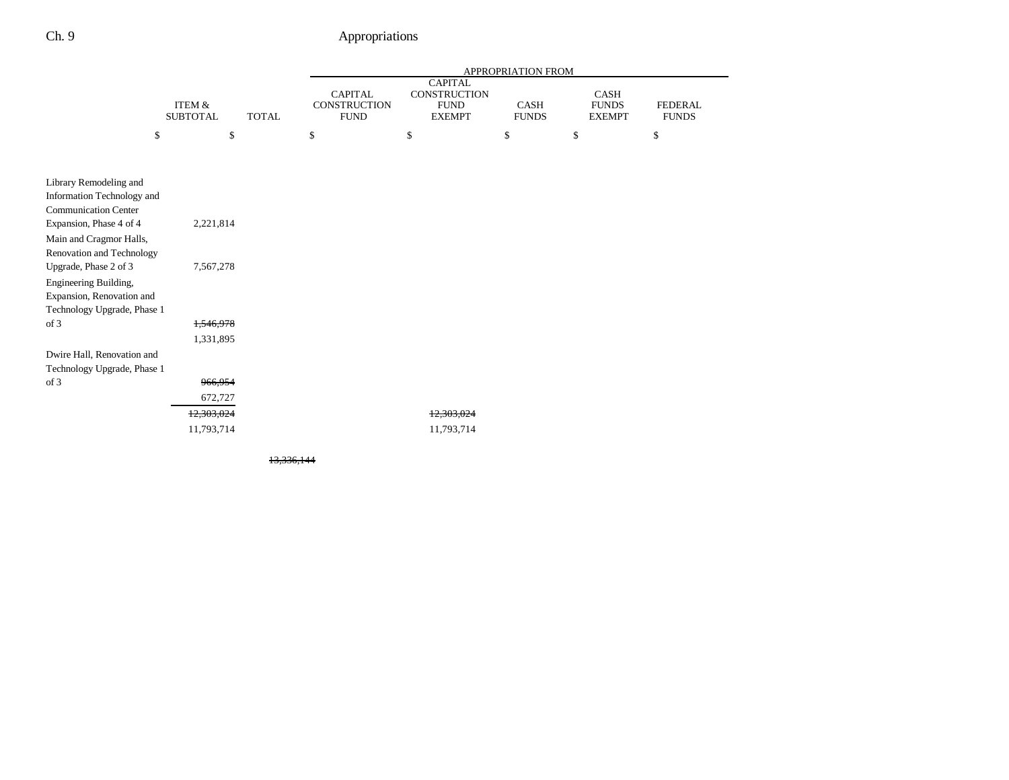-

|                                                    |                           |              |                                               |                                                                       | APPROPRIATION FROM   |                                              |                                |
|----------------------------------------------------|---------------------------|--------------|-----------------------------------------------|-----------------------------------------------------------------------|----------------------|----------------------------------------------|--------------------------------|
|                                                    | ITEM &<br><b>SUBTOTAL</b> | <b>TOTAL</b> | <b>CAPITAL</b><br>CONSTRUCTION<br><b>FUND</b> | <b>CAPITAL</b><br><b>CONSTRUCTION</b><br><b>FUND</b><br><b>EXEMPT</b> | CASH<br><b>FUNDS</b> | <b>CASH</b><br><b>FUNDS</b><br><b>EXEMPT</b> | <b>FEDERAL</b><br><b>FUNDS</b> |
| \$                                                 | \$                        |              | \$                                            | \$                                                                    | \$                   | \$                                           | \$                             |
|                                                    |                           |              |                                               |                                                                       |                      |                                              |                                |
| Library Remodeling and                             |                           |              |                                               |                                                                       |                      |                                              |                                |
| Information Technology and                         |                           |              |                                               |                                                                       |                      |                                              |                                |
| <b>Communication Center</b>                        |                           |              |                                               |                                                                       |                      |                                              |                                |
| Expansion, Phase 4 of 4<br>Main and Cragmor Halls, | 2,221,814                 |              |                                               |                                                                       |                      |                                              |                                |
| Renovation and Technology                          |                           |              |                                               |                                                                       |                      |                                              |                                |
| Upgrade, Phase 2 of 3                              | 7,567,278                 |              |                                               |                                                                       |                      |                                              |                                |
| Engineering Building,                              |                           |              |                                               |                                                                       |                      |                                              |                                |
| Expansion, Renovation and                          |                           |              |                                               |                                                                       |                      |                                              |                                |
| Technology Upgrade, Phase 1<br>of 3                | 1,546,978                 |              |                                               |                                                                       |                      |                                              |                                |
|                                                    | 1,331,895                 |              |                                               |                                                                       |                      |                                              |                                |
| Dwire Hall, Renovation and                         |                           |              |                                               |                                                                       |                      |                                              |                                |
| Technology Upgrade, Phase 1                        |                           |              |                                               |                                                                       |                      |                                              |                                |
| of 3                                               | 966,954                   |              |                                               |                                                                       |                      |                                              |                                |
|                                                    | 672,727                   |              |                                               |                                                                       |                      |                                              |                                |
|                                                    | 12,303,024                |              |                                               | 12,303,024                                                            |                      |                                              |                                |
|                                                    | 11,793,714                |              |                                               | 11,793,714                                                            |                      |                                              |                                |
|                                                    |                           |              |                                               |                                                                       |                      |                                              |                                |

13,336,144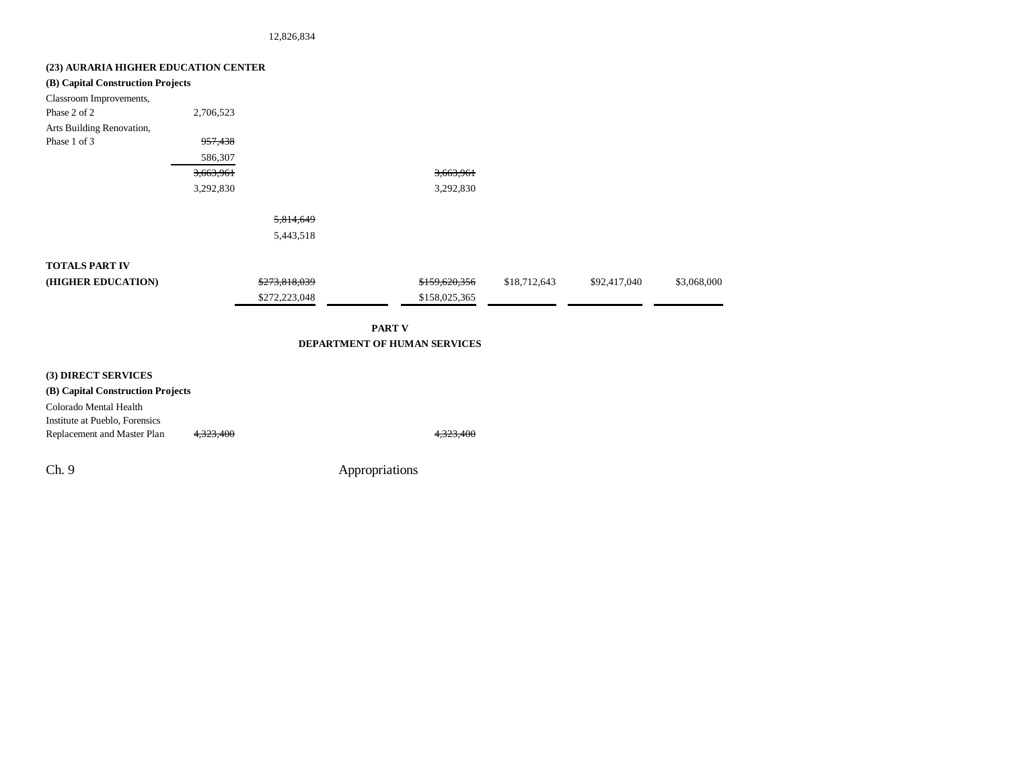12,826,834

| (23) AURARIA HIGHER EDUCATION CENTER |           |               |                              |              |              |             |
|--------------------------------------|-----------|---------------|------------------------------|--------------|--------------|-------------|
| (B) Capital Construction Projects    |           |               |                              |              |              |             |
| Classroom Improvements,              |           |               |                              |              |              |             |
| Phase 2 of 2                         | 2,706,523 |               |                              |              |              |             |
| Arts Building Renovation,            |           |               |                              |              |              |             |
| Phase 1 of 3                         | 957,438   |               |                              |              |              |             |
|                                      | 586,307   |               |                              |              |              |             |
|                                      | 3,663,961 |               | 3,663,961                    |              |              |             |
|                                      | 3,292,830 |               | 3,292,830                    |              |              |             |
|                                      |           | 5,814,649     |                              |              |              |             |
|                                      |           | 5,443,518     |                              |              |              |             |
| <b>TOTALS PART IV</b>                |           |               |                              |              |              |             |
| (HIGHER EDUCATION)                   |           | \$273,818,039 | \$159,620,356                | \$18,712,643 | \$92,417,040 | \$3,068,000 |
|                                      |           | \$272,223,048 | \$158,025,365                |              |              |             |
|                                      |           |               | <b>PART V</b>                |              |              |             |
|                                      |           |               | DEPARTMENT OF HUMAN SERVICES |              |              |             |
|                                      |           |               |                              |              |              |             |
| (3) DIRECT SERVICES                  |           |               |                              |              |              |             |
| (B) Capital Construction Projects    |           |               |                              |              |              |             |

Colorado Mental Health Institute at Pueblo, Forensics Replacement and Master Plan  $4,323,400$   $4,323,400$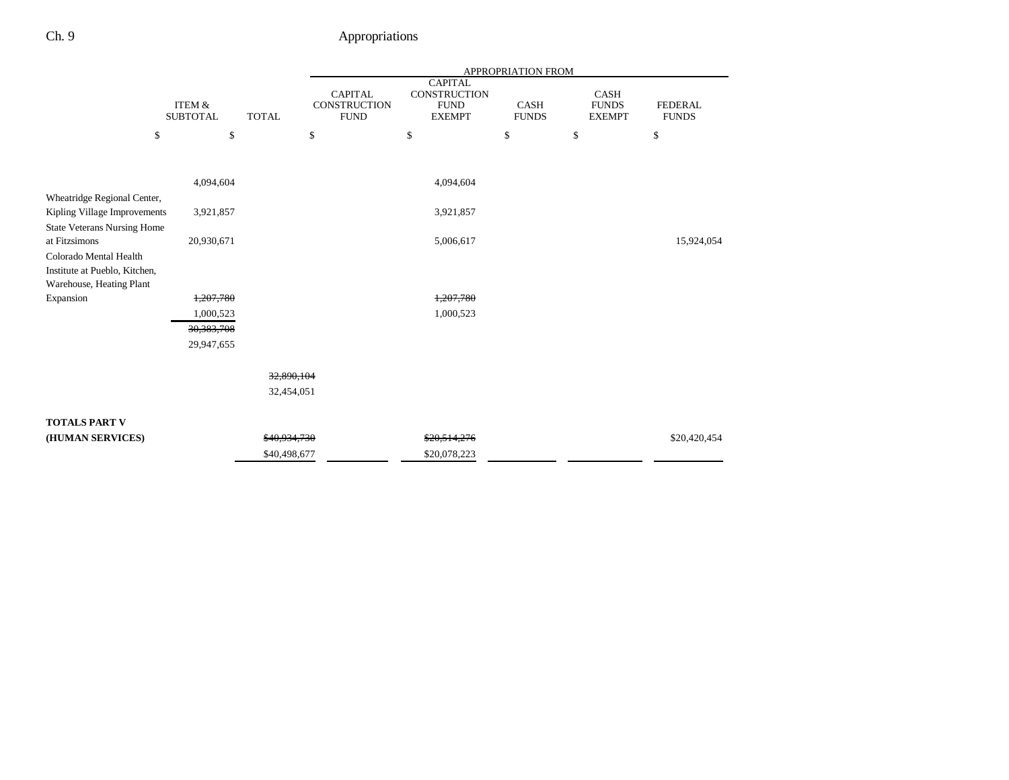|                                                     |                           |              |                                               |                                                                       | APPROPRIATION FROM          |                                       |                                |
|-----------------------------------------------------|---------------------------|--------------|-----------------------------------------------|-----------------------------------------------------------------------|-----------------------------|---------------------------------------|--------------------------------|
|                                                     | ITEM &<br><b>SUBTOTAL</b> | <b>TOTAL</b> | <b>CAPITAL</b><br>CONSTRUCTION<br><b>FUND</b> | <b>CAPITAL</b><br><b>CONSTRUCTION</b><br><b>FUND</b><br><b>EXEMPT</b> | <b>CASH</b><br><b>FUNDS</b> | CASH<br><b>FUNDS</b><br><b>EXEMPT</b> | <b>FEDERAL</b><br><b>FUNDS</b> |
| \$                                                  | \$                        |              | \$                                            | \$                                                                    | \$                          | \$                                    | \$                             |
|                                                     |                           |              |                                               |                                                                       |                             |                                       |                                |
|                                                     | 4,094,604                 |              |                                               | 4,094,604                                                             |                             |                                       |                                |
| Wheatridge Regional Center,                         |                           |              |                                               |                                                                       |                             |                                       |                                |
| Kipling Village Improvements                        | 3,921,857                 |              |                                               | 3,921,857                                                             |                             |                                       |                                |
| <b>State Veterans Nursing Home</b><br>at Fitzsimons | 20,930,671                |              |                                               | 5,006,617                                                             |                             |                                       | 15,924,054                     |
| Colorado Mental Health                              |                           |              |                                               |                                                                       |                             |                                       |                                |
| Institute at Pueblo, Kitchen,                       |                           |              |                                               |                                                                       |                             |                                       |                                |
| Warehouse, Heating Plant                            |                           |              |                                               |                                                                       |                             |                                       |                                |
| Expansion                                           | 1,207,780                 |              |                                               | 1,207,780                                                             |                             |                                       |                                |
|                                                     | 1,000,523                 |              |                                               | 1,000,523                                                             |                             |                                       |                                |
|                                                     | 30, 383, 708              |              |                                               |                                                                       |                             |                                       |                                |
|                                                     | 29,947,655                |              |                                               |                                                                       |                             |                                       |                                |
|                                                     |                           | 32,890,104   |                                               |                                                                       |                             |                                       |                                |
|                                                     |                           |              |                                               |                                                                       |                             |                                       |                                |
|                                                     |                           | 32,454,051   |                                               |                                                                       |                             |                                       |                                |
| <b>TOTALS PART V</b>                                |                           |              |                                               |                                                                       |                             |                                       |                                |
| (HUMAN SERVICES)                                    |                           | \$40,934,730 |                                               | \$20,514,276                                                          |                             |                                       | \$20,420,454                   |
|                                                     |                           | \$40,498,677 |                                               | \$20,078,223                                                          |                             |                                       |                                |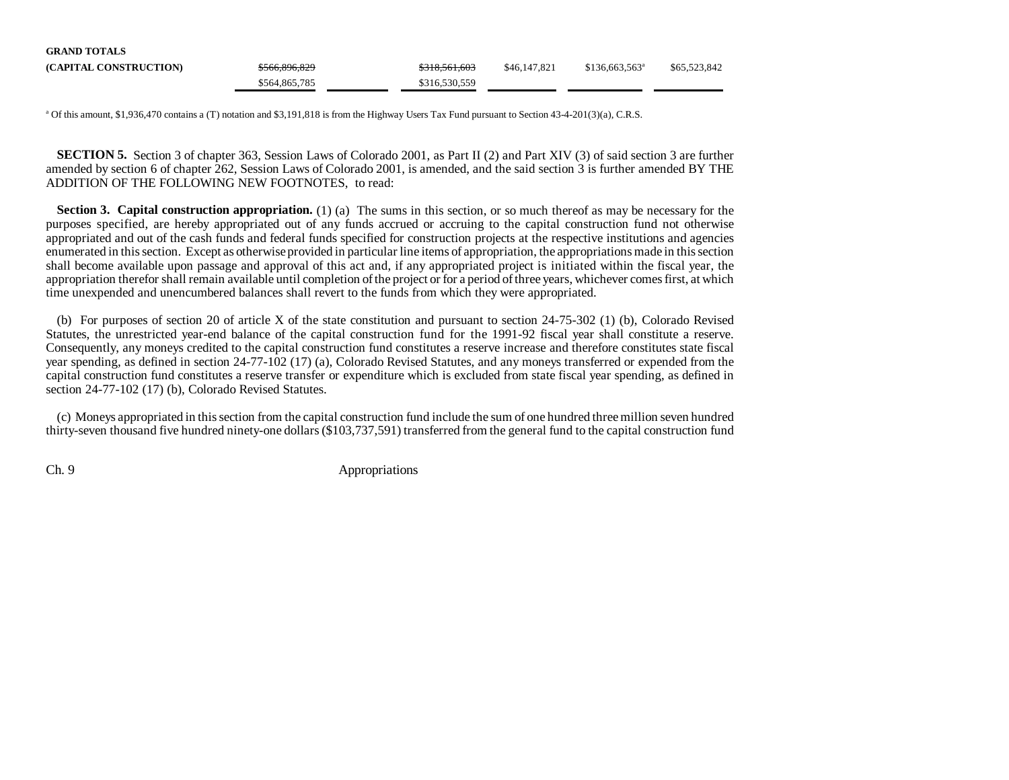| <b>GRAND TOTALS</b>    |               |               |              |                            |              |
|------------------------|---------------|---------------|--------------|----------------------------|--------------|
| (CAPITAL CONSTRUCTION) | \$566,896,829 | \$318,561,603 | \$46,147,821 | \$136.663.563 <sup>a</sup> | \$65,523,842 |
|                        | \$564,865,785 | \$316,530,559 |              |                            |              |

<sup>a</sup> Of this amount, \$1,936,470 contains a (T) notation and \$3,191,818 is from the Highway Users Tax Fund pursuant to Section 43-4-201(3)(a), C.R.S.

**SECTION 5.** Section 3 of chapter 363, Session Laws of Colorado 2001, as Part II (2) and Part XIV (3) of said section 3 are further amended by section 6 of chapter 262, Session Laws of Colorado 2001, is amended, and the said section 3 is further amended BY TH EADDITION OF THE FOLLOWING NEW FOOTNOTES, to read:

**Section 3. Capital construction appropriation.** (1) (a) The sums in this section, or so much thereof as may be necessary for the purposes specified, are hereby appropriated out of any funds accrued or accruing to the capital construction fund not otherwise appropriated and out of the cash funds and federal funds specified for construction projects at the respective institutions and agencies enumerated in this section. Except as otherwise provided in particular line items of appropriation, the appropriations made in this section shall become available upon passage and approval of this act and, if any appropriated project is initiated within the fiscal year, the appropriation therefor shall remain available until completion of the project or for a period of three years, whichever comes first, at which time unexpended and unencumbered balances shall revert to the funds from which they were appropriated.

(b) For purposes of section 20 of article X of the state constitution and pursuant to section 24-75-302 (1) (b), Colorado Revised Statutes, the unrestricted year-end balance of the capital construction fund for the 1991-92 fiscal year shall constitute a reserve. Consequently, any moneys credited to the capital construction fund constitutes a reserve increase and therefore constitutes state fiscal year spending, as defined in section 24-77-102 (17) (a), Colorado Revised Statutes, and any moneys transferred or expended from the capital construction fund constitutes a reserve transfer or expenditure which is excluded from state fiscal year spending, as defined in section 24-77-102 (17) (b), Colorado Revised Statutes.

(c) Moneys appropriated in this section from the capital construction fund include the sum of one hundred three million seven hundred thirty-seven thousand five hundred ninety-one dollars (\$103,737,591) transferred from the general fund to the capital construction fund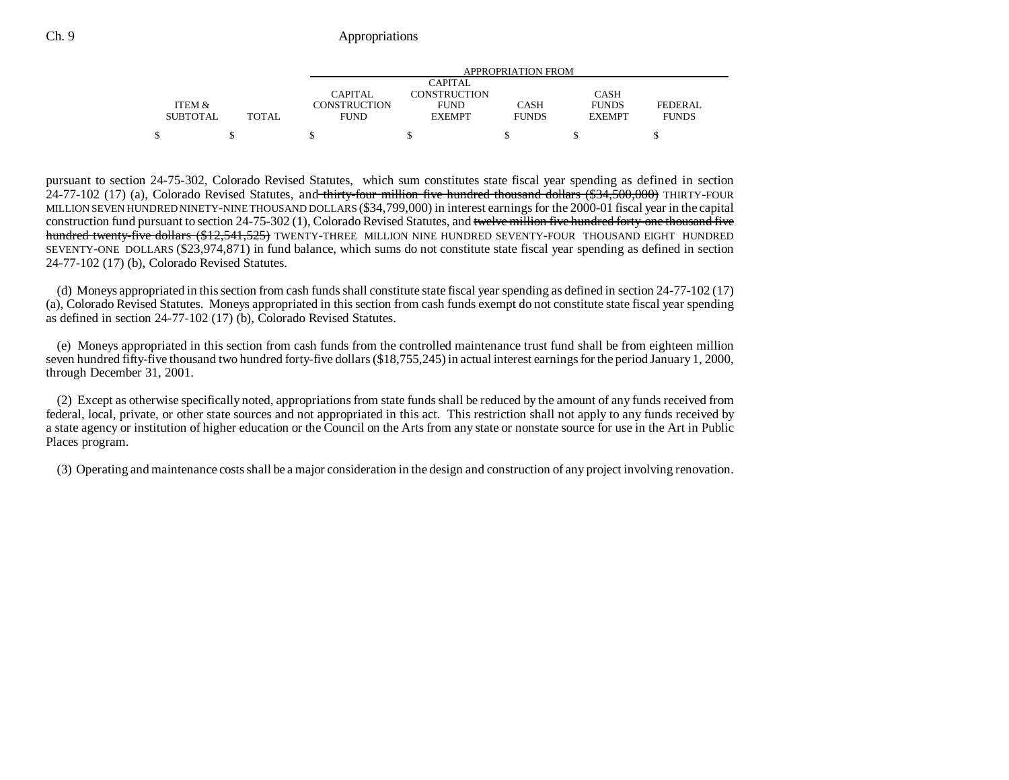|                 |        |                     | APPROPRIATION FROM  |              |               |                |  |  |  |
|-----------------|--------|---------------------|---------------------|--------------|---------------|----------------|--|--|--|
|                 |        |                     | CAPITAL             |              |               |                |  |  |  |
|                 |        | CAPITAL             | <b>CONSTRUCTION</b> |              | <b>CASH</b>   |                |  |  |  |
| ITEM &          |        | <b>CONSTRUCTION</b> | <b>FUND</b>         | <b>CASH</b>  | <b>FUNDS</b>  | <b>FEDERAL</b> |  |  |  |
| <b>SUBTOTAL</b> | TOTAL. | FUND                | <b>EXEMPT</b>       | <b>FUNDS</b> | <b>EXEMPT</b> | <b>FUNDS</b>   |  |  |  |
|                 |        |                     |                     |              |               |                |  |  |  |

pursuant to section 24-75-302, Colorado Revised Statutes, which sum constitutes state fiscal year spending as defined in section  $24-77-102$  (17) (a), Colorado Revised Statutes, and thirty-four million five hundred thousand dollars (\$34,500,000) THIRTY-FOUR MILLION SEVEN HUNDRED NINETY-NINE THOUSAND DOLLARS (\$34,799,000) in interest earnings for the 2000-01 fiscal year in the capital construction fund pursuant to section 24-75-302 (1), Colorado Revised Statutes, and twelve million five hundred forty-one thousand five hundred twenty-five dollars (\$12,541,525) TWENTY-THREE MILLION NINE HUNDRED SEVENTY-FOUR THOUSAND EIGHT HUNDRED SEVENTY-ONE DOLLARS (\$23,974,871) in fund balance, which sums do not constitute state fiscal year spending as defined in section 24-77-102 (17) (b), Colorado Revised Statutes.

(d) Moneys appropriated in this section from cash funds shall constitute state fiscal year spending as defined in section 24-77-102 (17) (a), Colorado Revised Statutes. Moneys appropriated in this section from cash funds exempt do not constitute state fiscal year spending as defined in section 24-77-102 (17) (b), Colorado Revised Statutes.

(e) Moneys appropriated in this section from cash funds from the controlled maintenance trust fund shall be from eighteen million seven hundred fifty-five thousand two hundred forty-five dollars (\$18,755,245) in actual interest earnings for the period January 1, 2000, through December 31, 2001.

(2) Except as otherwise specifically noted, appropriations from state funds shall be reduced by the amount of any funds received from federal, local, private, or other state sources and not appropriated in this act. This restriction shall not apply to any funds received by a state agency or institution of higher education or the Council on the Arts from any state or nonstate source for use in the Art in Public Places program.

(3) Operating and maintenance costs shall be a major consideration in the design and construction of any project involving renovation.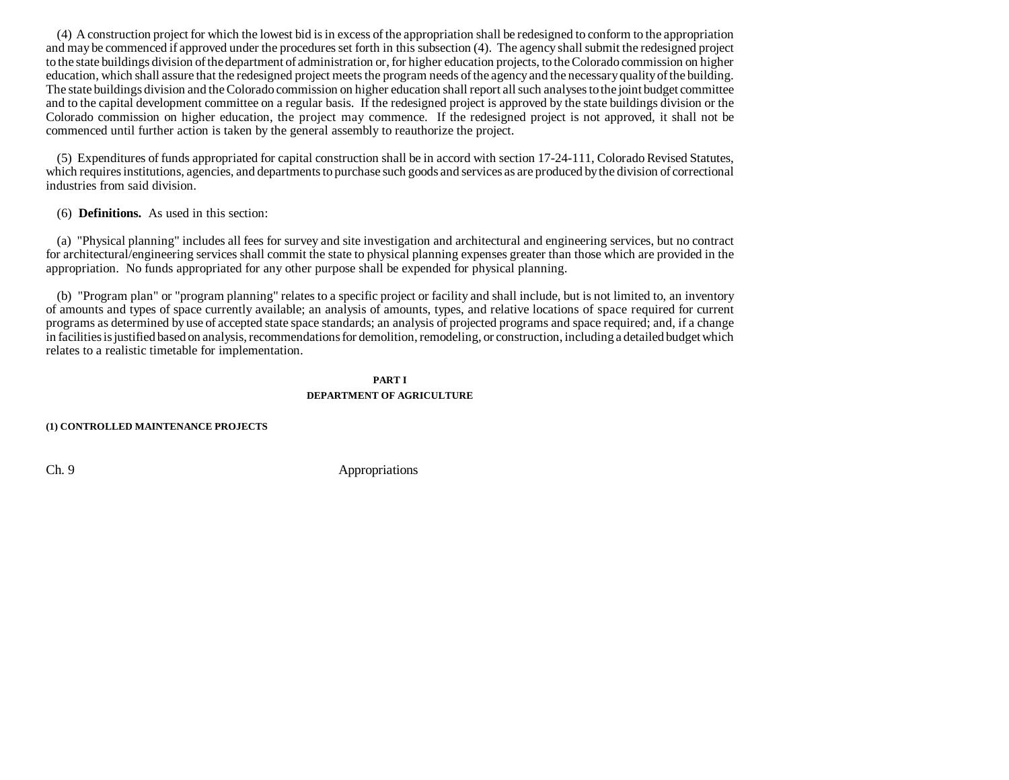(4) A construction project for which the lowest bid is in excess of the appropriation shall be redesigned to conform to the appropriation and may be commenced if approved under the procedures set forth in this subsection (4). The agency shall submit the redesigned project to the state buildings division of the department of administration or, for higher education projects, to the Colorado commission on higher education, which shall assure that the redesigned project meets the program needs of the agency and the necessary quality of the building. The state buildings division and the Colorado commission on higher education shall report all such analyses to the joint budget committee and to the capital development committee on a regular basis. If the redesigned project is approved by the state buildings division or the Colorado commission on higher education, the project may commence. If the redesigned project is not approved, it shall not be commenced until further action is taken by the general assembly to reauthorize the project.

(5) Expenditures of funds appropriated for capital construction shall be in accord with section 17-24-111, Colorado Revised Statutes, which requires institutions, agencies, and departments to purchase such goods and services as are produced by the division of correctional industries from said division.

(6) **Definitions.** As used in this section:

(a) "Physical planning" includes all fees for survey and site investigation and architectural and engineering services, but no contract for architectural/engineering services shall commit the state to physical planning expenses greater than those which are provided in the appropriation. No funds appropriated for any other purpose shall be expended for physical planning.

(b) "Program plan" or "program planning" relates to a specific project or facility and shall include, but is not limited to, an inventory of amounts and types of space currently available; an analysis of amounts, types, and relative locations of space required for current programs as determined by use of accepted state space standards; an analysis of projected programs and space required; and, if a change in facilities is justified based on analysis, recommendations for demolition, remodeling, or construction, including a detailed budget which relates to a realistic timetable for implementation.

### **PART IDEPARTMENT OF AGRICULTURE**

**(1) CONTROLLED MAINTENANCE PROJECTS**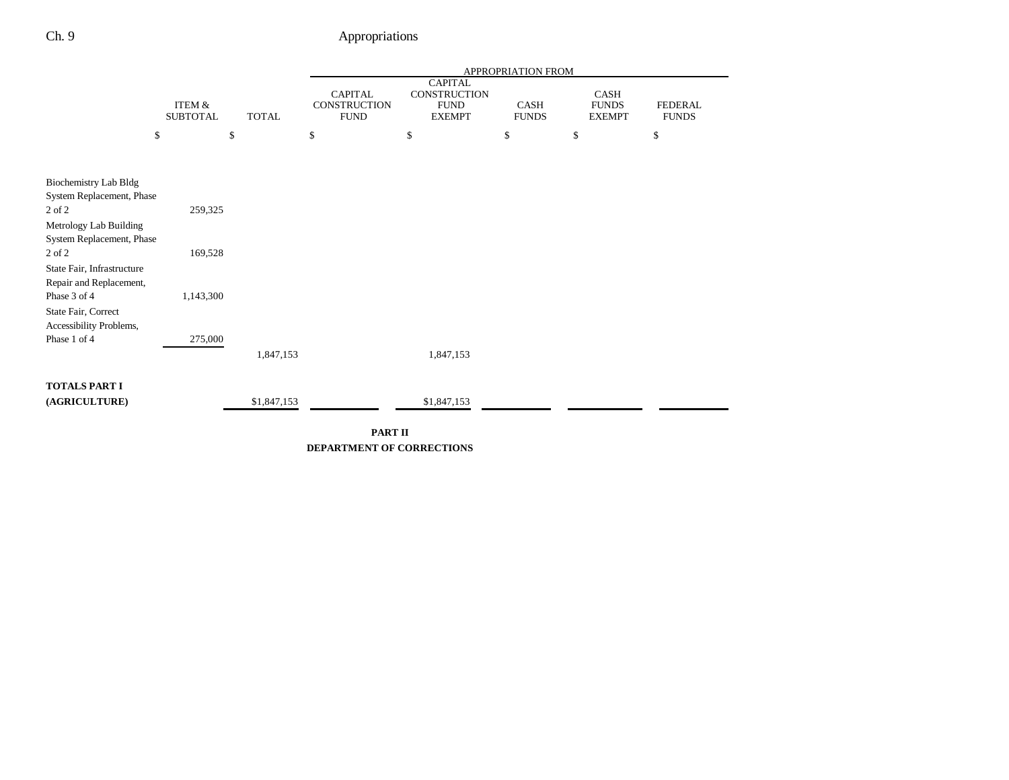|                                                           |                 |              |             | APPROPRIATION FROM |                                |              |               |                |
|-----------------------------------------------------------|-----------------|--------------|-------------|--------------------|--------------------------------|--------------|---------------|----------------|
|                                                           |                 |              |             | <b>CAPITAL</b>     | <b>CAPITAL</b><br>CONSTRUCTION |              | CASH          |                |
|                                                           | ITEM &          |              |             | CONSTRUCTION       | <b>FUND</b>                    | CASH         | <b>FUNDS</b>  | <b>FEDERAL</b> |
|                                                           | <b>SUBTOTAL</b> | <b>TOTAL</b> |             | <b>FUND</b>        | <b>EXEMPT</b>                  | <b>FUNDS</b> | <b>EXEMPT</b> | <b>FUNDS</b>   |
| \$                                                        |                 | \$           | \$          |                    | \$                             | \$           | \$            | \$             |
|                                                           |                 |              |             |                    |                                |              |               |                |
|                                                           |                 |              |             |                    |                                |              |               |                |
| <b>Biochemistry Lab Bldg</b><br>System Replacement, Phase |                 |              |             |                    |                                |              |               |                |
| 2 of 2                                                    | 259,325         |              |             |                    |                                |              |               |                |
| Metrology Lab Building                                    |                 |              |             |                    |                                |              |               |                |
| System Replacement, Phase                                 |                 |              |             |                    |                                |              |               |                |
| 2 of 2                                                    | 169,528         |              |             |                    |                                |              |               |                |
| State Fair, Infrastructure                                |                 |              |             |                    |                                |              |               |                |
| Repair and Replacement,                                   |                 |              |             |                    |                                |              |               |                |
| Phase 3 of 4                                              | 1,143,300       |              |             |                    |                                |              |               |                |
| State Fair, Correct                                       |                 |              |             |                    |                                |              |               |                |
| Accessibility Problems,                                   |                 |              |             |                    |                                |              |               |                |
| Phase 1 of 4                                              | 275,000         |              |             |                    |                                |              |               |                |
|                                                           |                 |              | 1,847,153   |                    | 1,847,153                      |              |               |                |
| <b>TOTALS PART I</b>                                      |                 |              |             |                    |                                |              |               |                |
| (AGRICULTURE)                                             |                 |              | \$1,847,153 |                    | \$1,847,153                    |              |               |                |
|                                                           |                 |              |             |                    |                                |              |               |                |

**PART II DEPARTMENT OF CORRECTIONS**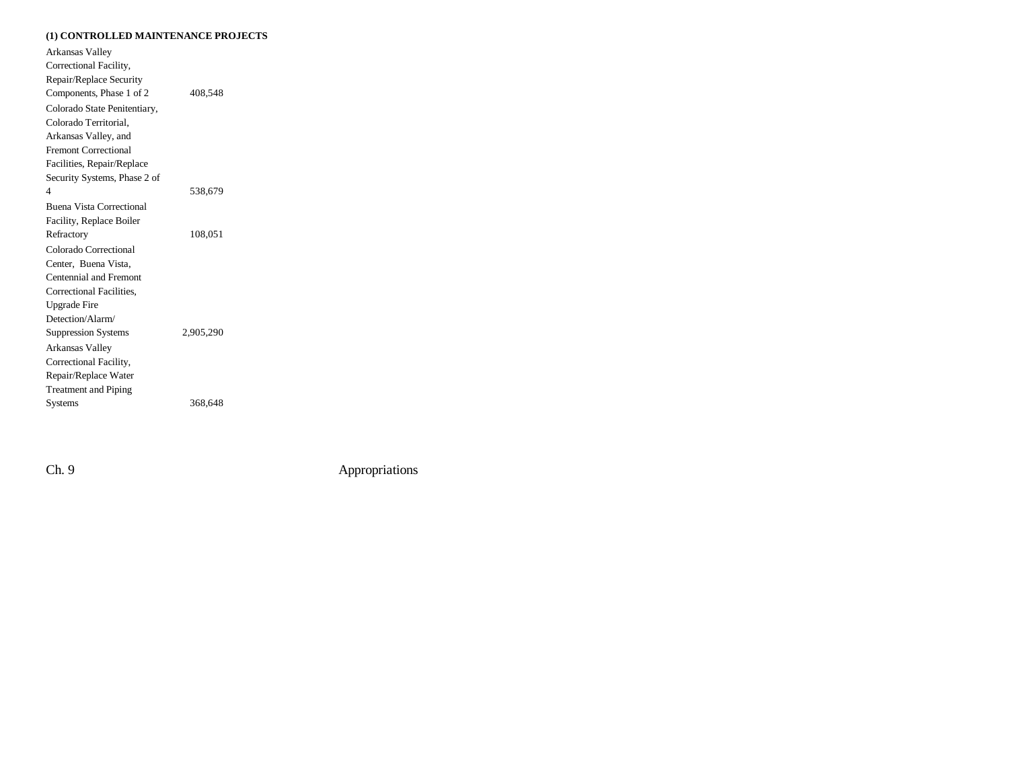#### **(1) CONTROLLED MAINTENANCE PROJECTS**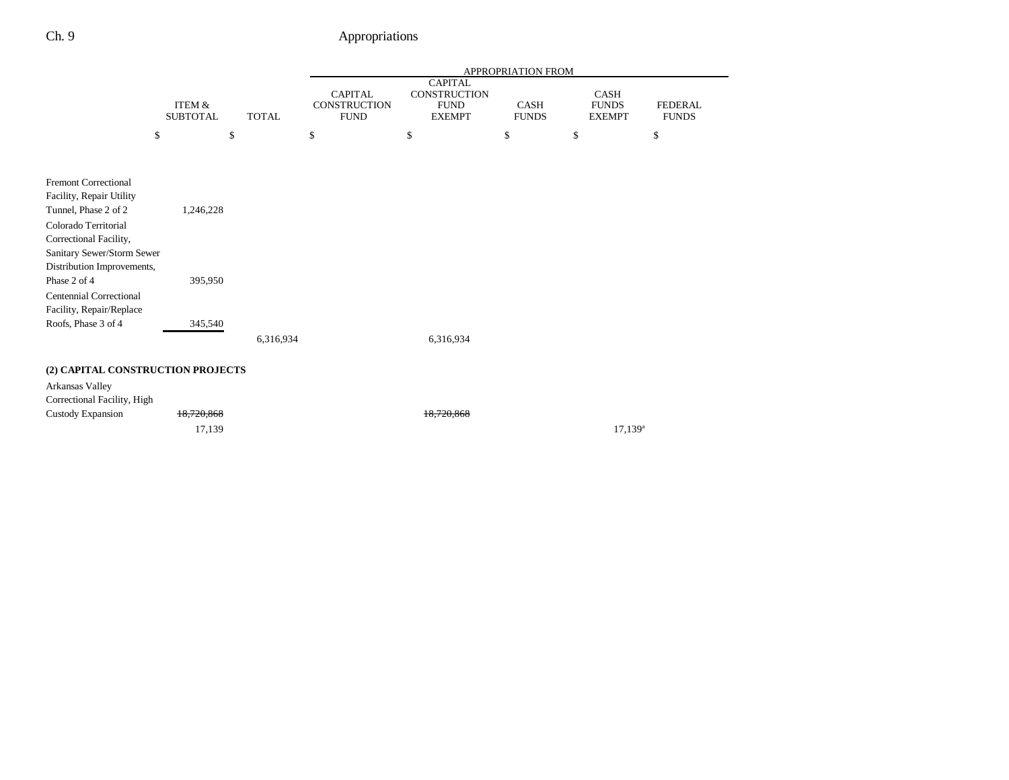|                                   |                           |              |                                               |                                                                       | <b>APPROPRIATION FROM</b> |                                              |                                |
|-----------------------------------|---------------------------|--------------|-----------------------------------------------|-----------------------------------------------------------------------|---------------------------|----------------------------------------------|--------------------------------|
|                                   | ITEM &<br><b>SUBTOTAL</b> | <b>TOTAL</b> | <b>CAPITAL</b><br>CONSTRUCTION<br><b>FUND</b> | <b>CAPITAL</b><br><b>CONSTRUCTION</b><br><b>FUND</b><br><b>EXEMPT</b> | CASH<br><b>FUNDS</b>      | <b>CASH</b><br><b>FUNDS</b><br><b>EXEMPT</b> | <b>FEDERAL</b><br><b>FUNDS</b> |
| \$                                | \$                        |              | \$                                            | \$                                                                    | \$                        | \$                                           | \$                             |
|                                   |                           |              |                                               |                                                                       |                           |                                              |                                |
| <b>Fremont Correctional</b>       |                           |              |                                               |                                                                       |                           |                                              |                                |
| Facility, Repair Utility          |                           |              |                                               |                                                                       |                           |                                              |                                |
| Tunnel, Phase 2 of 2              | 1,246,228                 |              |                                               |                                                                       |                           |                                              |                                |
| Colorado Territorial              |                           |              |                                               |                                                                       |                           |                                              |                                |
| Correctional Facility,            |                           |              |                                               |                                                                       |                           |                                              |                                |
| Sanitary Sewer/Storm Sewer        |                           |              |                                               |                                                                       |                           |                                              |                                |
| Distribution Improvements,        |                           |              |                                               |                                                                       |                           |                                              |                                |
| Phase 2 of 4                      | 395,950                   |              |                                               |                                                                       |                           |                                              |                                |
| <b>Centennial Correctional</b>    |                           |              |                                               |                                                                       |                           |                                              |                                |
| Facility, Repair/Replace          |                           |              |                                               |                                                                       |                           |                                              |                                |
| Roofs, Phase 3 of 4               | 345,540                   |              |                                               |                                                                       |                           |                                              |                                |
|                                   |                           | 6,316,934    |                                               | 6,316,934                                                             |                           |                                              |                                |
| (2) CAPITAL CONSTRUCTION PROJECTS |                           |              |                                               |                                                                       |                           |                                              |                                |
| Arkansas Valley                   |                           |              |                                               |                                                                       |                           |                                              |                                |
| Correctional Facility, High       |                           |              |                                               |                                                                       |                           |                                              |                                |
| <b>Custody Expansion</b>          | 18,720,868                |              |                                               | 18.720.868                                                            |                           |                                              |                                |
|                                   | 17,139                    |              |                                               |                                                                       |                           | $17,139^a$                                   |                                |
|                                   |                           |              |                                               |                                                                       |                           |                                              |                                |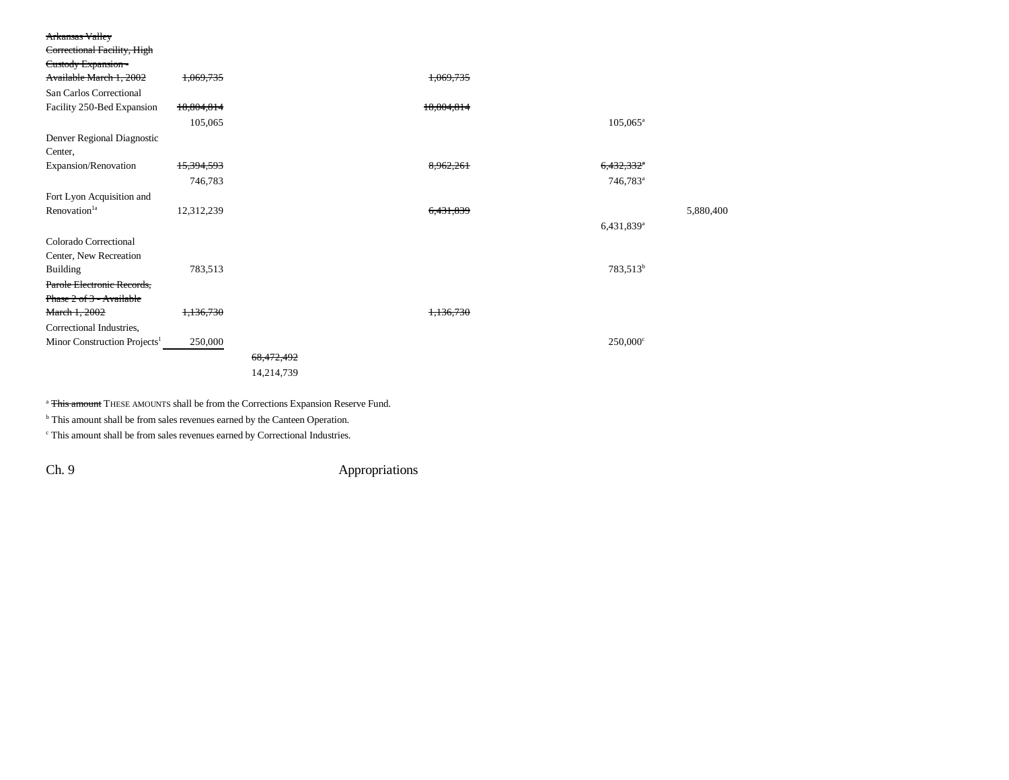| <b>Arkansas Valley</b>                   |                       |            |            |                        |           |
|------------------------------------------|-----------------------|------------|------------|------------------------|-----------|
| Correctional Facility, High              |                       |            |            |                        |           |
| Custody Expansion-                       |                       |            |            |                        |           |
| Available March 1, 2002                  | 1,069,735             |            | 1.069.735  |                        |           |
| San Carlos Correctional                  |                       |            |            |                        |           |
| Facility 250-Bed Expansion               | 18,804,814            |            | 18,804,814 |                        |           |
|                                          | 105,065               |            |            | $105,065^{\circ}$      |           |
| Denver Regional Diagnostic               |                       |            |            |                        |           |
| Center,                                  |                       |            |            |                        |           |
| Expansion/Renovation                     | <del>15,394,593</del> |            | 8,962,261  | 6,432,332*             |           |
|                                          | 746,783               |            |            | 746,783 <sup>a</sup>   |           |
| Fort Lyon Acquisition and                |                       |            |            |                        |           |
| Renovation <sup>1a</sup>                 | 12,312,239            |            | 6.431.839  |                        | 5,880,400 |
|                                          |                       |            |            | 6,431,839 <sup>a</sup> |           |
| Colorado Correctional                    |                       |            |            |                        |           |
| Center, New Recreation                   |                       |            |            |                        |           |
| <b>Building</b>                          | 783,513               |            |            | 783,513 <sup>b</sup>   |           |
| Parole Electronic Records,               |                       |            |            |                        |           |
| Phase 2 of 3 - Available                 |                       |            |            |                        |           |
| March 1, 2002                            | 1,136,730             |            | 1,136,730  |                        |           |
| Correctional Industries,                 |                       |            |            |                        |           |
| Minor Construction Projects <sup>1</sup> | 250,000               |            |            | $250,000^{\circ}$      |           |
|                                          |                       | 68,472,492 |            |                        |           |
|                                          |                       | 14,214,739 |            |                        |           |
|                                          |                       |            |            |                        |           |

<sup>a</sup> This amount THESE AMOUNTS shall be from the Corrections Expansion Reserve Fund.

**b** This amount shall be from sales revenues earned by the Canteen Operation.

 $\cdot$  This amount shall be from sales revenues earned by Correctional Industries.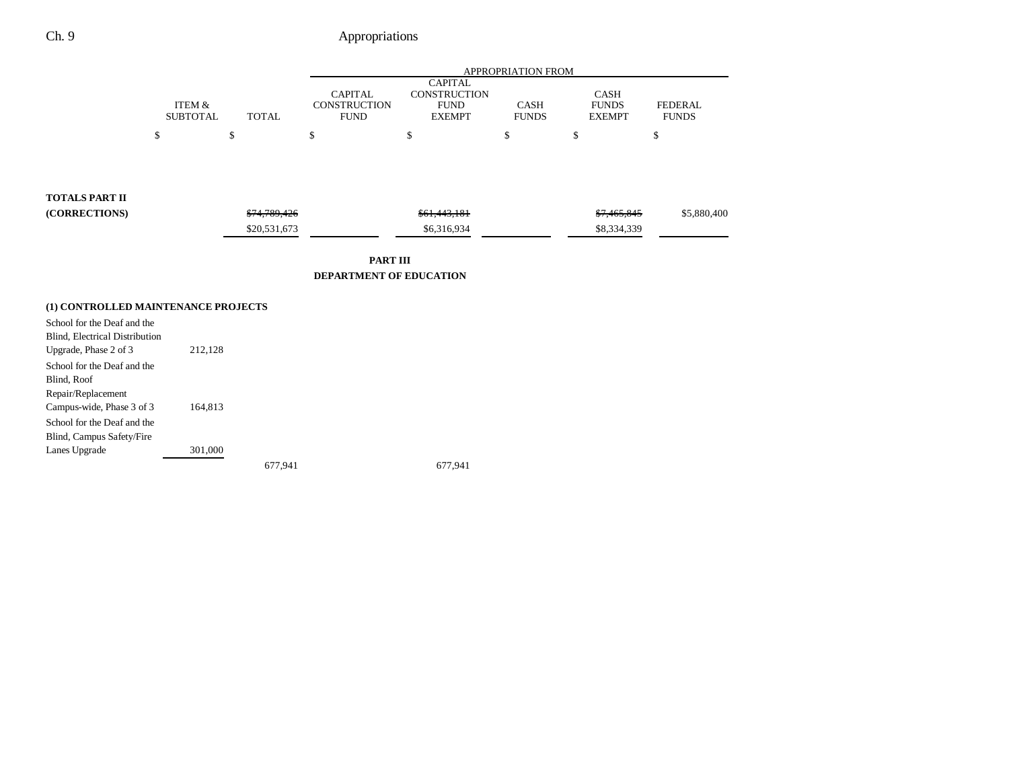|                                                                           |                                      |              | APPROPRIATION FROM                                   |                                                                       |                      |                                       |                                |
|---------------------------------------------------------------------------|--------------------------------------|--------------|------------------------------------------------------|-----------------------------------------------------------------------|----------------------|---------------------------------------|--------------------------------|
|                                                                           | <b>ITEM &amp;</b><br><b>SUBTOTAL</b> | <b>TOTAL</b> | <b>CAPITAL</b><br><b>CONSTRUCTION</b><br><b>FUND</b> | <b>CAPITAL</b><br><b>CONSTRUCTION</b><br><b>FUND</b><br><b>EXEMPT</b> | CASH<br><b>FUNDS</b> | CASH<br><b>FUNDS</b><br><b>EXEMPT</b> | <b>FEDERAL</b><br><b>FUNDS</b> |
|                                                                           | \$                                   | \$           | \$                                                   | \$                                                                    | \$                   | \$                                    | \$                             |
| <b>TOTALS PART II</b>                                                     |                                      |              |                                                      |                                                                       |                      |                                       |                                |
| (CORRECTIONS)                                                             |                                      | \$74,789,426 |                                                      | \$61,443,181                                                          |                      | \$7,465,845                           | \$5,880,400                    |
|                                                                           |                                      | \$20,531,673 |                                                      | \$6,316,934                                                           |                      | \$8,334,339                           |                                |
|                                                                           |                                      |              | <b>PART III</b><br><b>DEPARTMENT OF EDUCATION</b>    |                                                                       |                      |                                       |                                |
| (1) CONTROLLED MAINTENANCE PROJECTS                                       |                                      |              |                                                      |                                                                       |                      |                                       |                                |
| School for the Deaf and the<br>Blind, Electrical Distribution             |                                      |              |                                                      |                                                                       |                      |                                       |                                |
| Upgrade, Phase 2 of 3<br>School for the Deaf and the<br>Blind, Roof       | 212,128                              |              |                                                      |                                                                       |                      |                                       |                                |
| Repair/Replacement<br>Campus-wide, Phase 3 of 3                           | 164,813                              |              |                                                      |                                                                       |                      |                                       |                                |
| School for the Deaf and the<br>Blind, Campus Safety/Fire<br>Lanes Upgrade | 301,000                              |              |                                                      |                                                                       |                      |                                       |                                |
|                                                                           |                                      | 677,941      |                                                      | 677,941                                                               |                      |                                       |                                |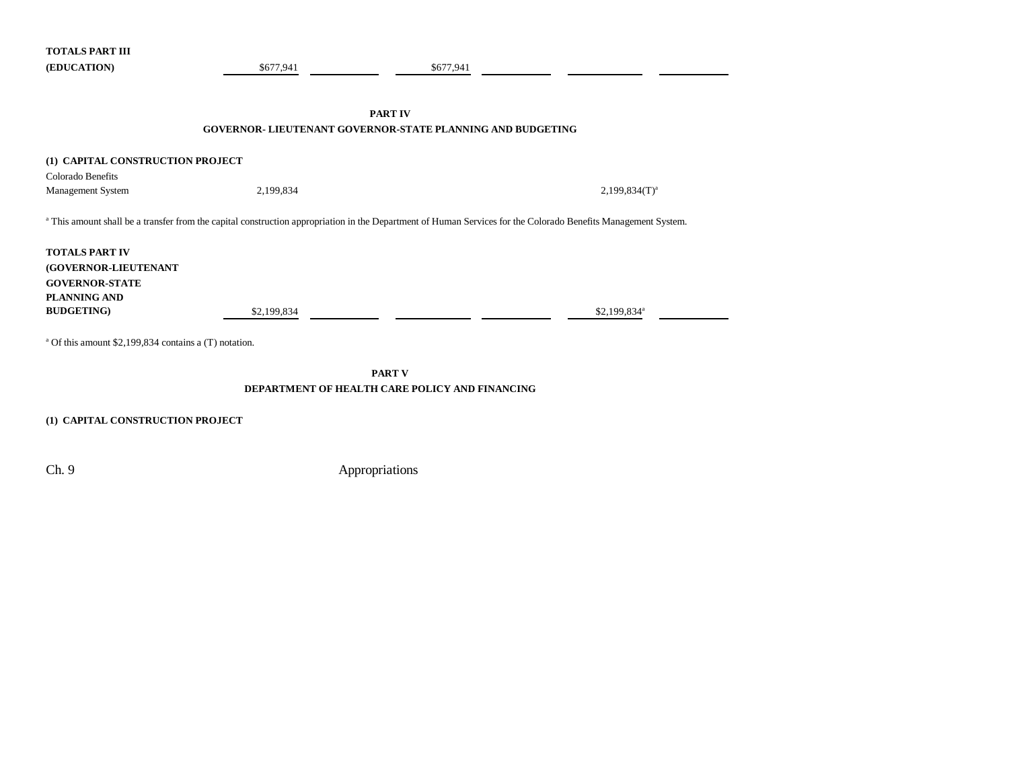| <b>TOTALS PART III</b>                                            |             |                                                                                                                                                                |  |  |  |  |  |  |
|-------------------------------------------------------------------|-------------|----------------------------------------------------------------------------------------------------------------------------------------------------------------|--|--|--|--|--|--|
| (EDUCATION)                                                       | \$677,941   | \$677,941                                                                                                                                                      |  |  |  |  |  |  |
|                                                                   |             |                                                                                                                                                                |  |  |  |  |  |  |
|                                                                   |             |                                                                                                                                                                |  |  |  |  |  |  |
|                                                                   |             | <b>PART IV</b>                                                                                                                                                 |  |  |  |  |  |  |
| <b>GOVERNOR- LIEUTENANT GOVERNOR-STATE PLANNING AND BUDGETING</b> |             |                                                                                                                                                                |  |  |  |  |  |  |
|                                                                   |             |                                                                                                                                                                |  |  |  |  |  |  |
| (1) CAPITAL CONSTRUCTION PROJECT                                  |             |                                                                                                                                                                |  |  |  |  |  |  |
| Colorado Benefits                                                 |             |                                                                                                                                                                |  |  |  |  |  |  |
| Management System                                                 | 2,199,834   | $2,199,834(T)^{a}$                                                                                                                                             |  |  |  |  |  |  |
|                                                                   |             |                                                                                                                                                                |  |  |  |  |  |  |
|                                                                   |             | a This amount shall be a transfer from the capital construction appropriation in the Department of Human Services for the Colorado Benefits Management System. |  |  |  |  |  |  |
|                                                                   |             |                                                                                                                                                                |  |  |  |  |  |  |
| <b>TOTALS PART IV</b>                                             |             |                                                                                                                                                                |  |  |  |  |  |  |
| (GOVERNOR-LIEUTENANT                                              |             |                                                                                                                                                                |  |  |  |  |  |  |
| <b>GOVERNOR-STATE</b>                                             |             |                                                                                                                                                                |  |  |  |  |  |  |
| <b>PLANNING AND</b>                                               |             |                                                                                                                                                                |  |  |  |  |  |  |
| <b>BUDGETING</b> )                                                | \$2,199,834 | $$2,199,834$ <sup>a</sup>                                                                                                                                      |  |  |  |  |  |  |
|                                                                   |             |                                                                                                                                                                |  |  |  |  |  |  |
| <sup>a</sup> Of this amount \$2,199,834 contains a (T) notation.  |             |                                                                                                                                                                |  |  |  |  |  |  |
|                                                                   |             |                                                                                                                                                                |  |  |  |  |  |  |
|                                                                   |             | <b>PART V</b>                                                                                                                                                  |  |  |  |  |  |  |
|                                                                   |             | DEPARTMENT OF HEALTH CARE POLICY AND FINANCING                                                                                                                 |  |  |  |  |  |  |
|                                                                   |             |                                                                                                                                                                |  |  |  |  |  |  |
|                                                                   |             |                                                                                                                                                                |  |  |  |  |  |  |

**(1) CAPITAL CONSTRUCTION PROJECT**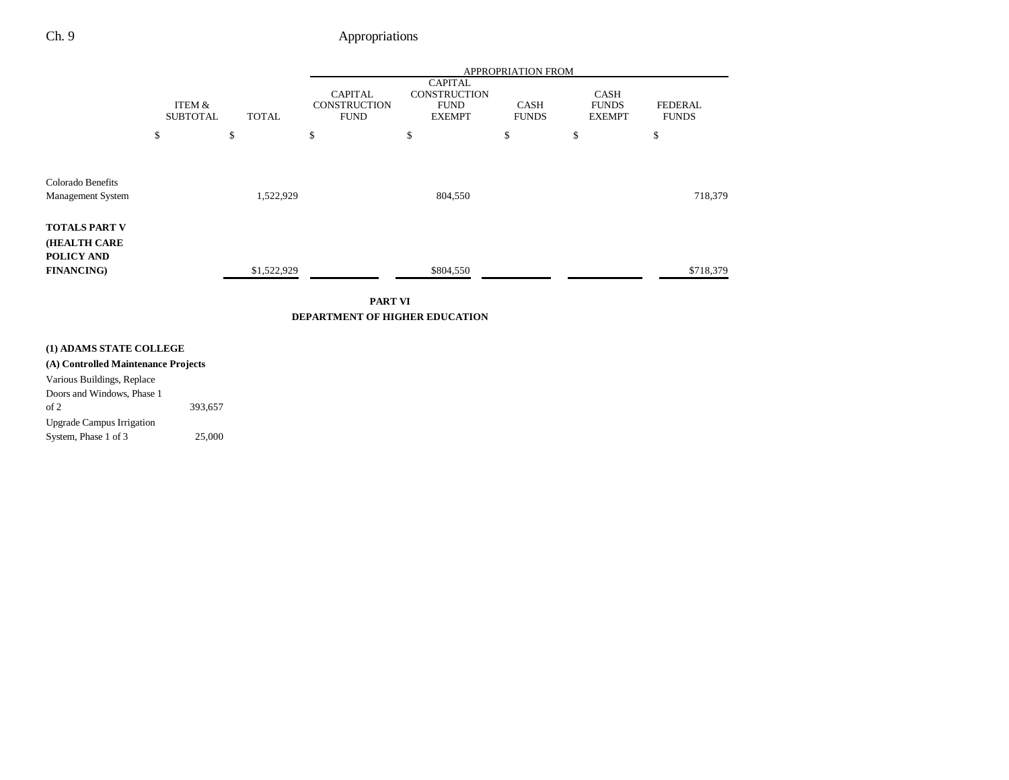|                                                           |                           |              |                                                      | APPROPRIATION FROM                                                    |                             |                                              |                                |
|-----------------------------------------------------------|---------------------------|--------------|------------------------------------------------------|-----------------------------------------------------------------------|-----------------------------|----------------------------------------------|--------------------------------|
|                                                           | ITEM &<br><b>SUBTOTAL</b> | <b>TOTAL</b> | <b>CAPITAL</b><br><b>CONSTRUCTION</b><br><b>FUND</b> | <b>CAPITAL</b><br><b>CONSTRUCTION</b><br><b>FUND</b><br><b>EXEMPT</b> | <b>CASH</b><br><b>FUNDS</b> | <b>CASH</b><br><b>FUNDS</b><br><b>EXEMPT</b> | <b>FEDERAL</b><br><b>FUNDS</b> |
|                                                           | \$                        | \$           | \$                                                   | \$                                                                    | \$                          | \$                                           | \$                             |
| Colorado Benefits<br><b>Management System</b>             |                           | 1,522,929    |                                                      | 804,550                                                               |                             |                                              | 718,379                        |
| <b>TOTALS PART V</b><br><b>(HEALTH CARE</b><br>POLICY AND |                           |              |                                                      |                                                                       |                             |                                              |                                |
| <b>FINANCING</b> )                                        |                           | \$1,522,929  |                                                      | \$804,550                                                             |                             |                                              | \$718,379                      |

**PART VIDEPARTMENT OF HIGHER EDUCATION**

### **(1) ADAMS STATE COLLEGE**

Upgrade Campus Irrigation

**(A) Controlled Maintenance Projects** Various Buildings, Replace Doors and Windows, Phase 1 of 2 393,657

System, Phase 1 of 3 25,000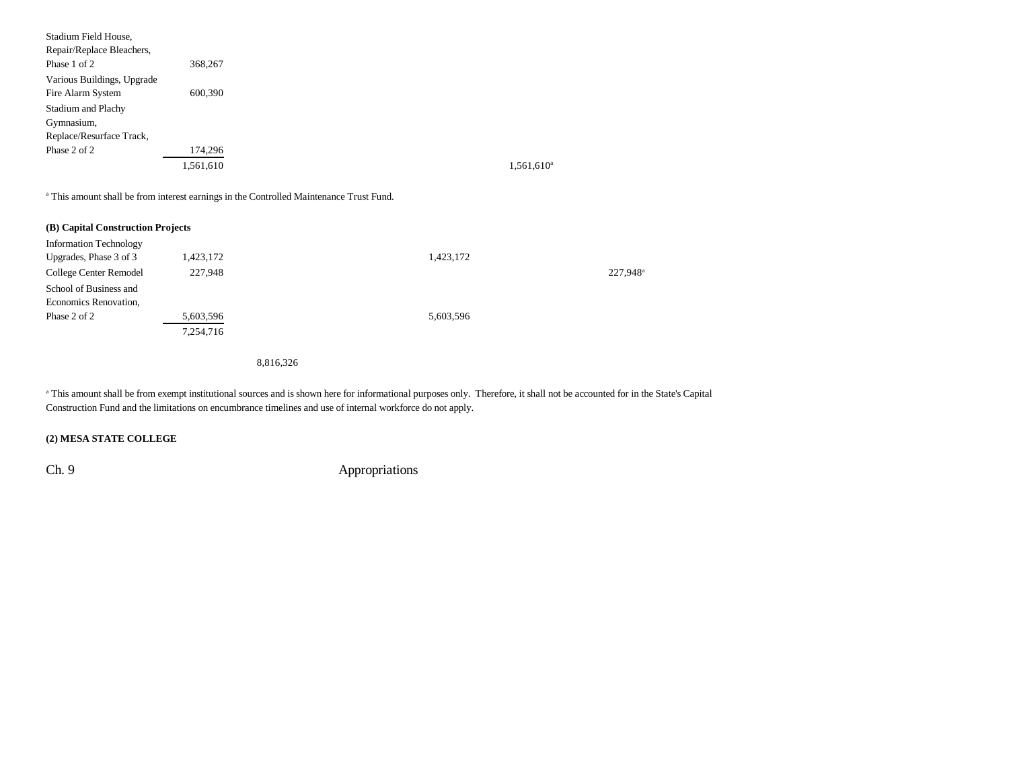| Stadium Field House,                                         |           |                          |
|--------------------------------------------------------------|-----------|--------------------------|
| Repair/Replace Bleachers,                                    |           |                          |
| Phase 1 of 2                                                 | 368,267   |                          |
| Various Buildings, Upgrade<br>Fire Alarm System              | 600,390   |                          |
| Stadium and Plachy<br>Gymnasium,<br>Replace/Resurface Track, |           |                          |
| Phase 2 of 2                                                 | 174,296   |                          |
|                                                              | 1,561,610 | $1,561,610$ <sup>a</sup> |

a This amount shall be from interest earnings in the Controlled Maintenance Trust Fund.

| (B) Capital Construction Projects |           |           |         |
|-----------------------------------|-----------|-----------|---------|
| <b>Information Technology</b>     |           |           |         |
| Upgrades, Phase 3 of 3            | 1,423,172 | 1,423,172 |         |
| College Center Remodel            | 227,948   |           | 227,948 |
| School of Business and            |           |           |         |
| Economics Renovation,             |           |           |         |
| Phase 2 of 2                      | 5,603,596 | 5,603,596 |         |
|                                   | 7,254,716 |           |         |

8,816,326

<sup>a</sup> This amount shall be from exempt institutional sources and is shown here for informational purposes only. Therefore, it shall not be accounted for in the State's Capital Construction Fund and the limitations on encumbrance timelines and use of internal workforce do not apply.

### **(2) MESA STATE COLLEGE**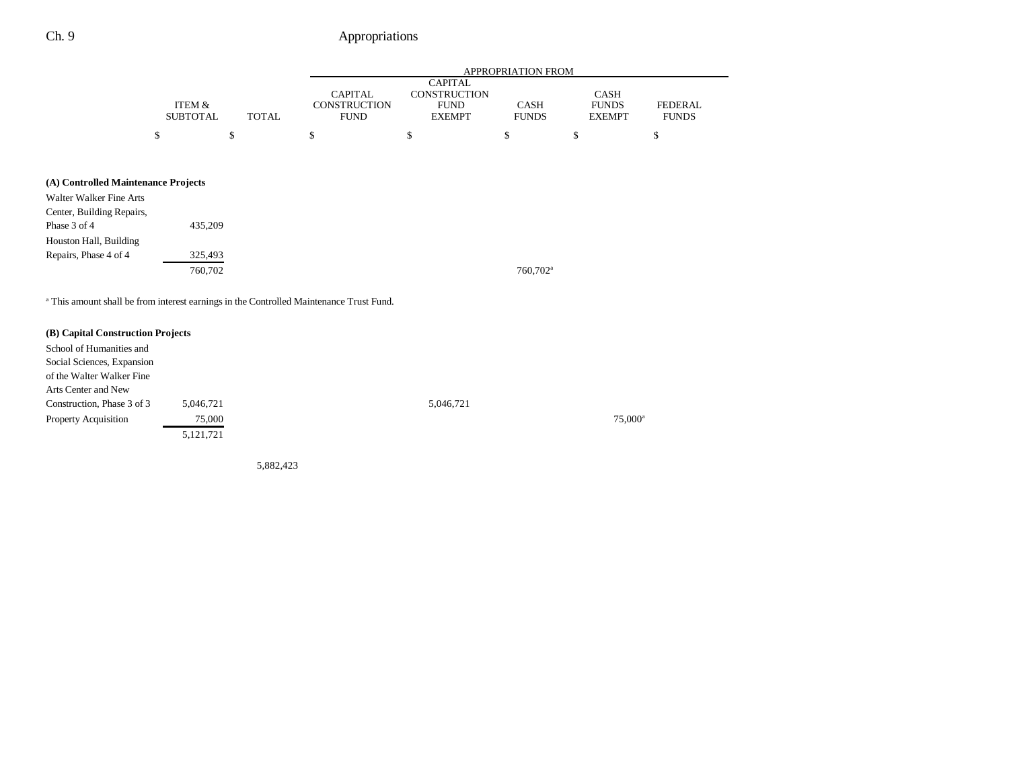|                                                                                                                                       |                           |              |                                                      |                                                                       | <b>APPROPRIATION FROM</b>   |                                              |                                |
|---------------------------------------------------------------------------------------------------------------------------------------|---------------------------|--------------|------------------------------------------------------|-----------------------------------------------------------------------|-----------------------------|----------------------------------------------|--------------------------------|
|                                                                                                                                       | ITEM &<br><b>SUBTOTAL</b> | <b>TOTAL</b> | <b>CAPITAL</b><br><b>CONSTRUCTION</b><br><b>FUND</b> | <b>CAPITAL</b><br><b>CONSTRUCTION</b><br><b>FUND</b><br><b>EXEMPT</b> | <b>CASH</b><br><b>FUNDS</b> | <b>CASH</b><br><b>FUNDS</b><br><b>EXEMPT</b> | <b>FEDERAL</b><br><b>FUNDS</b> |
|                                                                                                                                       | \$                        | \$           | \$                                                   | \$                                                                    | \$                          | \$                                           | \$                             |
| (A) Controlled Maintenance Projects<br>Walter Walker Fine Arts<br>Center, Building Repairs,<br>Phase 3 of 4<br>Houston Hall, Building | 435,209                   |              |                                                      |                                                                       |                             |                                              |                                |
| Repairs, Phase 4 of 4                                                                                                                 | 325,493<br>760,702        |              |                                                      |                                                                       | 760,702 <sup>a</sup>        |                                              |                                |

<sup>a</sup> This amount shall be from interest earnings in the Controlled Maintenance Trust Fund.

| (B) Capital Construction Projects |             |           |                     |
|-----------------------------------|-------------|-----------|---------------------|
|                                   |             |           |                     |
| School of Humanities and          |             |           |                     |
| Social Sciences, Expansion        |             |           |                     |
| of the Walter Walker Fine         |             |           |                     |
| Arts Center and New               |             |           |                     |
| Construction, Phase 3 of 3        | 5,046,721   | 5,046,721 |                     |
| <b>Property Acquisition</b>       | 75,000      |           | 75,000 <sup>a</sup> |
|                                   | 5, 121, 721 |           |                     |
|                                   |             |           |                     |

5,882,423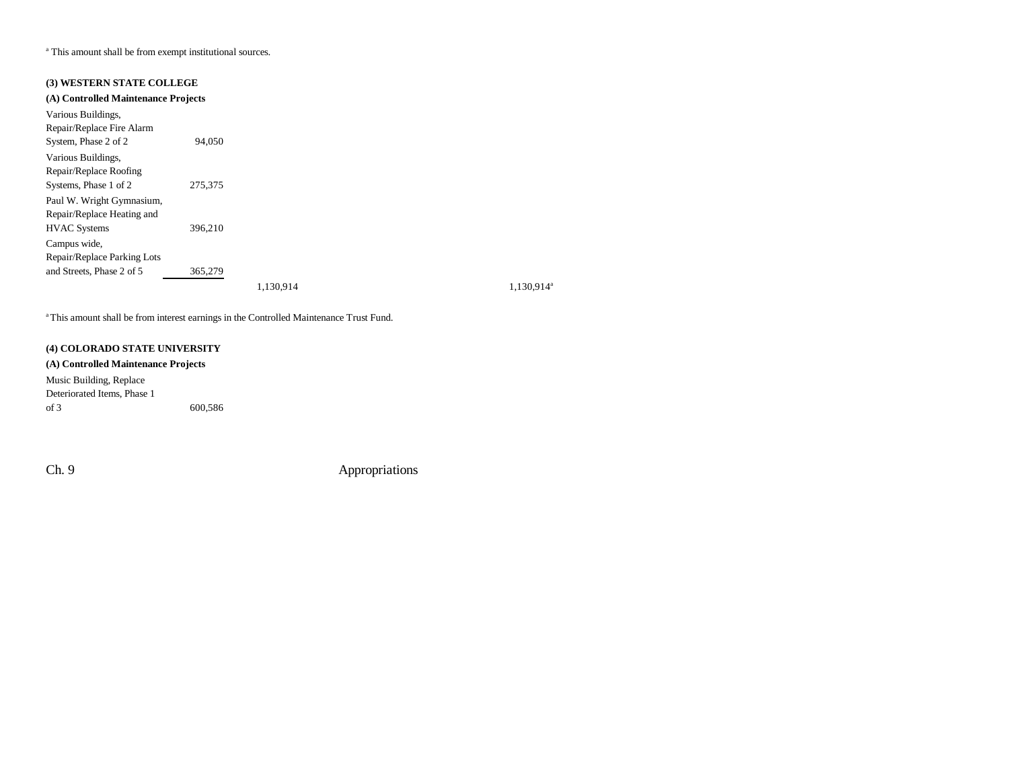a This amount shall be from exempt institutional sources.

### **(3) WESTERN STATE COLLEGE**

| (A) Controlled Maintenance Projects |         |           |                        |
|-------------------------------------|---------|-----------|------------------------|
| Various Buildings,                  |         |           |                        |
| Repair/Replace Fire Alarm           |         |           |                        |
| System, Phase 2 of 2                | 94,050  |           |                        |
| Various Buildings,                  |         |           |                        |
| Repair/Replace Roofing              |         |           |                        |
| Systems, Phase 1 of 2               | 275,375 |           |                        |
| Paul W. Wright Gymnasium,           |         |           |                        |
| Repair/Replace Heating and          |         |           |                        |
| <b>HVAC</b> Systems                 | 396,210 |           |                        |
| Campus wide.                        |         |           |                        |
| Repair/Replace Parking Lots         |         |           |                        |
| and Streets, Phase 2 of 5           | 365,279 |           |                        |
|                                     |         | 1.130.914 | 1,130,914 <sup>a</sup> |

<sup>a</sup> This amount shall be from interest earnings in the Controlled Maintenance Trust Fund.

#### **(4) COLORADO STATE UNIVERSITY**

#### **(A) Controlled Maintenance Projects**

Music Building, Replace Deteriorated Items, Phase 1 of 3 600,586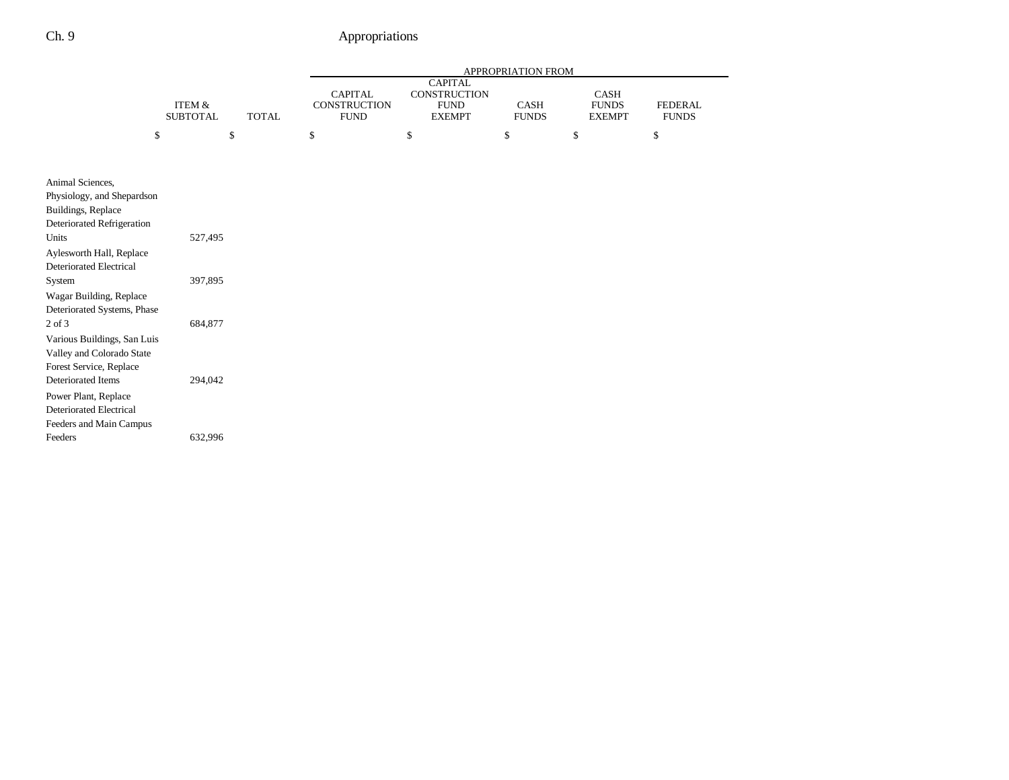|                                                                                                         | APPROPRIATION FROM                   |              |                                               |                                                                |                             |                                       |                                |
|---------------------------------------------------------------------------------------------------------|--------------------------------------|--------------|-----------------------------------------------|----------------------------------------------------------------|-----------------------------|---------------------------------------|--------------------------------|
|                                                                                                         | <b>ITEM &amp;</b><br><b>SUBTOTAL</b> | <b>TOTAL</b> | <b>CAPITAL</b><br>CONSTRUCTION<br><b>FUND</b> | <b>CAPITAL</b><br>CONSTRUCTION<br><b>FUND</b><br><b>EXEMPT</b> | <b>CASH</b><br><b>FUNDS</b> | CASH<br><b>FUNDS</b><br><b>EXEMPT</b> | <b>FEDERAL</b><br><b>FUNDS</b> |
| \$                                                                                                      |                                      | \$           | \$                                            | \$                                                             | \$                          | \$                                    | \$                             |
|                                                                                                         |                                      |              |                                               |                                                                |                             |                                       |                                |
| Animal Sciences,<br>Physiology, and Shepardson<br>Buildings, Replace<br>Deteriorated Refrigeration      |                                      |              |                                               |                                                                |                             |                                       |                                |
| Units                                                                                                   | 527,495                              |              |                                               |                                                                |                             |                                       |                                |
| Aylesworth Hall, Replace<br><b>Deteriorated Electrical</b><br>System                                    | 397,895                              |              |                                               |                                                                |                             |                                       |                                |
| Wagar Building, Replace<br>Deteriorated Systems, Phase                                                  |                                      |              |                                               |                                                                |                             |                                       |                                |
| $2$ of $3$<br>Various Buildings, San Luis<br>Valley and Colorado State<br>Forest Service, Replace       | 684,877                              |              |                                               |                                                                |                             |                                       |                                |
| Deteriorated Items<br>Power Plant, Replace<br><b>Deteriorated Electrical</b><br>Feeders and Main Campus | 294,042                              |              |                                               |                                                                |                             |                                       |                                |
| Feeders                                                                                                 | 632,996                              |              |                                               |                                                                |                             |                                       |                                |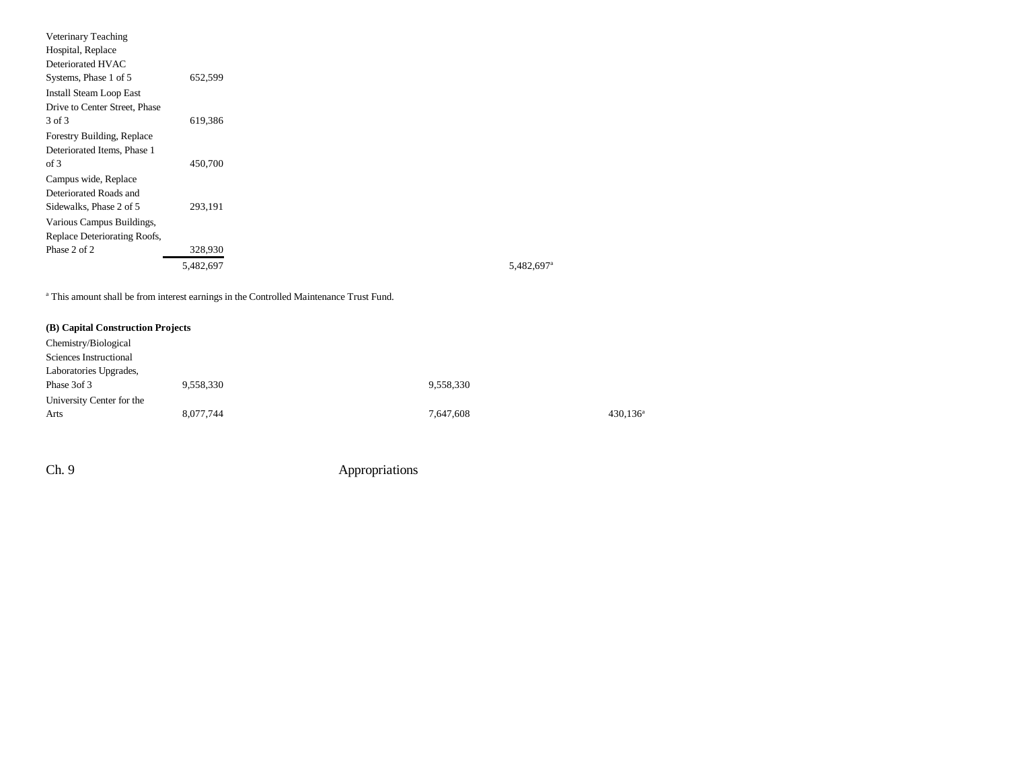| Veterinary Teaching            |           |  |
|--------------------------------|-----------|--|
| Hospital, Replace              |           |  |
| Deteriorated HVAC              |           |  |
| Systems, Phase 1 of 5          | 652,599   |  |
| <b>Install Steam Loop East</b> |           |  |
| Drive to Center Street, Phase  |           |  |
| 3 of 3                         | 619,386   |  |
| Forestry Building, Replace     |           |  |
| Deteriorated Items, Phase 1    |           |  |
| of 3                           | 450,700   |  |
| Campus wide, Replace           |           |  |
| Deteriorated Roads and         |           |  |
| Sidewalks, Phase 2 of 5        | 293,191   |  |
| Various Campus Buildings,      |           |  |
| Replace Deteriorating Roofs,   |           |  |
| Phase 2 of 2                   | 328,930   |  |
|                                | 5,482,697 |  |
|                                |           |  |

<sup>a</sup> This amount shall be from interest earnings in the Controlled Maintenance Trust Fund.

| (B) Capital Construction Projects |           |           |                      |
|-----------------------------------|-----------|-----------|----------------------|
| Chemistry/Biological              |           |           |                      |
| Sciences Instructional            |           |           |                      |
| Laboratories Upgrades,            |           |           |                      |
| Phase 3of 3                       | 9,558,330 | 9,558,330 |                      |
| University Center for the         |           |           |                      |
| Arts                              | 8,077,744 | 7,647,608 | 430,136 <sup>a</sup> |
|                                   |           |           |                      |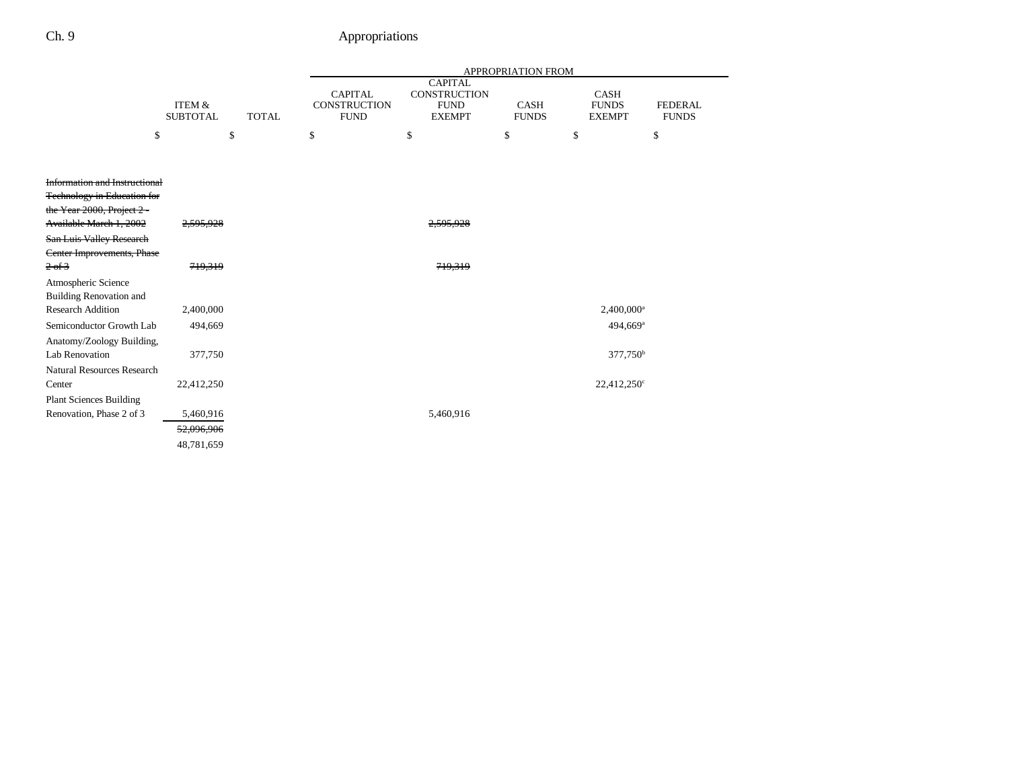|                                                                                                       |                                      |              | APPROPRIATION FROM                                   |                                                                |                             |                                              |                                |
|-------------------------------------------------------------------------------------------------------|--------------------------------------|--------------|------------------------------------------------------|----------------------------------------------------------------|-----------------------------|----------------------------------------------|--------------------------------|
|                                                                                                       | <b>ITEM &amp;</b><br><b>SUBTOTAL</b> | <b>TOTAL</b> | <b>CAPITAL</b><br><b>CONSTRUCTION</b><br><b>FUND</b> | <b>CAPITAL</b><br>CONSTRUCTION<br><b>FUND</b><br><b>EXEMPT</b> | <b>CASH</b><br><b>FUNDS</b> | <b>CASH</b><br><b>FUNDS</b><br><b>EXEMPT</b> | <b>FEDERAL</b><br><b>FUNDS</b> |
| \$                                                                                                    |                                      | \$           | \$                                                   | \$                                                             | \$                          | \$                                           | \$                             |
|                                                                                                       |                                      |              |                                                      |                                                                |                             |                                              |                                |
| Information and Instructional<br><b>Technology in Education for</b><br>the Year $2000$ , Project $2-$ |                                      |              |                                                      |                                                                |                             |                                              |                                |
| Available March 1, 2002                                                                               | <del>2.595.928</del>                 |              |                                                      | <del>2.595.92</del> 8                                          |                             |                                              |                                |
| <b>San Luis Valley Research</b><br>Center Improvements, Phase                                         |                                      |              |                                                      |                                                                |                             |                                              |                                |
| 2 of 3                                                                                                | 719,319                              |              |                                                      | 719,319                                                        |                             |                                              |                                |
| Atmospheric Science<br><b>Building Renovation and</b>                                                 |                                      |              |                                                      |                                                                |                             |                                              |                                |
| <b>Research Addition</b>                                                                              | 2,400,000                            |              |                                                      |                                                                |                             | 2,400,000 <sup>a</sup>                       |                                |
| Semiconductor Growth Lab<br>Anatomy/Zoology Building,                                                 | 494,669                              |              |                                                      |                                                                |                             | 494,669 <sup>a</sup>                         |                                |
| <b>Lab Renovation</b>                                                                                 | 377,750                              |              |                                                      |                                                                |                             | $377,750^{\rm b}$                            |                                |
| <b>Natural Resources Research</b><br>Center<br><b>Plant Sciences Building</b>                         | 22,412,250                           |              |                                                      |                                                                |                             | 22,412,250°                                  |                                |
| Renovation, Phase 2 of 3                                                                              | 5,460,916                            |              |                                                      | 5,460,916                                                      |                             |                                              |                                |
|                                                                                                       | 52,096,906                           |              |                                                      |                                                                |                             |                                              |                                |
|                                                                                                       | 48,781,659                           |              |                                                      |                                                                |                             |                                              |                                |
|                                                                                                       |                                      |              |                                                      |                                                                |                             |                                              |                                |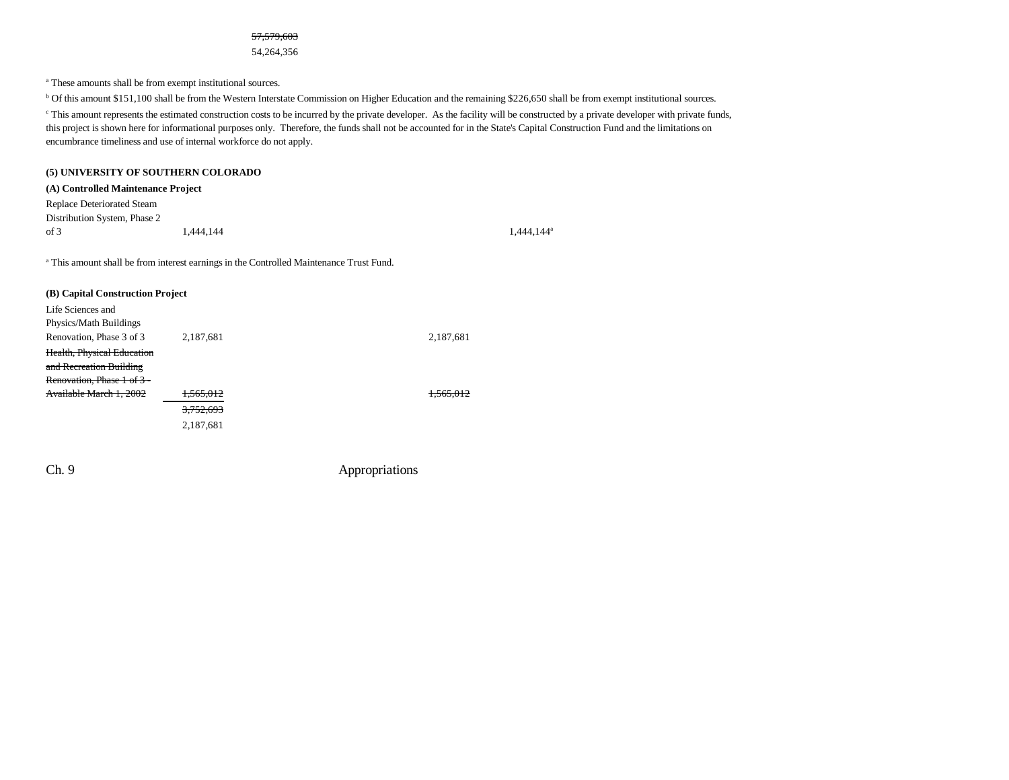57,579,603

54,264,356

a These amounts shall be from exempt institutional sources.

<sup>b</sup> Of this amount \$151,100 shall be from the Western Interstate Commission on Higher Education and the remaining \$226,650 shall be from exempt institutional sources. <sup>c</sup> This amount represents the estimated construction costs to be incurred by the private developer. As the facility will be constructed by a private developer with private funds, this project is shown here for informational purposes only. Therefore, the funds shall not be accounted for in the State's Capital Construction Fund and the limitations on encumbrance timeliness and use of internal workforce do not apply.

#### **(5) UNIVERSITY OF SOUTHERN COLORADO**

#### **(A) Controlled Maintenance Project**

Replace Deteriorated Steam Distribution System, Phase 2 of 3  $1,444,144$   $1,444,144$ 

<sup>a</sup> This amount shall be from interest earnings in the Controlled Maintenance Trust Fund.

| (B) Capital Construction Project |                      |           |  |  |  |  |  |
|----------------------------------|----------------------|-----------|--|--|--|--|--|
| Life Sciences and                |                      |           |  |  |  |  |  |
| Physics/Math Buildings           |                      |           |  |  |  |  |  |
| Renovation, Phase 3 of 3         | 2,187,681            | 2,187,681 |  |  |  |  |  |
| Health, Physical Education       |                      |           |  |  |  |  |  |
| and Recreation Building          |                      |           |  |  |  |  |  |
| Renovation, Phase 1 of 3 -       |                      |           |  |  |  |  |  |
| Available March 1, 2002          | 565012<br>1,000,012  |           |  |  |  |  |  |
|                                  | <del>3.752.693</del> |           |  |  |  |  |  |
|                                  | 2,187,681            |           |  |  |  |  |  |
|                                  |                      |           |  |  |  |  |  |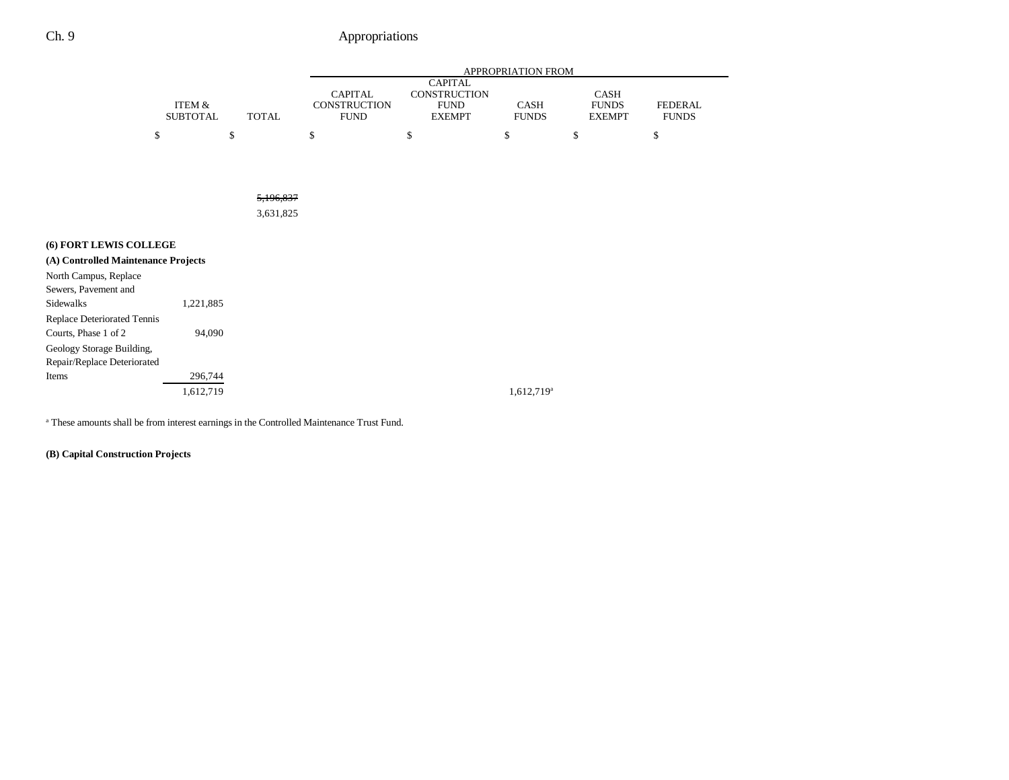|                                     |                           |              |                                               |                                                                | APPROPRIATION FROM     |                                       |                                |
|-------------------------------------|---------------------------|--------------|-----------------------------------------------|----------------------------------------------------------------|------------------------|---------------------------------------|--------------------------------|
|                                     | ITEM &<br><b>SUBTOTAL</b> | <b>TOTAL</b> | <b>CAPITAL</b><br>CONSTRUCTION<br><b>FUND</b> | <b>CAPITAL</b><br>CONSTRUCTION<br><b>FUND</b><br><b>EXEMPT</b> | CASH<br><b>FUNDS</b>   | CASH<br><b>FUNDS</b><br><b>EXEMPT</b> | <b>FEDERAL</b><br><b>FUNDS</b> |
|                                     | \$                        | \$           | \$                                            | \$                                                             | \$                     | \$                                    | \$                             |
|                                     |                           |              |                                               |                                                                |                        |                                       |                                |
|                                     |                           |              |                                               |                                                                |                        |                                       |                                |
|                                     |                           | 5,196,837    |                                               |                                                                |                        |                                       |                                |
|                                     |                           | 3,631,825    |                                               |                                                                |                        |                                       |                                |
|                                     |                           |              |                                               |                                                                |                        |                                       |                                |
| (6) FORT LEWIS COLLEGE              |                           |              |                                               |                                                                |                        |                                       |                                |
| (A) Controlled Maintenance Projects |                           |              |                                               |                                                                |                        |                                       |                                |
| North Campus, Replace               |                           |              |                                               |                                                                |                        |                                       |                                |
| Sewers, Pavement and                |                           |              |                                               |                                                                |                        |                                       |                                |
| Sidewalks                           | 1,221,885                 |              |                                               |                                                                |                        |                                       |                                |
| <b>Replace Deteriorated Tennis</b>  |                           |              |                                               |                                                                |                        |                                       |                                |
| Courts, Phase 1 of 2                | 94,090                    |              |                                               |                                                                |                        |                                       |                                |
| Geology Storage Building,           |                           |              |                                               |                                                                |                        |                                       |                                |
| Repair/Replace Deteriorated         |                           |              |                                               |                                                                |                        |                                       |                                |
| Items                               | 296,744                   |              |                                               |                                                                |                        |                                       |                                |
|                                     | 1,612,719                 |              |                                               |                                                                | 1,612,719 <sup>a</sup> |                                       |                                |
|                                     |                           |              |                                               |                                                                |                        |                                       |                                |

a These amounts shall be from interest earnings in the Controlled Maintenance Trust Fund.

**(B) Capital Construction Projects**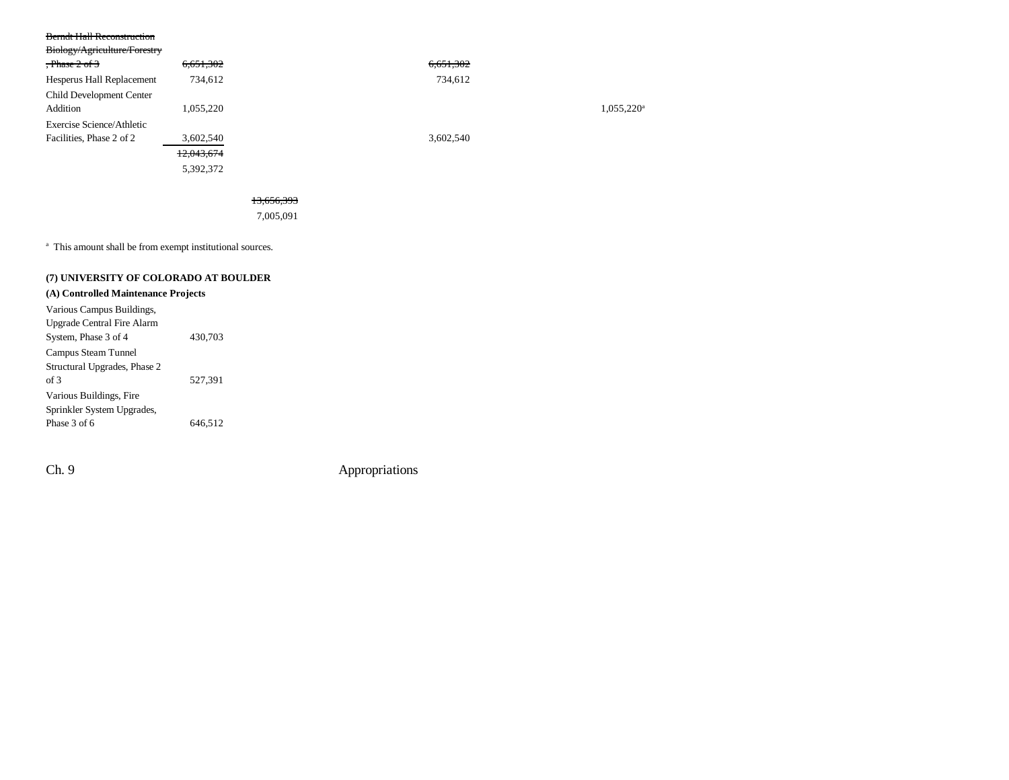| <b>Berndt Hall Reconstruction</b> |            |           |                        |
|-----------------------------------|------------|-----------|------------------------|
| Biology/Agriculture/Forestry      |            |           |                        |
| $.$ Phase $2$ of $3$              | 6,651,302  | 6,651,302 |                        |
| Hesperus Hall Replacement         | 734,612    | 734,612   |                        |
| Child Development Center          |            |           |                        |
| Addition                          | 1,055,220  |           | 1,055,220 <sup>a</sup> |
| Exercise Science/Athletic         |            |           |                        |
| Facilities, Phase 2 of 2          | 3,602,540  | 3,602,540 |                        |
|                                   | 12,043,674 |           |                        |
|                                   | 5,392,372  |           |                        |
|                                   |            |           |                        |

13,656,393

7,005,091

<sup>a</sup> This amount shall be from exempt institutional sources.

#### **(7) UNIVERSITY OF COLORADO AT BOULDER**

### **(A) Controlled Maintenance Projects**

| Various Campus Buildings,    |         |
|------------------------------|---------|
| Upgrade Central Fire Alarm   |         |
| System, Phase 3 of 4         | 430,703 |
| Campus Steam Tunnel          |         |
| Structural Upgrades, Phase 2 |         |
| of 3                         | 527.391 |
| Various Buildings, Fire      |         |
| Sprinkler System Upgrades,   |         |
| Phase 3 of 6                 | 646,512 |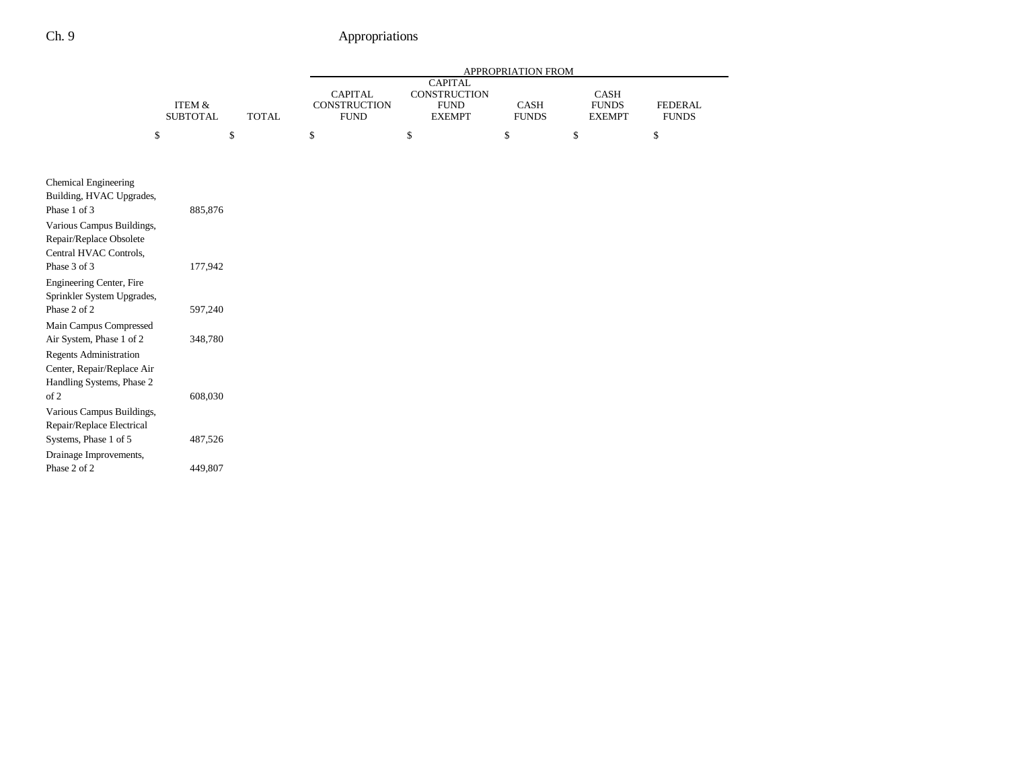|                                                                                                                      |                           |              |                                                      |                                                                | <b>APPROPRIATION FROM</b> |                                       |                                |
|----------------------------------------------------------------------------------------------------------------------|---------------------------|--------------|------------------------------------------------------|----------------------------------------------------------------|---------------------------|---------------------------------------|--------------------------------|
|                                                                                                                      | ITEM &<br><b>SUBTOTAL</b> | <b>TOTAL</b> | <b>CAPITAL</b><br><b>CONSTRUCTION</b><br><b>FUND</b> | <b>CAPITAL</b><br>CONSTRUCTION<br><b>FUND</b><br><b>EXEMPT</b> | CASH<br><b>FUNDS</b>      | CASH<br><b>FUNDS</b><br><b>EXEMPT</b> | <b>FEDERAL</b><br><b>FUNDS</b> |
| \$                                                                                                                   | \$                        |              | \$                                                   | \$                                                             | \$                        | \$                                    | $\mathbb{S}$                   |
|                                                                                                                      |                           |              |                                                      |                                                                |                           |                                       |                                |
| Chemical Engineering<br>Building, HVAC Upgrades,                                                                     |                           |              |                                                      |                                                                |                           |                                       |                                |
| Phase 1 of 3<br>Various Campus Buildings,<br>Repair/Replace Obsolete                                                 | 885,876                   |              |                                                      |                                                                |                           |                                       |                                |
| Central HVAC Controls,<br>Phase 3 of 3                                                                               | 177,942                   |              |                                                      |                                                                |                           |                                       |                                |
| Engineering Center, Fire<br>Sprinkler System Upgrades,                                                               |                           |              |                                                      |                                                                |                           |                                       |                                |
| Phase 2 of 2<br>Main Campus Compressed                                                                               | 597,240                   |              |                                                      |                                                                |                           |                                       |                                |
| Air System, Phase 1 of 2<br><b>Regents Administration</b><br>Center, Repair/Replace Air<br>Handling Systems, Phase 2 | 348,780                   |              |                                                      |                                                                |                           |                                       |                                |
| of 2<br>Various Campus Buildings,<br>Repair/Replace Electrical                                                       | 608,030                   |              |                                                      |                                                                |                           |                                       |                                |
| Systems, Phase 1 of 5<br>Drainage Improvements,                                                                      | 487,526                   |              |                                                      |                                                                |                           |                                       |                                |
| Phase 2 of 2                                                                                                         | 449,807                   |              |                                                      |                                                                |                           |                                       |                                |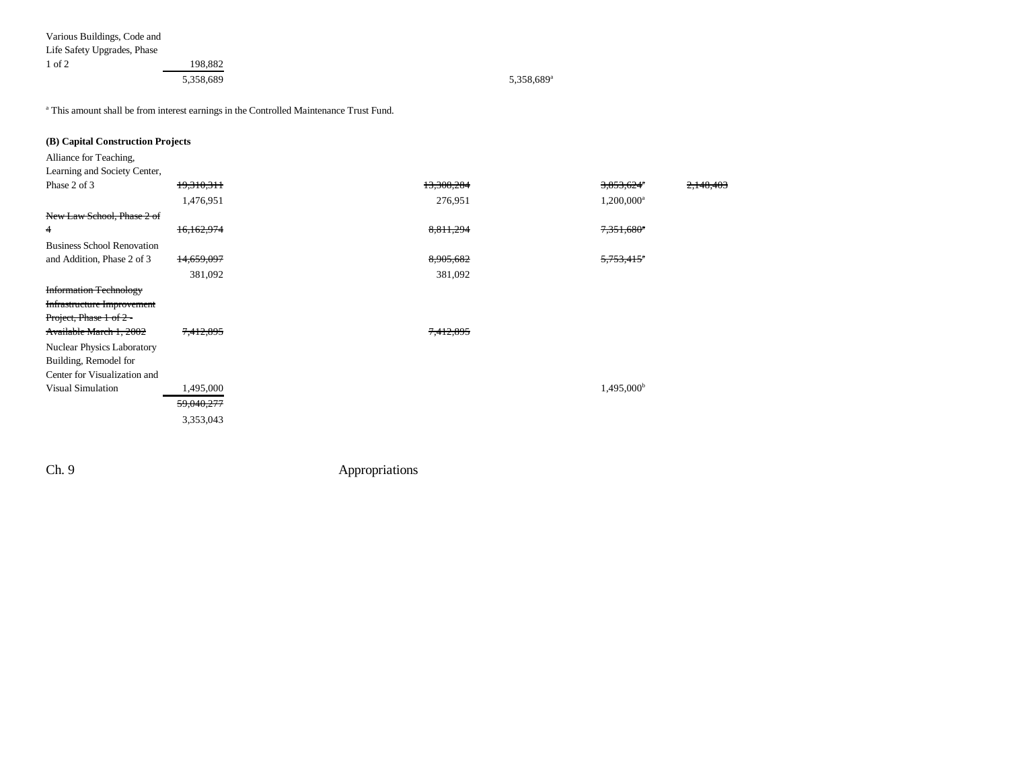| Various Buildings, Code and |           |                        |
|-----------------------------|-----------|------------------------|
| Life Safety Upgrades, Phase |           |                        |
| $1$ of $2$                  | 198,882   |                        |
|                             | 5,358,689 | 5,358,689 <sup>a</sup> |
|                             |           |                        |

a This amount shall be from interest earnings in the Controlled Maintenance Trust Fund.

| (B) Capital Construction Projects |            |            |                        |           |
|-----------------------------------|------------|------------|------------------------|-----------|
| Alliance for Teaching,            |            |            |                        |           |
| Learning and Society Center,      |            |            |                        |           |
| Phase 2 of 3                      | 19,310,311 | 13,308,284 | 3,853,624 <sup>a</sup> | 2,148,403 |
|                                   | 1,476,951  | 276,951    | 1,200,000 <sup>a</sup> |           |
| New Law School, Phase 2 of        |            |            |                        |           |
| 4                                 | 16,162,974 | 8,811,294  | 7,351,680 <sup>a</sup> |           |
| <b>Business School Renovation</b> |            |            |                        |           |
| and Addition, Phase 2 of 3        | 14,659,097 | 8,905,682  | 5,753,415 <sup>a</sup> |           |
|                                   | 381,092    | 381,092    |                        |           |
| <b>Information Technology</b>     |            |            |                        |           |
| Infrastructure Improvement        |            |            |                        |           |
| Project, Phase 1 of 2 -           |            |            |                        |           |
| Available March 1, 2002           | 7,412,895  | 7,412,895  |                        |           |
| <b>Nuclear Physics Laboratory</b> |            |            |                        |           |
| Building, Remodel for             |            |            |                        |           |
| Center for Visualization and      |            |            |                        |           |
| <b>Visual Simulation</b>          | 1,495,000  |            | 1,495,000 <sup>b</sup> |           |
|                                   | 59,040,277 |            |                        |           |
|                                   | 3,353,043  |            |                        |           |
|                                   |            |            |                        |           |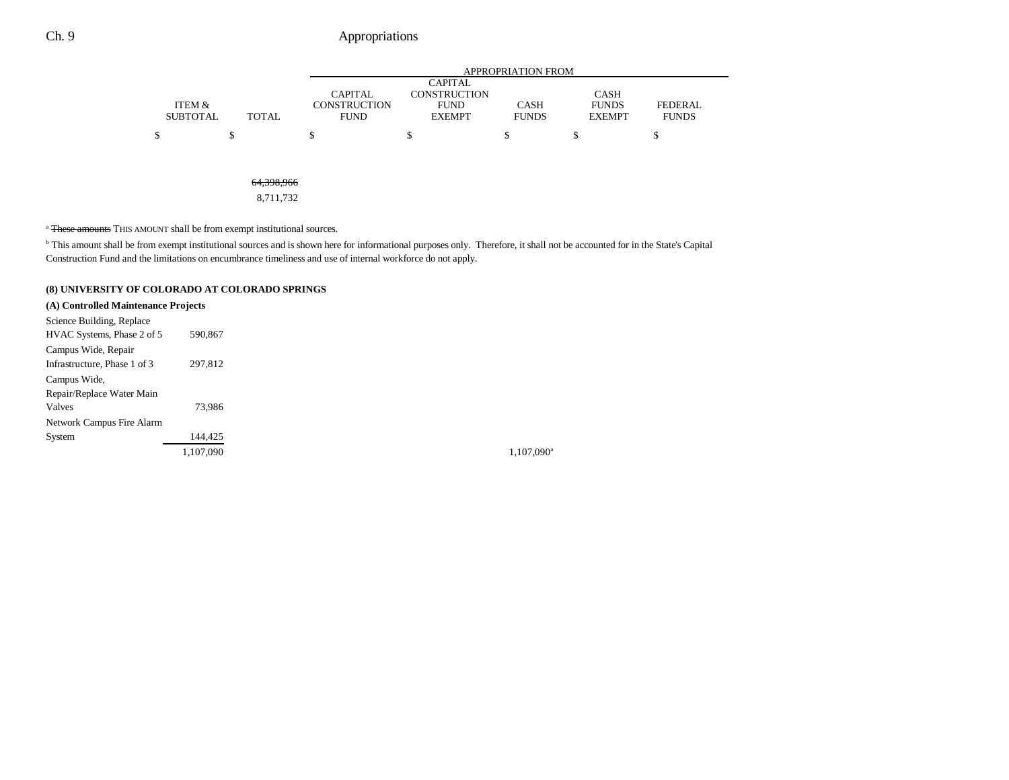|                 |                                          | APPROPRIATION FROM                    |                                    |              |                             |                |  |  |
|-----------------|------------------------------------------|---------------------------------------|------------------------------------|--------------|-----------------------------|----------------|--|--|
|                 |                                          |                                       | <b>CAPITAL</b>                     |              |                             |                |  |  |
| ITEM &          |                                          | <b>CAPITAL</b><br><b>CONSTRUCTION</b> | <b>CONSTRUCTION</b><br><b>FUND</b> | <b>CASH</b>  | <b>CASH</b><br><b>FUNDS</b> | <b>FEDERAL</b> |  |  |
| <b>SUBTOTAL</b> | <b>TOTAL</b>                             | <b>FUND</b>                           | <b>EXEMPT</b>                      | <b>FUNDS</b> | <b>EXEMPT</b>               | <b>FUNDS</b>   |  |  |
| \$              | \$                                       | ¢<br>Φ                                | \$                                 | \$           | S                           | \$             |  |  |
|                 |                                          |                                       |                                    |              |                             |                |  |  |
|                 |                                          |                                       |                                    |              |                             |                |  |  |
|                 | 61200066<br><del>01,<i>07</i>0,700</del> |                                       |                                    |              |                             |                |  |  |

8,711,732

<sup>a</sup> These amounts THIS AMOUNT shall be from exempt institutional sources.

b This amount shall be from exempt institutional sources and is shown here for informational purposes only. Therefore, it shall not be accounted for in the State's Capital Construction Fund and the limitations on encumbrance timeliness and use of internal workforce do not apply.

#### **(8) UNIVERSITY OF COLORADO AT COLORADO SPRINGS**

#### **(A) Controlled Maintenance Projects**

| Science Building, Replace    |           |  |  |
|------------------------------|-----------|--|--|
| HVAC Systems, Phase 2 of 5   | 590,867   |  |  |
| Campus Wide, Repair          |           |  |  |
| Infrastructure, Phase 1 of 3 | 297,812   |  |  |
| Campus Wide.                 |           |  |  |
| Repair/Replace Water Main    |           |  |  |
| Valves                       | 73.986    |  |  |
| Network Campus Fire Alarm    |           |  |  |
| System                       | 144.425   |  |  |
|                              | 1,107,090 |  |  |

1,107,090<sup>a</sup>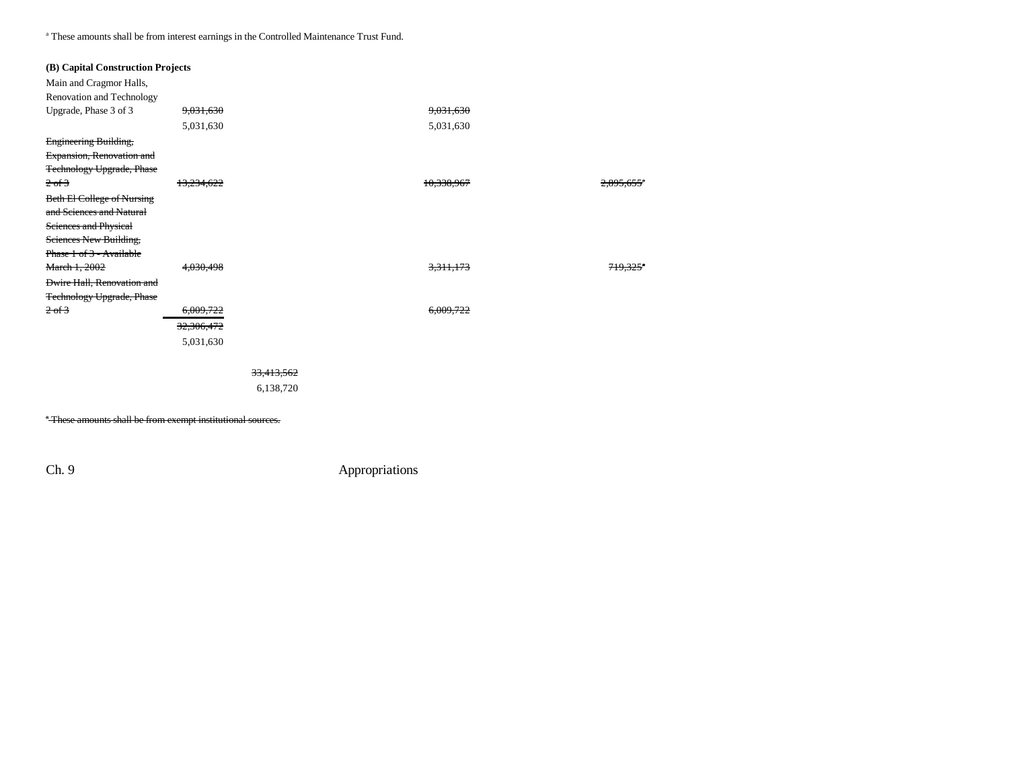a These amounts shall be from interest earnings in the Controlled Maintenance Trust Fund.

| (B) Capital Construction Projects |            |            |                      |                        |
|-----------------------------------|------------|------------|----------------------|------------------------|
| Main and Cragmor Halls,           |            |            |                      |                        |
| Renovation and Technology         |            |            |                      |                        |
| Upgrade, Phase 3 of 3             | 9,031,630  |            | 9,031,630            |                        |
|                                   | 5,031,630  |            | 5,031,630            |                        |
| Engineering Building,             |            |            |                      |                        |
| Expansion, Renovation and         |            |            |                      |                        |
| <b>Technology Upgrade, Phase</b>  |            |            |                      |                        |
| $2 \text{ of } 3$                 | 13,234,622 |            | 10,338,967           | 2,895,655              |
| <b>Beth El College of Nursing</b> |            |            |                      |                        |
| and Sciences and Natural          |            |            |                      |                        |
| Sciences and Physical             |            |            |                      |                        |
| Sciences New Building,            |            |            |                      |                        |
| Phase 1 of 3 - Available          |            |            |                      |                        |
| March 1, 2002                     | 4,030,498  |            | <del>3,311,173</del> | $719.325$ <sup>*</sup> |
| <b>Dwire Hall, Renovation and</b> |            |            |                      |                        |
| <b>Technology Upgrade, Phase</b>  |            |            |                      |                        |
| 2 of 3                            | 6,009,722  |            | 6,009,722            |                        |
|                                   | 32,306,472 |            |                      |                        |
|                                   | 5,031,630  |            |                      |                        |
|                                   |            |            |                      |                        |
|                                   |            | 33,413,562 |                      |                        |
|                                   |            | 6,138,720  |                      |                        |
|                                   |            |            |                      |                        |
| .<br>$\sim$                       |            |            |                      |                        |

<sup>a</sup> These amounts shall be from exempt institutional sources.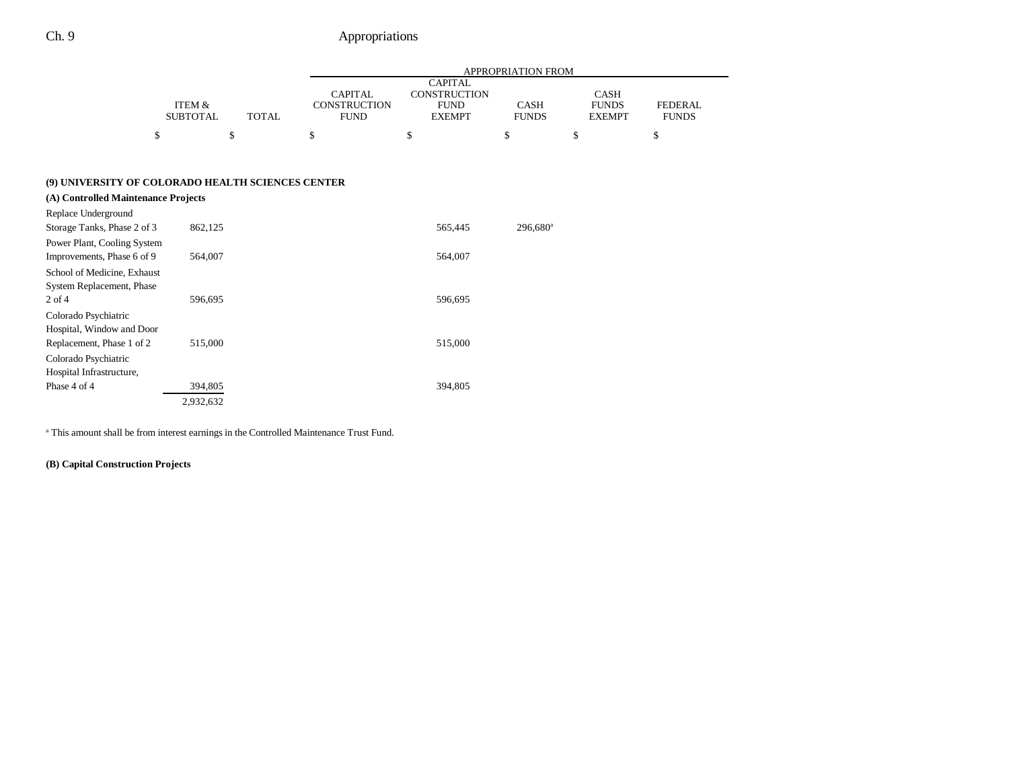|                                                           |                           |              | <b>APPROPRIATION FROM</b>                            |                                                                       |                             |                                              |                                |  |
|-----------------------------------------------------------|---------------------------|--------------|------------------------------------------------------|-----------------------------------------------------------------------|-----------------------------|----------------------------------------------|--------------------------------|--|
|                                                           | ITEM &<br><b>SUBTOTAL</b> | <b>TOTAL</b> | <b>CAPITAL</b><br><b>CONSTRUCTION</b><br><b>FUND</b> | <b>CAPITAL</b><br><b>CONSTRUCTION</b><br><b>FUND</b><br><b>EXEMPT</b> | <b>CASH</b><br><b>FUNDS</b> | <b>CASH</b><br><b>FUNDS</b><br><b>EXEMPT</b> | <b>FEDERAL</b><br><b>FUNDS</b> |  |
| \$                                                        |                           | \$           | \$                                                   | \$                                                                    | \$                          | \$                                           | \$                             |  |
| (9) UNIVERSITY OF COLORADO HEALTH SCIENCES CENTER         |                           |              |                                                      |                                                                       |                             |                                              |                                |  |
| (A) Controlled Maintenance Projects                       |                           |              |                                                      |                                                                       |                             |                                              |                                |  |
| Replace Underground<br>Storage Tanks, Phase 2 of 3        | 862,125                   |              |                                                      | 565,445                                                               | $296,680$ <sup>a</sup>      |                                              |                                |  |
| Power Plant, Cooling System<br>Improvements, Phase 6 of 9 | 564,007                   |              |                                                      | 564,007                                                               |                             |                                              |                                |  |
| School of Medicine, Exhaust<br>System Replacement, Phase  |                           |              |                                                      |                                                                       |                             |                                              |                                |  |
| $2$ of $4$<br>Colorado Psychiatric                        | 596,695                   |              |                                                      | 596,695                                                               |                             |                                              |                                |  |
| Hospital, Window and Door<br>Replacement, Phase 1 of 2    | 515,000                   |              |                                                      | 515,000                                                               |                             |                                              |                                |  |
| Colorado Psychiatric<br>Hospital Infrastructure,          |                           |              |                                                      |                                                                       |                             |                                              |                                |  |
| Phase 4 of 4                                              | 394,805                   |              |                                                      | 394,805                                                               |                             |                                              |                                |  |
|                                                           | 2,932,632                 |              |                                                      |                                                                       |                             |                                              |                                |  |

a This amount shall be from interest earnings in the Controlled Maintenance Trust Fund.

### **(B) Capital Construction Projects**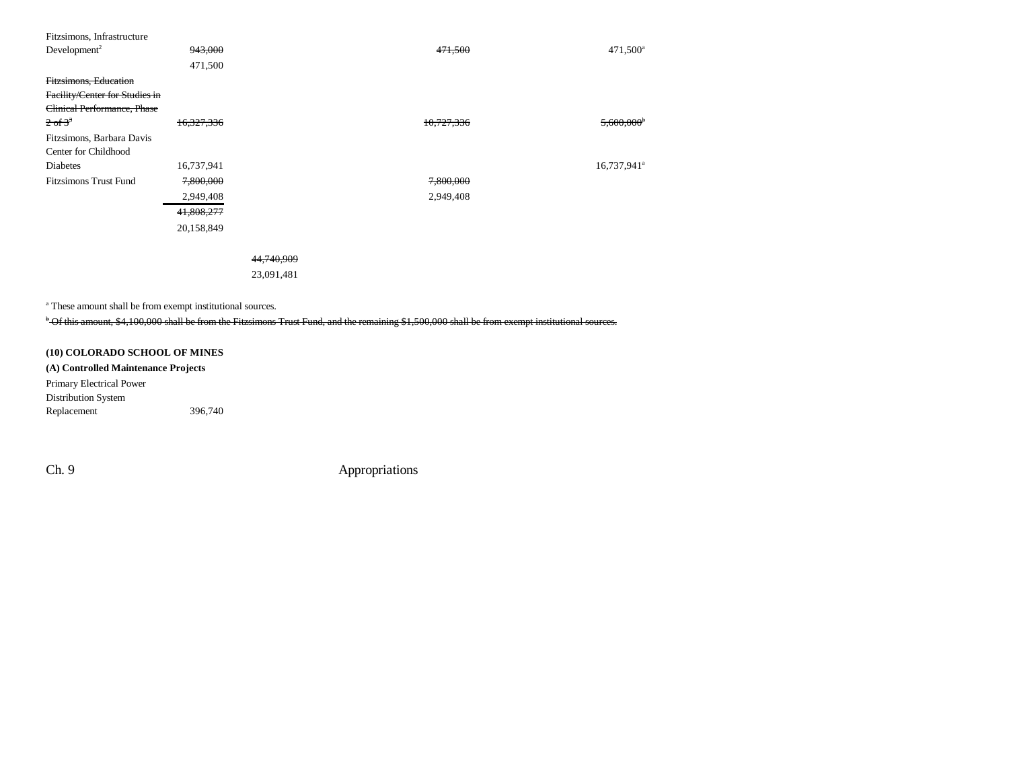| Fitzsimons, Infrastructure     |            |            |            |                         |
|--------------------------------|------------|------------|------------|-------------------------|
| Development <sup>2</sup>       | 943,000    |            | 471,500    | $471,500^{\circ}$       |
|                                | 471,500    |            |            |                         |
| Fitzsimons, Education          |            |            |            |                         |
| Facility/Center for Studies in |            |            |            |                         |
| Clinical Performance, Phase    |            |            |            |                         |
| $2 \text{ of } 3^3$            | 16,327,336 |            | 10,727,336 | 5,600,000               |
| Fitzsimons, Barbara Davis      |            |            |            |                         |
| Center for Childhood           |            |            |            |                         |
| Diabetes                       | 16,737,941 |            |            | 16,737,941 <sup>a</sup> |
| <b>Fitzsimons Trust Fund</b>   | 7,800,000  |            | 7,800,000  |                         |
|                                | 2,949,408  |            | 2,949,408  |                         |
|                                | 41,808,277 |            |            |                         |
|                                | 20,158,849 |            |            |                         |
|                                |            |            |            |                         |
|                                |            | 44,740,909 |            |                         |
|                                |            | 23,091,481 |            |                         |
|                                |            |            |            |                         |

a These amount shall be from exempt institutional sources.

<sup>b</sup> Of this amount, \$4,100,000 shall be from the Fitzsimons Trust Fund, and the remaining \$1,500,000 shall be from exempt institutional sources.

### **(10) COLORADO SCHOOL OF MINES**

**(A) Controlled Maintenance Projects** Primary Electrical Power Distribution System Replacement 396,740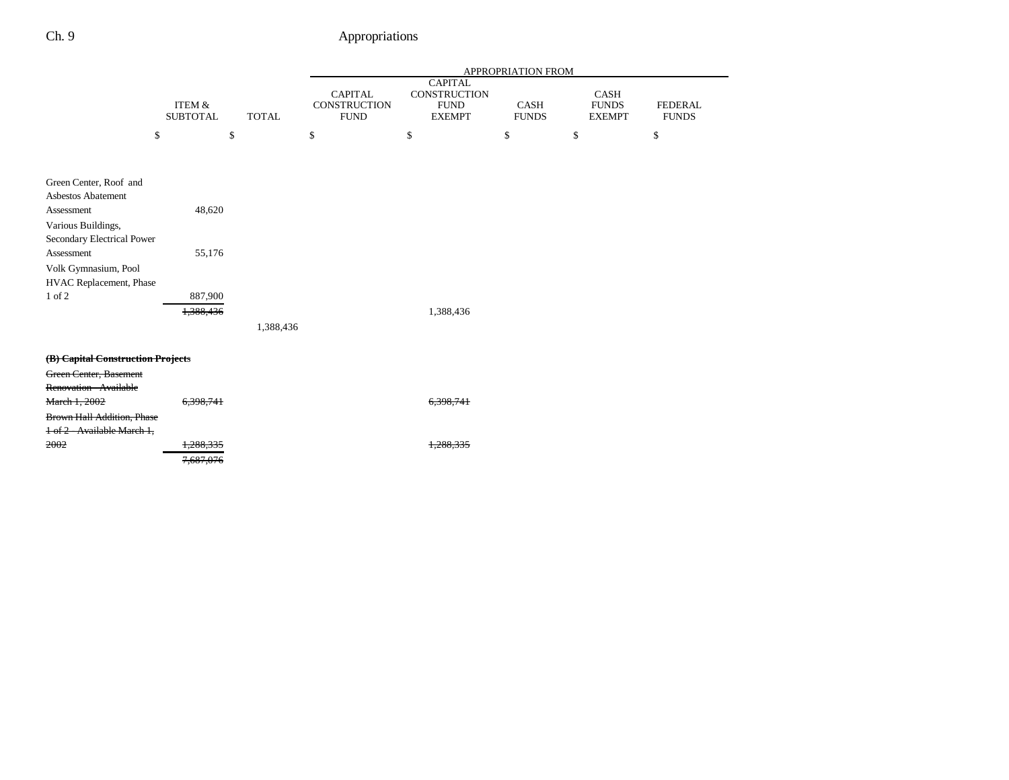|                                                  |                                      |              |                                                      |                                                                | APPROPRIATION FROM   |                                       |                                |
|--------------------------------------------------|--------------------------------------|--------------|------------------------------------------------------|----------------------------------------------------------------|----------------------|---------------------------------------|--------------------------------|
|                                                  | <b>ITEM &amp;</b><br><b>SUBTOTAL</b> | <b>TOTAL</b> | <b>CAPITAL</b><br><b>CONSTRUCTION</b><br><b>FUND</b> | <b>CAPITAL</b><br>CONSTRUCTION<br><b>FUND</b><br><b>EXEMPT</b> | CASH<br><b>FUNDS</b> | CASH<br><b>FUNDS</b><br><b>EXEMPT</b> | <b>FEDERAL</b><br><b>FUNDS</b> |
| \$                                               |                                      | \$           | \$                                                   | \$                                                             | \$                   | \$                                    | \$                             |
| Green Center, Roof and                           |                                      |              |                                                      |                                                                |                      |                                       |                                |
| Asbestos Abatement                               |                                      |              |                                                      |                                                                |                      |                                       |                                |
| Assessment                                       | 48,620                               |              |                                                      |                                                                |                      |                                       |                                |
| Various Buildings,                               |                                      |              |                                                      |                                                                |                      |                                       |                                |
| Secondary Electrical Power                       |                                      |              |                                                      |                                                                |                      |                                       |                                |
| Assessment                                       | 55,176                               |              |                                                      |                                                                |                      |                                       |                                |
| Volk Gymnasium, Pool                             |                                      |              |                                                      |                                                                |                      |                                       |                                |
| HVAC Replacement, Phase                          |                                      |              |                                                      |                                                                |                      |                                       |                                |
| 1 of 2                                           | 887,900                              |              |                                                      |                                                                |                      |                                       |                                |
|                                                  | 1,388,436                            |              |                                                      | 1,388,436                                                      |                      |                                       |                                |
|                                                  |                                      | 1,388,436    |                                                      |                                                                |                      |                                       |                                |
| (B) Capital Construction Projects                |                                      |              |                                                      |                                                                |                      |                                       |                                |
| Green Center, Basement<br>Renovation - Available |                                      |              |                                                      |                                                                |                      |                                       |                                |
| March 1, 2002                                    | 6,398,741                            |              |                                                      | 6,398,741                                                      |                      |                                       |                                |
| <b>Brown Hall Addition, Phase</b>                |                                      |              |                                                      |                                                                |                      |                                       |                                |
| 1 of 2 - Available March 1,                      |                                      |              |                                                      |                                                                |                      |                                       |                                |
| 2002                                             | 1,288,335                            |              |                                                      | 1,288,335                                                      |                      |                                       |                                |
|                                                  | 7,687,076                            |              |                                                      |                                                                |                      |                                       |                                |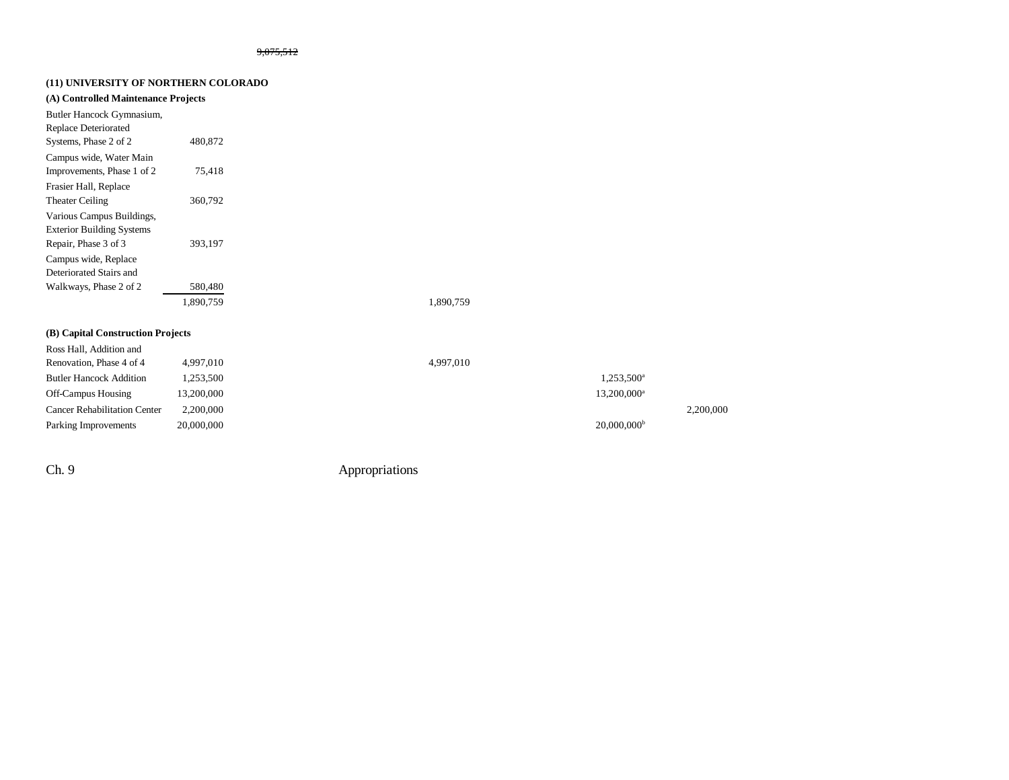### **(11) UNIVERSITY OF NORTHERN COLORADO**

|  |  |  | (A) Controlled Maintenance Projects |  |  |  |
|--|--|--|-------------------------------------|--|--|--|
|--|--|--|-------------------------------------|--|--|--|

| Butler Hancock Gymnasium,<br><b>Replace Deteriorated</b> |           |  |
|----------------------------------------------------------|-----------|--|
| Systems, Phase 2 of 2                                    | 480,872   |  |
| Campus wide, Water Main                                  |           |  |
| Improvements, Phase 1 of 2                               | 75,418    |  |
| Frasier Hall, Replace                                    |           |  |
| <b>Theater Ceiling</b>                                   | 360,792   |  |
| Various Campus Buildings,                                |           |  |
| <b>Exterior Building Systems</b>                         |           |  |
| Repair, Phase 3 of 3                                     | 393.197   |  |
| Campus wide, Replace                                     |           |  |
| Deteriorated Stairs and                                  |           |  |
| Walkways, Phase 2 of 2                                   | 580,480   |  |
|                                                          | 1.890.759 |  |

1,890,759 1,890,759

### **(B) Capital Construction Projects**

| Ross Hall, Addition and             |            |           |                           |           |
|-------------------------------------|------------|-----------|---------------------------|-----------|
| Renovation, Phase 4 of 4            | 4.997.010  | 4,997,010 |                           |           |
| <b>Butler Hancock Addition</b>      | .253.500   |           | 1,253,500 <sup>a</sup>    |           |
| <b>Off-Campus Housing</b>           | 13,200,000 |           | 13,200,000 <sup>a</sup>   |           |
| <b>Cancer Rehabilitation Center</b> | 2.200,000  |           |                           | 2,200,000 |
| Parking Improvements                | 20,000,000 |           | $20,000,000$ <sup>b</sup> |           |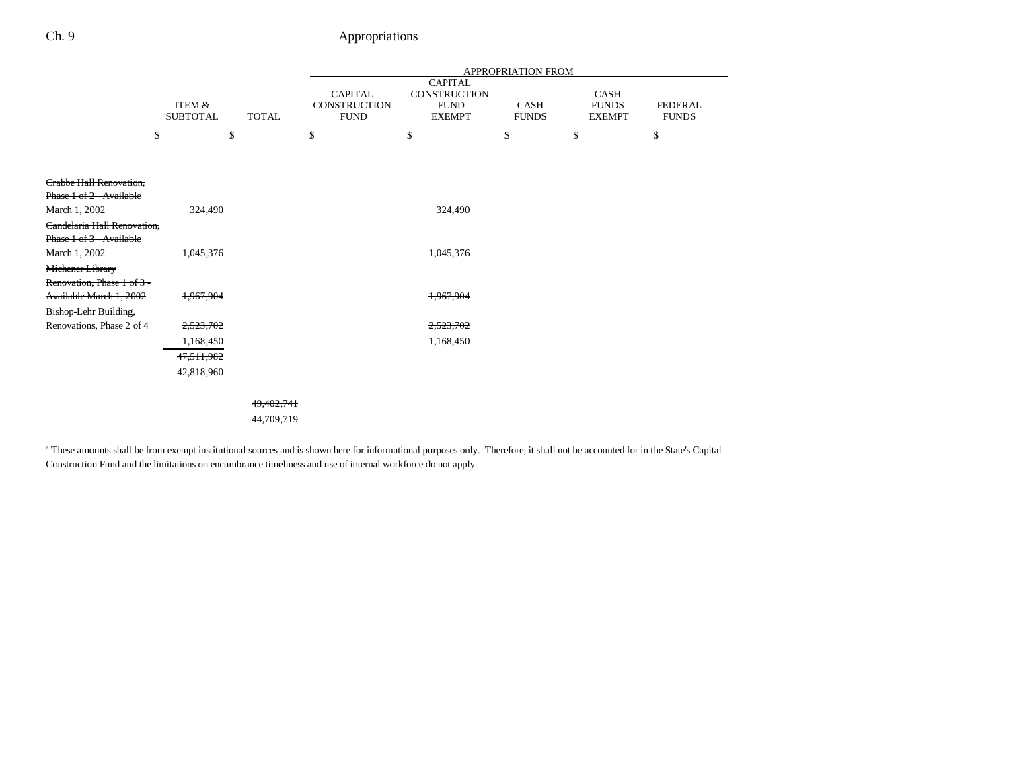|                                |                           |              |                                                      |                                                                       | APPROPRIATION FROM   |                                       |                                |
|--------------------------------|---------------------------|--------------|------------------------------------------------------|-----------------------------------------------------------------------|----------------------|---------------------------------------|--------------------------------|
|                                | ITEM &<br><b>SUBTOTAL</b> | <b>TOTAL</b> | <b>CAPITAL</b><br><b>CONSTRUCTION</b><br><b>FUND</b> | <b>CAPITAL</b><br><b>CONSTRUCTION</b><br><b>FUND</b><br><b>EXEMPT</b> | CASH<br><b>FUNDS</b> | CASH<br><b>FUNDS</b><br><b>EXEMPT</b> | <b>FEDERAL</b><br><b>FUNDS</b> |
|                                | \$                        | \$           | \$                                                   | \$                                                                    | \$                   | \$                                    | \$                             |
|                                |                           |              |                                                      |                                                                       |                      |                                       |                                |
| <b>Crabbe Hall Renovation,</b> |                           |              |                                                      |                                                                       |                      |                                       |                                |
| Phase 1 of 2 - Available       |                           |              |                                                      |                                                                       |                      |                                       |                                |
| March 1, 2002                  | 324,490                   |              |                                                      | 324,490                                                               |                      |                                       |                                |
| Candelaria Hall Renovation.    |                           |              |                                                      |                                                                       |                      |                                       |                                |
| Phase 1 of 3 - Available       |                           |              |                                                      |                                                                       |                      |                                       |                                |
| March 1, 2002                  | 1,045,376                 |              |                                                      | 1,045,376                                                             |                      |                                       |                                |
| Michener Library               |                           |              |                                                      |                                                                       |                      |                                       |                                |
| Renovation, Phase 1 of 3 -     |                           |              |                                                      |                                                                       |                      |                                       |                                |
| Available March 1, 2002        | 1,967,904                 |              |                                                      | 1,967,904                                                             |                      |                                       |                                |
| Bishop-Lehr Building,          |                           |              |                                                      |                                                                       |                      |                                       |                                |
| Renovations, Phase 2 of 4      | 2,523,702                 |              |                                                      | 2,523,702                                                             |                      |                                       |                                |
|                                | 1,168,450                 |              |                                                      | 1,168,450                                                             |                      |                                       |                                |
|                                | 47,511,982                |              |                                                      |                                                                       |                      |                                       |                                |
|                                | 42,818,960                |              |                                                      |                                                                       |                      |                                       |                                |
|                                |                           |              |                                                      |                                                                       |                      |                                       |                                |
|                                |                           | 49,402,741   |                                                      |                                                                       |                      |                                       |                                |
|                                |                           | 44,709,719   |                                                      |                                                                       |                      |                                       |                                |
|                                |                           |              |                                                      |                                                                       |                      |                                       |                                |

<sup>a</sup> These amounts shall be from exempt institutional sources and is shown here for informational purposes only. Therefore, it shall not be accounted for in the State's Capital Construction Fund and the limitations on encumbrance timeliness and use of internal workforce do not apply.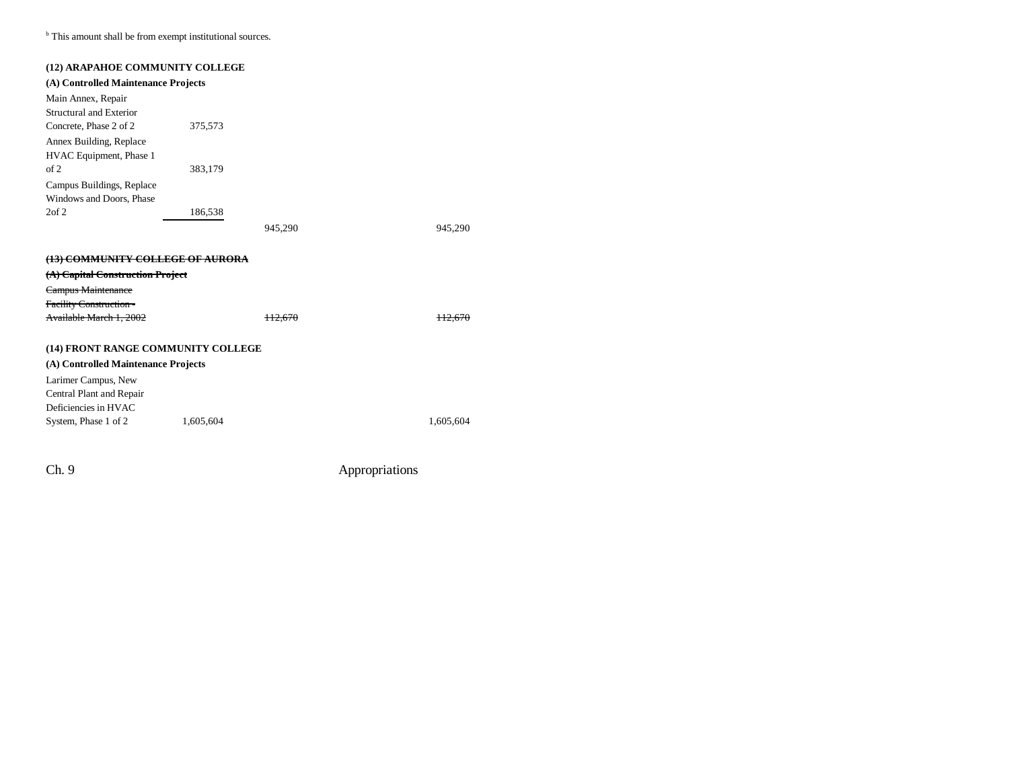**b** This amount shall be from exempt institutional sources.

| (12) ARAPAHOE COMMUNITY COLLEGE     |           |         |           |
|-------------------------------------|-----------|---------|-----------|
| (A) Controlled Maintenance Projects |           |         |           |
| Main Annex, Repair                  |           |         |           |
| Structural and Exterior             |           |         |           |
| Concrete, Phase 2 of 2              | 375,573   |         |           |
| Annex Building, Replace             |           |         |           |
| HVAC Equipment, Phase 1             |           |         |           |
| of 2                                | 383,179   |         |           |
| Campus Buildings, Replace           |           |         |           |
| Windows and Doors, Phase            |           |         |           |
| $2$ of $2$                          | 186,538   |         |           |
|                                     |           | 945,290 | 945,290   |
|                                     |           |         |           |
| (13) COMMUNITY COLLEGE OF AURORA    |           |         |           |
| (A) Capital Construction Project    |           |         |           |
|                                     |           |         |           |
| Campus Maintenance                  |           |         |           |
| <b>Facility Construction -</b>      |           |         |           |
| Available March 1, 2002             |           | H2.670  |           |
|                                     |           |         |           |
| (14) FRONT RANGE COMMUNITY COLLEGE  |           |         |           |
| (A) Controlled Maintenance Projects |           |         |           |
| Larimer Campus, New                 |           |         |           |
| Central Plant and Repair            |           |         |           |
| Deficiencies in HVAC                |           |         |           |
| System, Phase 1 of 2                | 1,605,604 |         | 1,605,604 |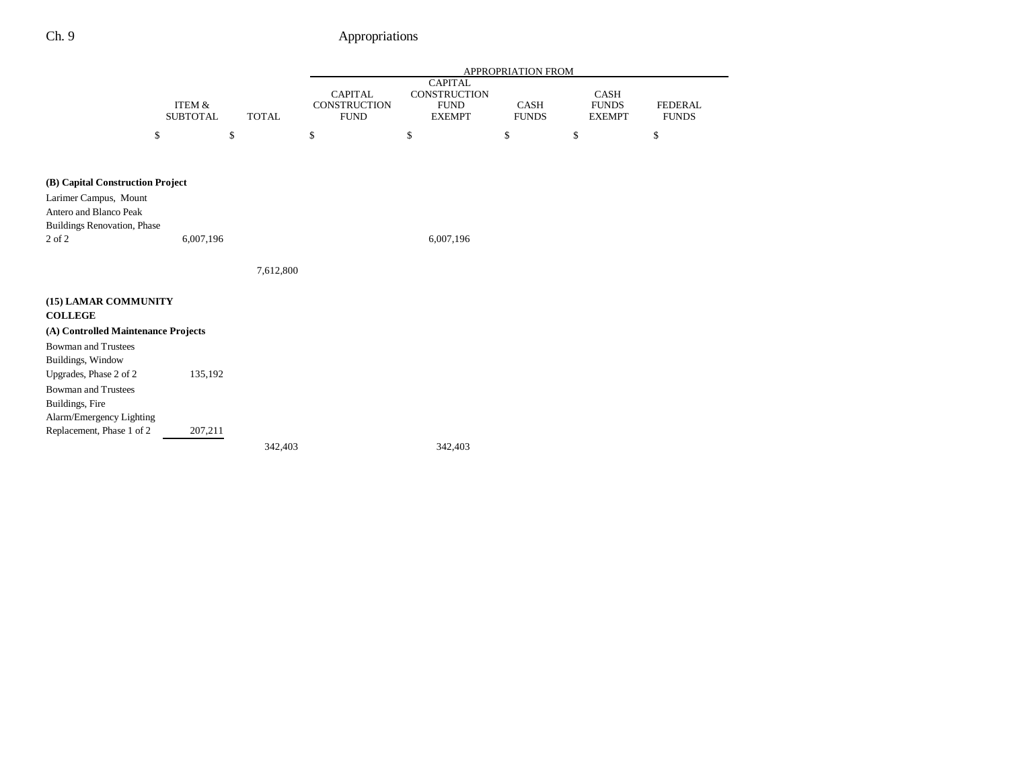|                                                 |                                      |              |                                               |                                                                | APPROPRIATION FROM          |                                       |                                |
|-------------------------------------------------|--------------------------------------|--------------|-----------------------------------------------|----------------------------------------------------------------|-----------------------------|---------------------------------------|--------------------------------|
|                                                 | <b>ITEM &amp;</b><br><b>SUBTOTAL</b> | <b>TOTAL</b> | <b>CAPITAL</b><br>CONSTRUCTION<br><b>FUND</b> | <b>CAPITAL</b><br>CONSTRUCTION<br><b>FUND</b><br><b>EXEMPT</b> | <b>CASH</b><br><b>FUNDS</b> | CASH<br><b>FUNDS</b><br><b>EXEMPT</b> | <b>FEDERAL</b><br><b>FUNDS</b> |
|                                                 | \$                                   | \$           | \$                                            | \$                                                             | \$                          | \$                                    | \$                             |
| (B) Capital Construction Project                |                                      |              |                                               |                                                                |                             |                                       |                                |
| Larimer Campus, Mount<br>Antero and Blanco Peak |                                      |              |                                               |                                                                |                             |                                       |                                |
| Buildings Renovation, Phase<br>2 of 2           | 6,007,196                            |              |                                               | 6,007,196                                                      |                             |                                       |                                |
|                                                 |                                      | 7,612,800    |                                               |                                                                |                             |                                       |                                |
| (15) LAMAR COMMUNITY<br><b>COLLEGE</b>          |                                      |              |                                               |                                                                |                             |                                       |                                |
| (A) Controlled Maintenance Projects             |                                      |              |                                               |                                                                |                             |                                       |                                |
| <b>Bowman and Trustees</b><br>Buildings, Window |                                      |              |                                               |                                                                |                             |                                       |                                |
| Upgrades, Phase 2 of 2                          | 135,192                              |              |                                               |                                                                |                             |                                       |                                |
| <b>Bowman and Trustees</b>                      |                                      |              |                                               |                                                                |                             |                                       |                                |
| Buildings, Fire<br>Alarm/Emergency Lighting     |                                      |              |                                               |                                                                |                             |                                       |                                |
| Replacement, Phase 1 of 2                       | 207,211                              |              |                                               |                                                                |                             |                                       |                                |
|                                                 |                                      | 342,403      |                                               | 342,403                                                        |                             |                                       |                                |
|                                                 |                                      |              |                                               |                                                                |                             |                                       |                                |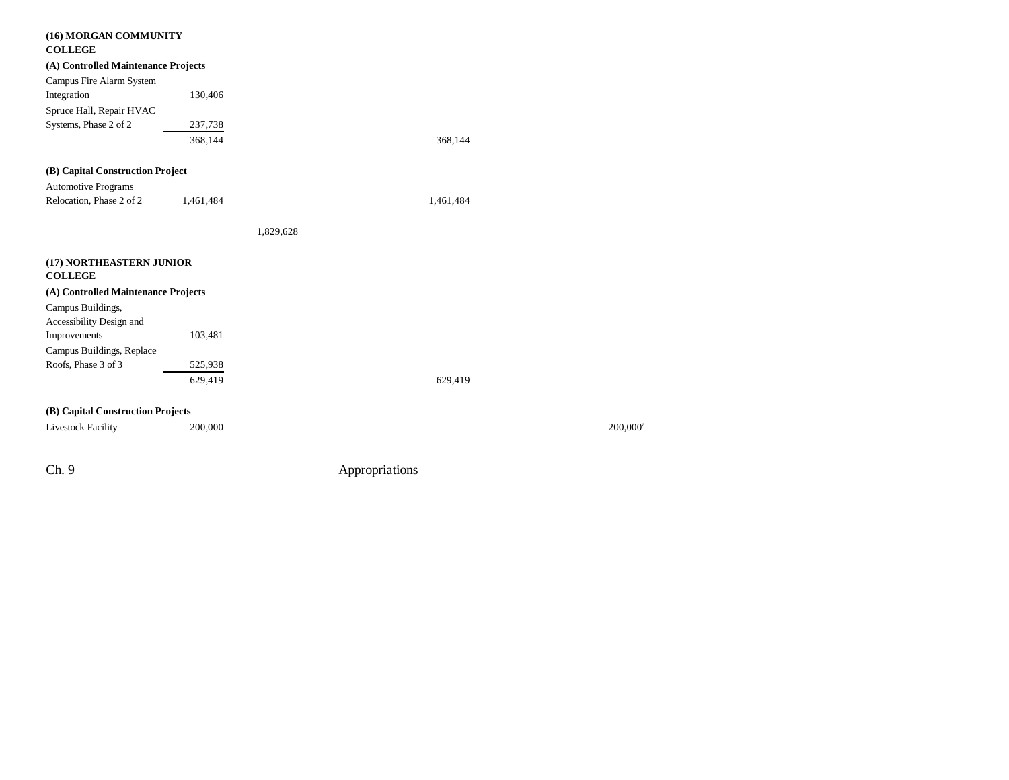| (16) MORGAN COMMUNITY<br><b>COLLEGE</b>       |           |                |                      |
|-----------------------------------------------|-----------|----------------|----------------------|
| (A) Controlled Maintenance Projects           |           |                |                      |
| Campus Fire Alarm System                      |           |                |                      |
| Integration                                   | 130,406   |                |                      |
| Spruce Hall, Repair HVAC                      |           |                |                      |
| Systems, Phase 2 of 2                         | 237,738   |                |                      |
|                                               | 368,144   | 368,144        |                      |
| (B) Capital Construction Project              |           |                |                      |
| <b>Automotive Programs</b>                    |           |                |                      |
| Relocation, Phase 2 of 2                      | 1,461,484 | 1,461,484      |                      |
|                                               |           | 1,829,628      |                      |
| (17) NORTHEASTERN JUNIOR<br><b>COLLEGE</b>    |           |                |                      |
| (A) Controlled Maintenance Projects           |           |                |                      |
| Campus Buildings,<br>Accessibility Design and |           |                |                      |
| Improvements                                  | 103,481   |                |                      |
| Campus Buildings, Replace                     |           |                |                      |
| Roofs, Phase 3 of 3                           | 525,938   |                |                      |
|                                               | 629,419   | 629,419        |                      |
| (B) Capital Construction Projects             |           |                |                      |
| <b>Livestock Facility</b>                     | 200,000   |                | 200,000 <sup>a</sup> |
|                                               |           |                |                      |
| Ch. 9                                         |           | Appropriations |                      |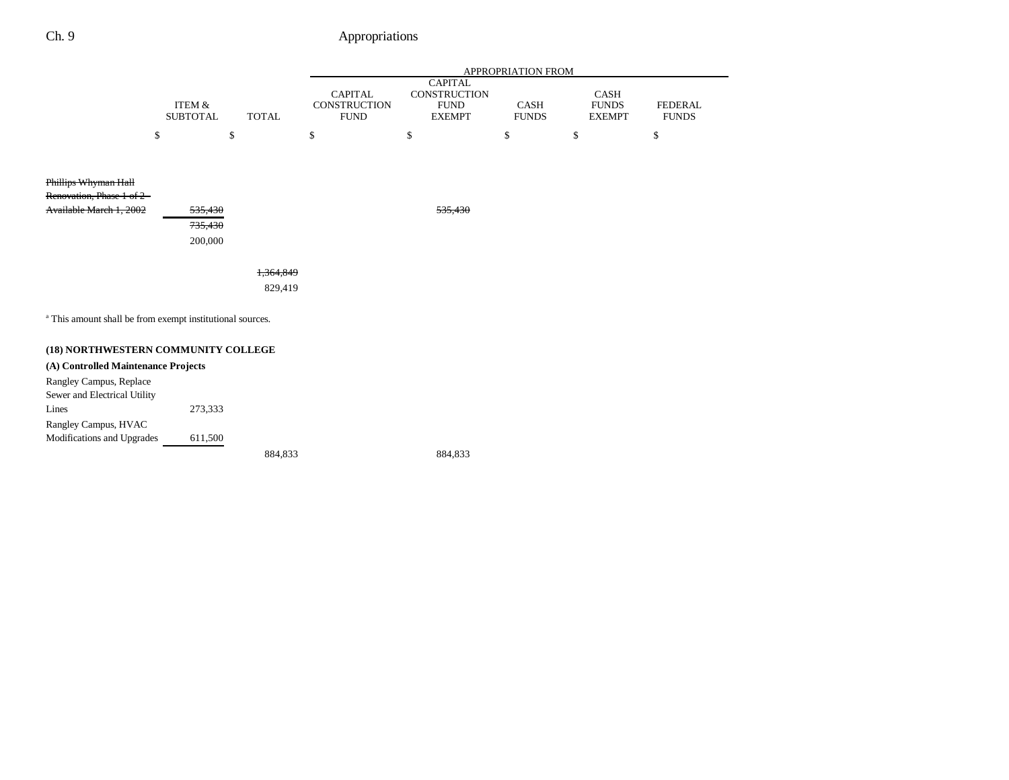|                                                                      |                               |                      |                                                      |                                                                | APPROPRIATION FROM          |                                       |                                |
|----------------------------------------------------------------------|-------------------------------|----------------------|------------------------------------------------------|----------------------------------------------------------------|-----------------------------|---------------------------------------|--------------------------------|
|                                                                      | ITEM &<br><b>SUBTOTAL</b>     | <b>TOTAL</b>         | <b>CAPITAL</b><br><b>CONSTRUCTION</b><br><b>FUND</b> | <b>CAPITAL</b><br>CONSTRUCTION<br><b>FUND</b><br><b>EXEMPT</b> | <b>CASH</b><br><b>FUNDS</b> | CASH<br><b>FUNDS</b><br><b>EXEMPT</b> | <b>FEDERAL</b><br><b>FUNDS</b> |
|                                                                      | \$                            | \$                   | \$                                                   | \$                                                             | \$                          | \$                                    | \$                             |
| Phillips Whyman Hall<br>Renovation, Phase 1 of 2 -                   |                               |                      |                                                      |                                                                |                             |                                       |                                |
| Available March 1, 2002                                              | 535,430<br>735,430<br>200,000 |                      |                                                      | 535,430                                                        |                             |                                       |                                |
|                                                                      |                               | 1,364,849<br>829,419 |                                                      |                                                                |                             |                                       |                                |
| <sup>a</sup> This amount shall be from exempt institutional sources. |                               |                      |                                                      |                                                                |                             |                                       |                                |
| (18) NORTHWESTERN COMMUNITY COLLEGE                                  |                               |                      |                                                      |                                                                |                             |                                       |                                |
| (A) Controlled Maintenance Projects                                  |                               |                      |                                                      |                                                                |                             |                                       |                                |
| Rangley Campus, Replace<br>Sewer and Electrical Utility              |                               |                      |                                                      |                                                                |                             |                                       |                                |
| Lines                                                                | 273,333                       |                      |                                                      |                                                                |                             |                                       |                                |

Rangley Campus, HVAC Modifications and Upgrades 611,500

884,833 884,833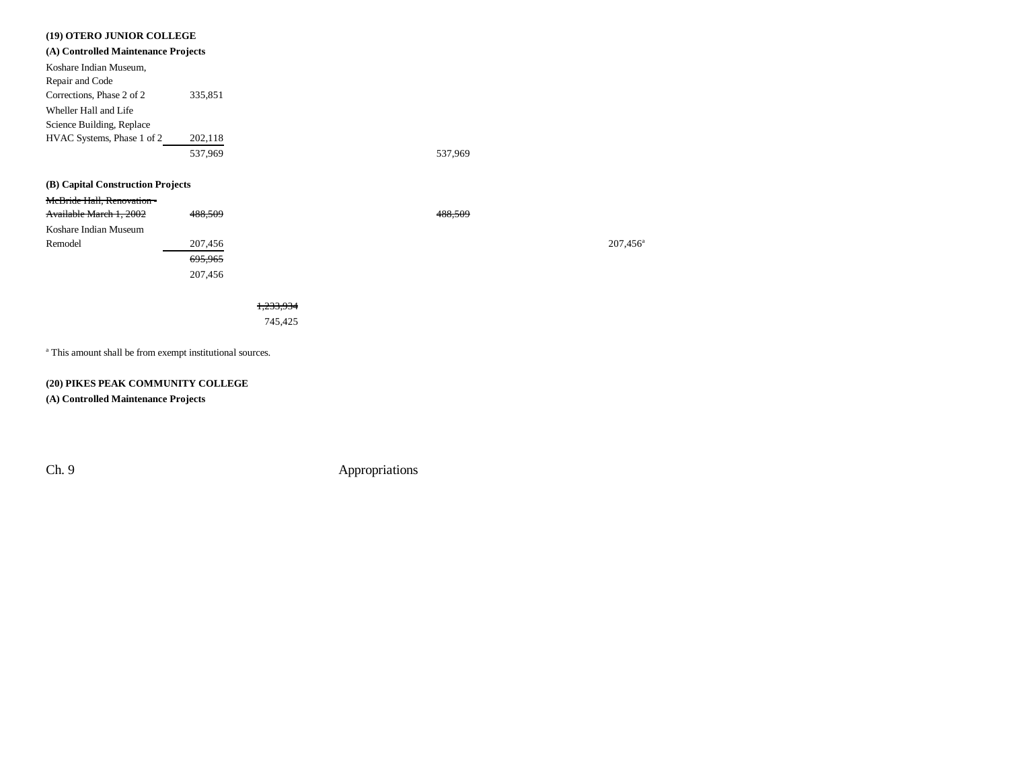| (19) OTERO JUNIOR COLLEGE           |         |                      |         |         |
|-------------------------------------|---------|----------------------|---------|---------|
| (A) Controlled Maintenance Projects |         |                      |         |         |
| Koshare Indian Museum,              |         |                      |         |         |
| Repair and Code                     |         |                      |         |         |
| Corrections, Phase 2 of 2           | 335,851 |                      |         |         |
| Wheller Hall and Life               |         |                      |         |         |
| Science Building, Replace           |         |                      |         |         |
| HVAC Systems, Phase 1 of 2          | 202,118 |                      |         |         |
|                                     | 537,969 |                      | 537,969 |         |
|                                     |         |                      |         |         |
| (B) Capital Construction Projects   |         |                      |         |         |
| McBride Hall, Renovation-           |         |                      |         |         |
| Available March 1, 2002             | 488,509 |                      | 488.509 |         |
| Koshare Indian Museum               |         |                      |         |         |
| Remodel                             | 207,456 |                      |         | 207,456 |
|                                     | 695,965 |                      |         |         |
|                                     | 207,456 |                      |         |         |
|                                     |         |                      |         |         |
|                                     |         | <del>1.233.934</del> |         |         |
|                                     |         | 745,425              |         |         |
|                                     |         |                      |         |         |

a This amount shall be from exempt institutional sources.

### **(20) PIKES PEAK COMMUNITY COLLEGE**

**(A) Controlled Maintenance Projects**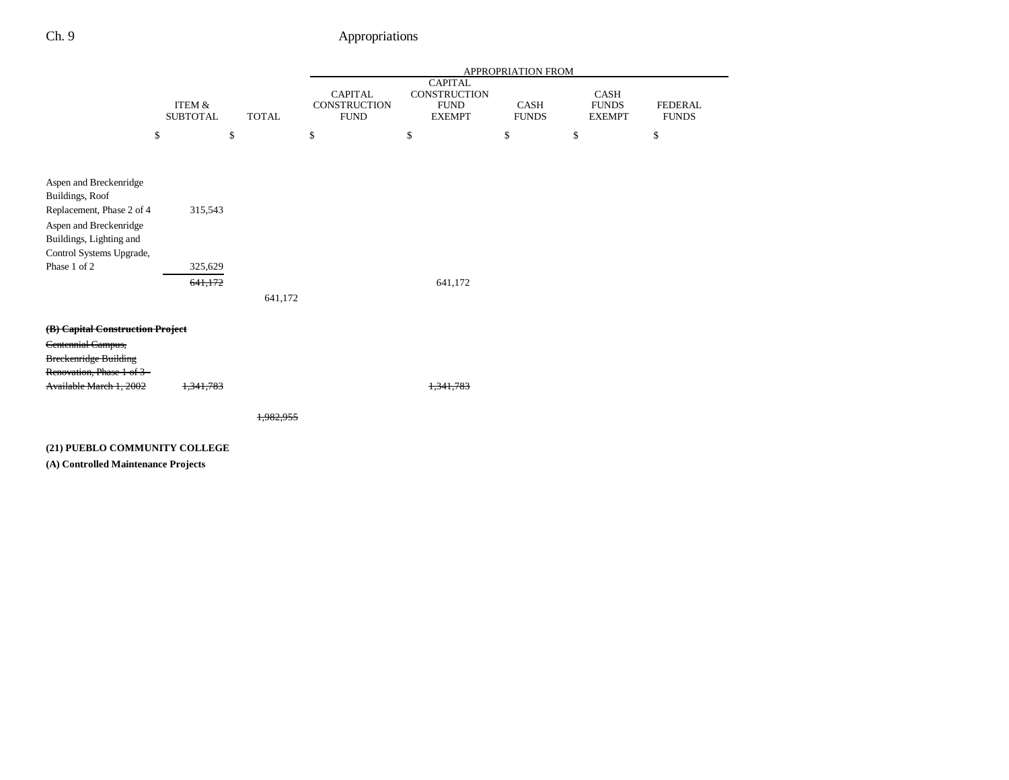|                                                           |                                      |              |                                               |                                                                | <b>APPROPRIATION FROM</b>   |                                              |                                |
|-----------------------------------------------------------|--------------------------------------|--------------|-----------------------------------------------|----------------------------------------------------------------|-----------------------------|----------------------------------------------|--------------------------------|
|                                                           | <b>ITEM &amp;</b><br><b>SUBTOTAL</b> | <b>TOTAL</b> | <b>CAPITAL</b><br>CONSTRUCTION<br><b>FUND</b> | <b>CAPITAL</b><br>CONSTRUCTION<br><b>FUND</b><br><b>EXEMPT</b> | <b>CASH</b><br><b>FUNDS</b> | <b>CASH</b><br><b>FUNDS</b><br><b>EXEMPT</b> | <b>FEDERAL</b><br><b>FUNDS</b> |
| \$                                                        |                                      | \$           | \$                                            | \$                                                             | \$                          | \$                                           | \$                             |
| Aspen and Breckenridge<br>Buildings, Roof                 |                                      |              |                                               |                                                                |                             |                                              |                                |
| Replacement, Phase 2 of 4                                 | 315,543                              |              |                                               |                                                                |                             |                                              |                                |
| Aspen and Breckenridge<br>Buildings, Lighting and         |                                      |              |                                               |                                                                |                             |                                              |                                |
| Control Systems Upgrade,                                  |                                      |              |                                               |                                                                |                             |                                              |                                |
| Phase 1 of 2                                              | 325,629                              |              |                                               |                                                                |                             |                                              |                                |
|                                                           | 641,172                              | 641,172      |                                               | 641,172                                                        |                             |                                              |                                |
| (B) Capital Construction Project                          |                                      |              |                                               |                                                                |                             |                                              |                                |
| Centennial Campus,                                        |                                      |              |                                               |                                                                |                             |                                              |                                |
| <b>Breckenridge Building</b><br>Renovation, Phase 1 of 3- |                                      |              |                                               |                                                                |                             |                                              |                                |
| Available March 1, 2002                                   | 1,341,783                            |              |                                               | 1.341.783                                                      |                             |                                              |                                |
|                                                           |                                      | 1.982.955    |                                               |                                                                |                             |                                              |                                |
| (21) PUEBLO COMMUNITY COLLEGE                             |                                      |              |                                               |                                                                |                             |                                              |                                |

**(A) Controlled Maintenance Projects**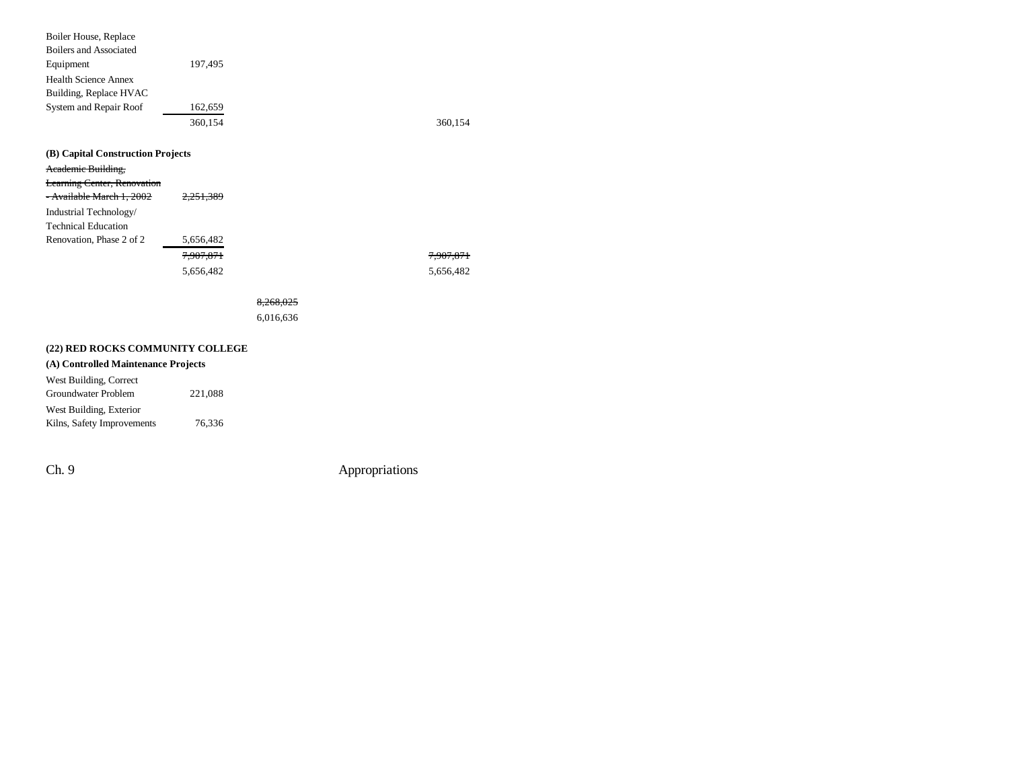| Boiler House, Replace               |                      |           |           |
|-------------------------------------|----------------------|-----------|-----------|
| <b>Boilers and Associated</b>       |                      |           |           |
| Equipment                           | 197,495              |           |           |
| <b>Health Science Annex</b>         |                      |           |           |
| Building, Replace HVAC              |                      |           |           |
| System and Repair Roof              | 162,659              |           |           |
|                                     | 360,154              |           | 360,154   |
| (B) Capital Construction Projects   |                      |           |           |
| Academic Building,                  |                      |           |           |
| Learning Center, Renovation         |                      |           |           |
| - Available March 1, 2002           | <del>2.251.389</del> |           |           |
| Industrial Technology/              |                      |           |           |
| <b>Technical Education</b>          |                      |           |           |
| Renovation, Phase 2 of 2            | 5,656,482            |           |           |
|                                     | 7,907,871            |           | 7,907,871 |
|                                     | 5,656,482            |           | 5,656,482 |
|                                     |                      | 8,268,025 |           |
|                                     |                      | 6,016,636 |           |
| (22) RED ROCKS COMMUNITY COLLEGE    |                      |           |           |
| (A) Controlled Maintenance Projects |                      |           |           |
| West Building, Correct              |                      |           |           |
| Groundwater Problem                 | 221,088              |           |           |
| West Building, Exterior             |                      |           |           |
| Kilns, Safety Improvements          | 76,336               |           |           |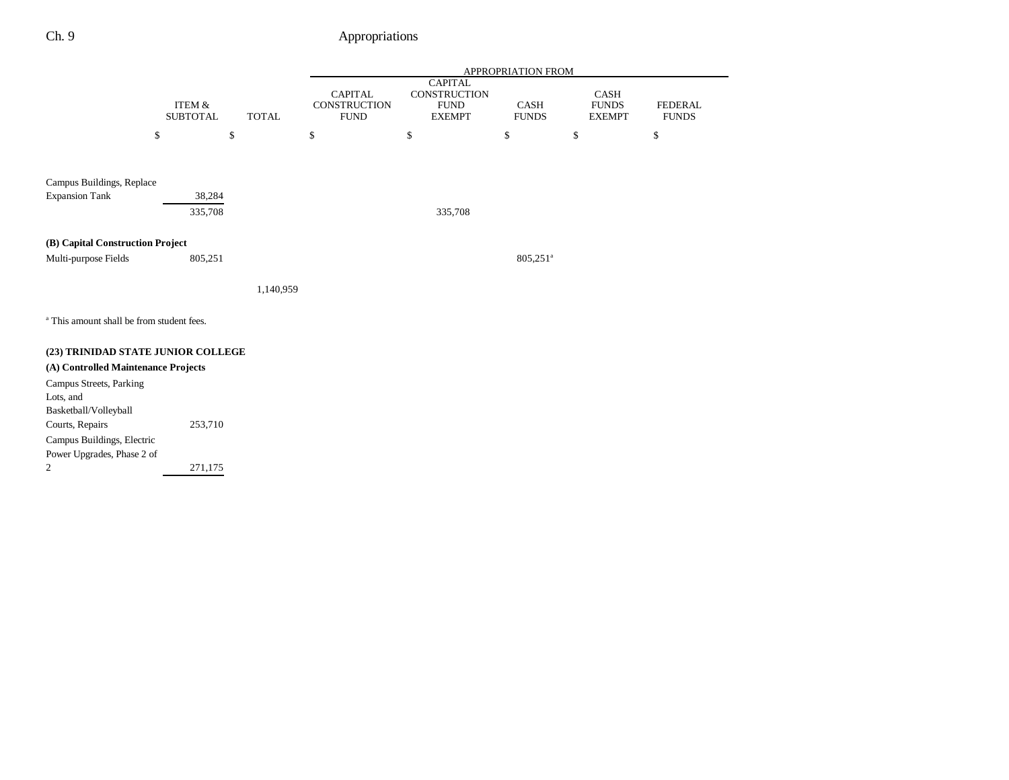|                                                      |                           |              |                                               |                                                                       | APPROPRIATION FROM   |                                       |                                |
|------------------------------------------------------|---------------------------|--------------|-----------------------------------------------|-----------------------------------------------------------------------|----------------------|---------------------------------------|--------------------------------|
|                                                      | ITEM &<br><b>SUBTOTAL</b> | <b>TOTAL</b> | <b>CAPITAL</b><br>CONSTRUCTION<br><b>FUND</b> | <b>CAPITAL</b><br><b>CONSTRUCTION</b><br><b>FUND</b><br><b>EXEMPT</b> | CASH<br><b>FUNDS</b> | CASH<br><b>FUNDS</b><br><b>EXEMPT</b> | <b>FEDERAL</b><br><b>FUNDS</b> |
|                                                      | \$                        | \$           | \$                                            | \$                                                                    | \$                   | \$                                    | \$                             |
| Campus Buildings, Replace                            |                           |              |                                               |                                                                       |                      |                                       |                                |
| <b>Expansion Tank</b>                                | 38,284                    |              |                                               |                                                                       |                      |                                       |                                |
|                                                      | 335,708                   |              |                                               | 335,708                                                               |                      |                                       |                                |
| (B) Capital Construction Project                     |                           |              |                                               |                                                                       |                      |                                       |                                |
| Multi-purpose Fields                                 | 805,251                   |              |                                               |                                                                       | 805,251 <sup>a</sup> |                                       |                                |
|                                                      |                           | 1,140,959    |                                               |                                                                       |                      |                                       |                                |
| <sup>a</sup> This amount shall be from student fees. |                           |              |                                               |                                                                       |                      |                                       |                                |
| (23) TRINIDAD STATE JUNIOR COLLEGE                   |                           |              |                                               |                                                                       |                      |                                       |                                |
| (A) Controlled Maintenance Projects                  |                           |              |                                               |                                                                       |                      |                                       |                                |
| Campus Streets, Parking                              |                           |              |                                               |                                                                       |                      |                                       |                                |
| Lots, and                                            |                           |              |                                               |                                                                       |                      |                                       |                                |
| Basketball/Volleyball                                | 253,710                   |              |                                               |                                                                       |                      |                                       |                                |
| Courts, Repairs<br>Campus Buildings, Electric        |                           |              |                                               |                                                                       |                      |                                       |                                |
| Power Upgrades, Phase 2 of                           |                           |              |                                               |                                                                       |                      |                                       |                                |
| 2                                                    | 271,175                   |              |                                               |                                                                       |                      |                                       |                                |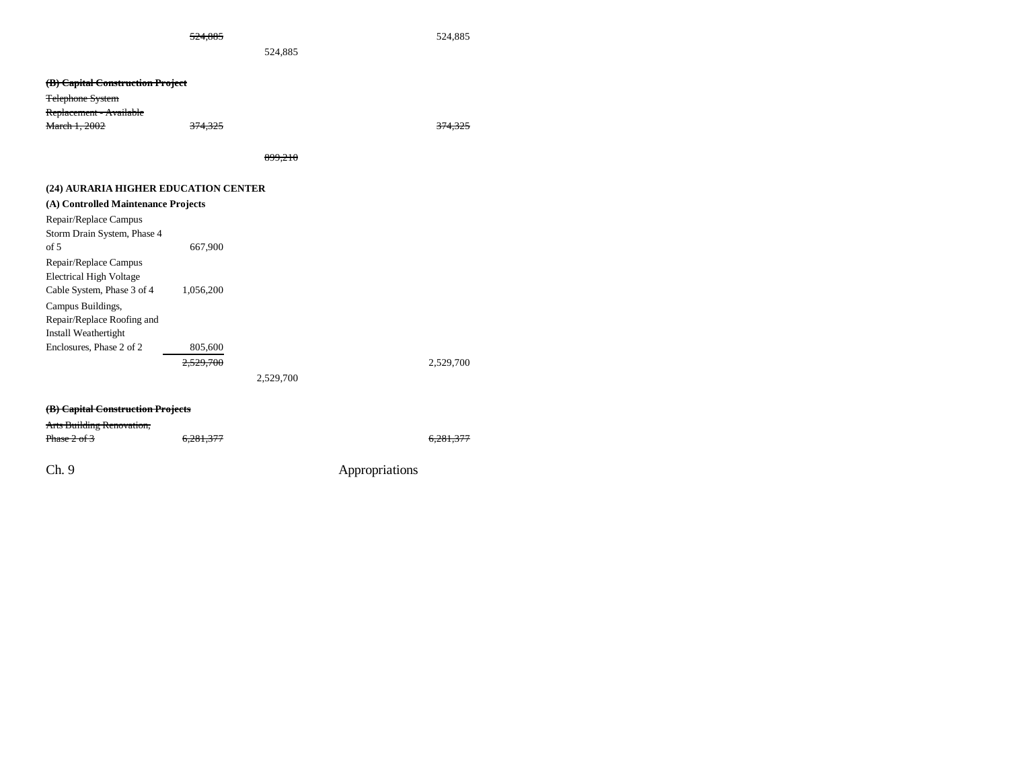| 14. OO E |
|----------|
| $\cdots$ |

524,885 524,885

524,885

| (B) Capital Construction Project |         |         |
|----------------------------------|---------|---------|
| Telephone System                 |         |         |
| Replacement - Available          |         |         |
| <b>March 1, 2002</b>             | 374,325 | 374,325 |
|                                  |         |         |

899,210

### **(24) AURARIA HIGHER EDUCATION CENTER**

| (A) Controlled Maintenance Projects |           |           |           |
|-------------------------------------|-----------|-----------|-----------|
| Repair/Replace Campus               |           |           |           |
| Storm Drain System, Phase 4         |           |           |           |
| of 5                                | 667,900   |           |           |
| Repair/Replace Campus               |           |           |           |
| <b>Electrical High Voltage</b>      |           |           |           |
| Cable System, Phase 3 of 4          | 1,056,200 |           |           |
| Campus Buildings,                   |           |           |           |
| Repair/Replace Roofing and          |           |           |           |
| Install Weathertight                |           |           |           |
| Enclosures, Phase 2 of 2            | 805,600   |           |           |
|                                     | 2.529.700 |           | 2.529.700 |
|                                     |           | 2,529,700 |           |
|                                     |           |           |           |

### **(B) Capital Construction Projects**

### Arts Building Renovation,

| $D_{\text{base}}$ $2.62$                                                       | $\epsilon$ $\gamma$ |
|--------------------------------------------------------------------------------|---------------------|
| $H \cdot \text{H} \cdot \text{H} \cdot \text{H} \cdot \text{H} \cdot \text{H}$ | 0,20                |

6,281,377 6,281,377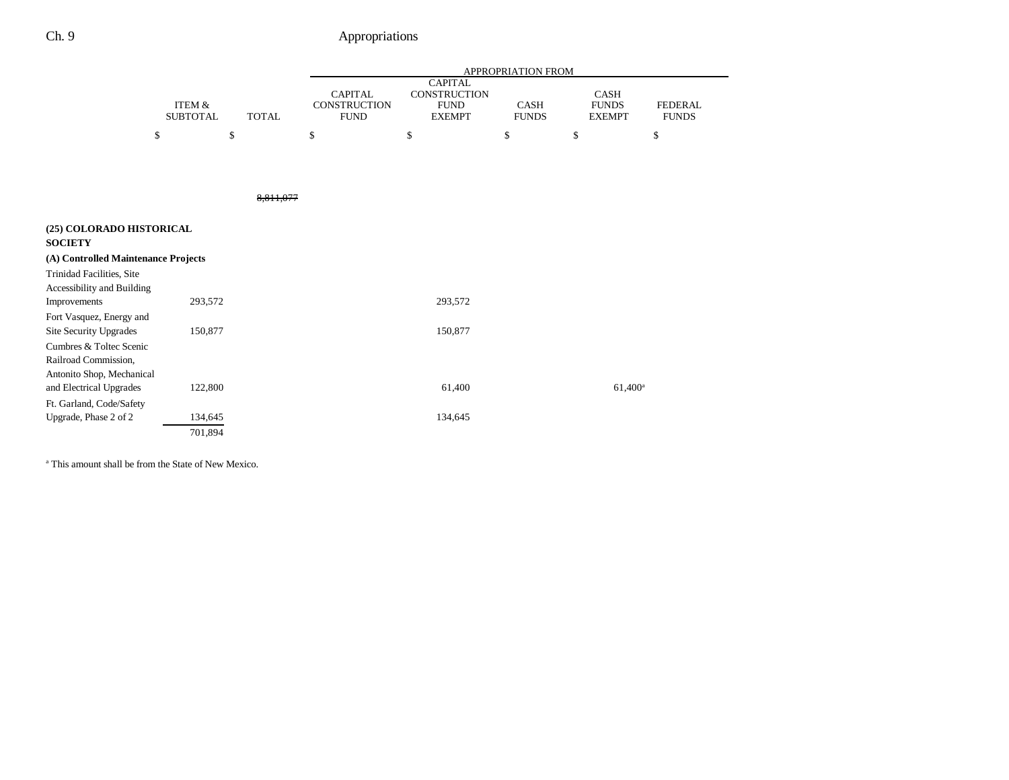|                                                                |                           |              | <b>APPROPRIATION FROM</b> |                                                      |    |                                                                       |                             |    |                                              |                                |
|----------------------------------------------------------------|---------------------------|--------------|---------------------------|------------------------------------------------------|----|-----------------------------------------------------------------------|-----------------------------|----|----------------------------------------------|--------------------------------|
|                                                                | ITEM &<br><b>SUBTOTAL</b> | <b>TOTAL</b> |                           | <b>CAPITAL</b><br><b>CONSTRUCTION</b><br><b>FUND</b> |    | <b>CAPITAL</b><br><b>CONSTRUCTION</b><br><b>FUND</b><br><b>EXEMPT</b> | <b>CASH</b><br><b>FUNDS</b> |    | <b>CASH</b><br><b>FUNDS</b><br><b>EXEMPT</b> | <b>FEDERAL</b><br><b>FUNDS</b> |
|                                                                | \$                        | \$           | \$                        |                                                      | \$ |                                                                       | \$                          | \$ |                                              | \$                             |
|                                                                |                           |              |                           |                                                      |    |                                                                       |                             |    |                                              |                                |
|                                                                |                           | 8,811,077    |                           |                                                      |    |                                                                       |                             |    |                                              |                                |
| (25) COLORADO HISTORICAL<br><b>SOCIETY</b>                     |                           |              |                           |                                                      |    |                                                                       |                             |    |                                              |                                |
| (A) Controlled Maintenance Projects                            |                           |              |                           |                                                      |    |                                                                       |                             |    |                                              |                                |
| <b>Trinidad Facilities, Site</b><br>Accessibility and Building |                           |              |                           |                                                      |    |                                                                       |                             |    |                                              |                                |
| Improvements                                                   | 293,572                   |              |                           |                                                      |    | 293,572                                                               |                             |    |                                              |                                |
| Fort Vasquez, Energy and                                       |                           |              |                           |                                                      |    |                                                                       |                             |    |                                              |                                |
| Site Security Upgrades                                         | 150,877                   |              |                           |                                                      |    | 150,877                                                               |                             |    |                                              |                                |
| Cumbres & Toltec Scenic                                        |                           |              |                           |                                                      |    |                                                                       |                             |    |                                              |                                |
| Railroad Commission,                                           |                           |              |                           |                                                      |    |                                                                       |                             |    |                                              |                                |
| Antonito Shop, Mechanical<br>and Electrical Upgrades           | 122,800                   |              |                           |                                                      |    | 61,400                                                                |                             |    | $61,400^{\rm a}$                             |                                |
| Ft. Garland, Code/Safety                                       |                           |              |                           |                                                      |    |                                                                       |                             |    |                                              |                                |
| Upgrade, Phase 2 of 2                                          | 134,645                   |              |                           |                                                      |    | 134,645                                                               |                             |    |                                              |                                |
|                                                                | 701,894                   |              |                           |                                                      |    |                                                                       |                             |    |                                              |                                |

a This amount shall be from the State of New Mexico.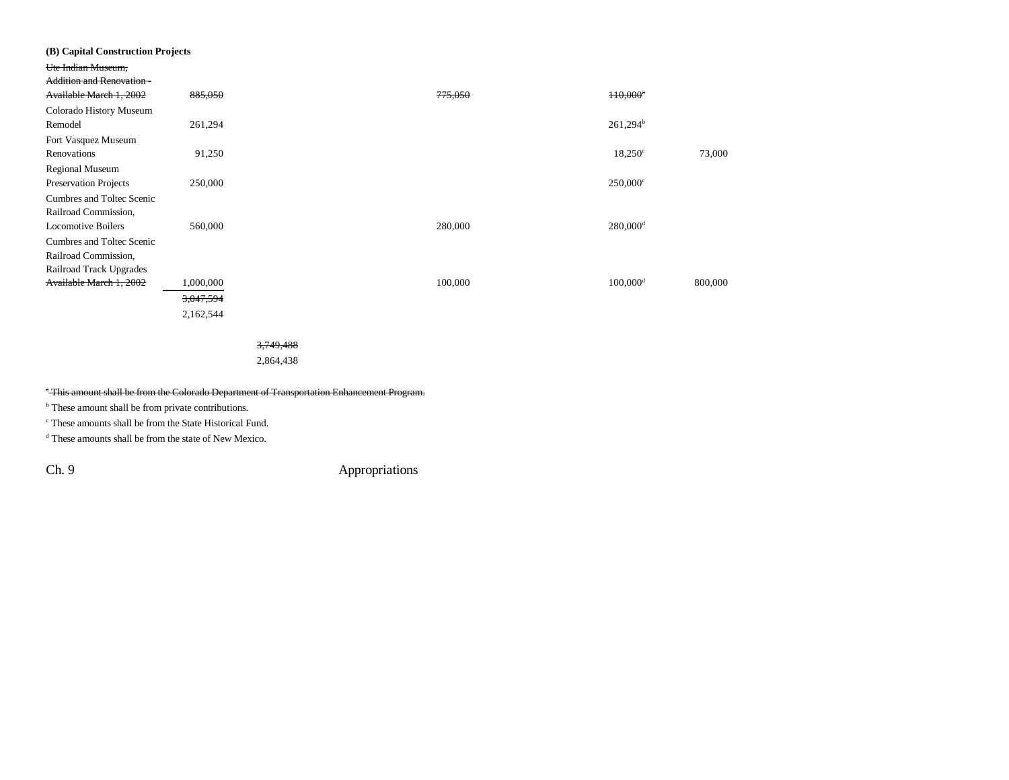| (B) Capital Construction Projects |           |                      |         |                        |         |
|-----------------------------------|-----------|----------------------|---------|------------------------|---------|
| Ute Indian Museum,                |           |                      |         |                        |         |
| <b>Addition and Renovation -</b>  |           |                      |         |                        |         |
| Available March 1, 2002           | 885,050   |                      | 775,050 | H0,000 <sup>*</sup>    |         |
| Colorado History Museum           |           |                      |         |                        |         |
| Remodel                           | 261,294   |                      |         | $261,294^{\rm b}$      |         |
| Fort Vasquez Museum               |           |                      |         |                        |         |
| Renovations                       | 91,250    |                      |         | $18,250^{\circ}$       | 73,000  |
| Regional Museum                   |           |                      |         |                        |         |
| Preservation Projects             | 250,000   |                      |         | $250,000^{\circ}$      |         |
| Cumbres and Toltec Scenic         |           |                      |         |                        |         |
| Railroad Commission,              |           |                      |         |                        |         |
| <b>Locomotive Boilers</b>         | 560,000   |                      | 280,000 | $280,000$ <sup>d</sup> |         |
| Cumbres and Toltec Scenic         |           |                      |         |                        |         |
| Railroad Commission,              |           |                      |         |                        |         |
| Railroad Track Upgrades           |           |                      |         |                        |         |
| Available March 1, 2002           | 1,000,000 |                      | 100,000 | $100,000$ <sup>d</sup> | 800,000 |
|                                   | 3,047,594 |                      |         |                        |         |
|                                   | 2,162,544 |                      |         |                        |         |
|                                   |           |                      |         |                        |         |
|                                   |           | <del>3,749,488</del> |         |                        |         |

2,864,438

### \* This amount shall be from the Colorado Department of Transportation Enhancement Program.

<sup>b</sup> These amount shall be from private contributions.

c These amounts shall be from the State Historical Fund.

d These amounts shall be from the state of New Mexico.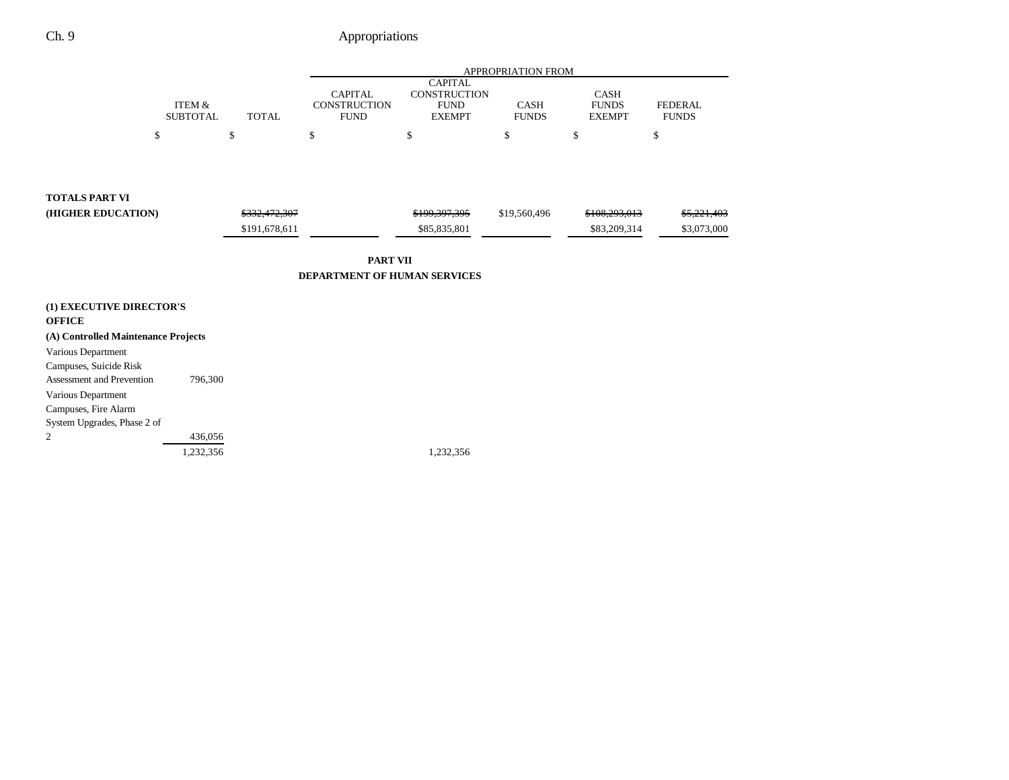|                                                      |                                      |               |                                                      |                                                                       | APPROPRIATION FROM          |                                              |                                |
|------------------------------------------------------|--------------------------------------|---------------|------------------------------------------------------|-----------------------------------------------------------------------|-----------------------------|----------------------------------------------|--------------------------------|
|                                                      | <b>ITEM &amp;</b><br><b>SUBTOTAL</b> | <b>TOTAL</b>  | <b>CAPITAL</b><br><b>CONSTRUCTION</b><br><b>FUND</b> | <b>CAPITAL</b><br><b>CONSTRUCTION</b><br><b>FUND</b><br><b>EXEMPT</b> | <b>CASH</b><br><b>FUNDS</b> | <b>CASH</b><br><b>FUNDS</b><br><b>EXEMPT</b> | <b>FEDERAL</b><br><b>FUNDS</b> |
| \$                                                   |                                      | \$            | \$                                                   | \$                                                                    | \$                          | \$                                           | \$                             |
|                                                      |                                      |               |                                                      |                                                                       |                             |                                              |                                |
| <b>TOTALS PART VI</b>                                |                                      |               |                                                      |                                                                       |                             |                                              |                                |
| (HIGHER EDUCATION)                                   |                                      | \$332,472,307 |                                                      | \$199,397,395                                                         | \$19,560,496                | \$108,293,013                                | \$5,221,403                    |
|                                                      |                                      | \$191,678,611 |                                                      | \$85,835,801                                                          |                             | \$83,209,314                                 | \$3,073,000                    |
|                                                      |                                      |               | <b>PART VII</b>                                      |                                                                       |                             |                                              |                                |
|                                                      |                                      |               | <b>DEPARTMENT OF HUMAN SERVICES</b>                  |                                                                       |                             |                                              |                                |
| (1) EXECUTIVE DIRECTOR'S                             |                                      |               |                                                      |                                                                       |                             |                                              |                                |
| <b>OFFICE</b><br>(A) Controlled Maintenance Projects |                                      |               |                                                      |                                                                       |                             |                                              |                                |
| Various Department<br>Campuses, Suicide Risk         |                                      |               |                                                      |                                                                       |                             |                                              |                                |
| <b>Assessment and Prevention</b>                     | 796,300                              |               |                                                      |                                                                       |                             |                                              |                                |
| Various Department<br>Campuses, Fire Alarm           |                                      |               |                                                      |                                                                       |                             |                                              |                                |
| System Upgrades, Phase 2 of                          |                                      |               |                                                      |                                                                       |                             |                                              |                                |
| 2                                                    | 436,056                              |               |                                                      |                                                                       |                             |                                              |                                |
|                                                      | 1,232,356                            |               |                                                      | 1,232,356                                                             |                             |                                              |                                |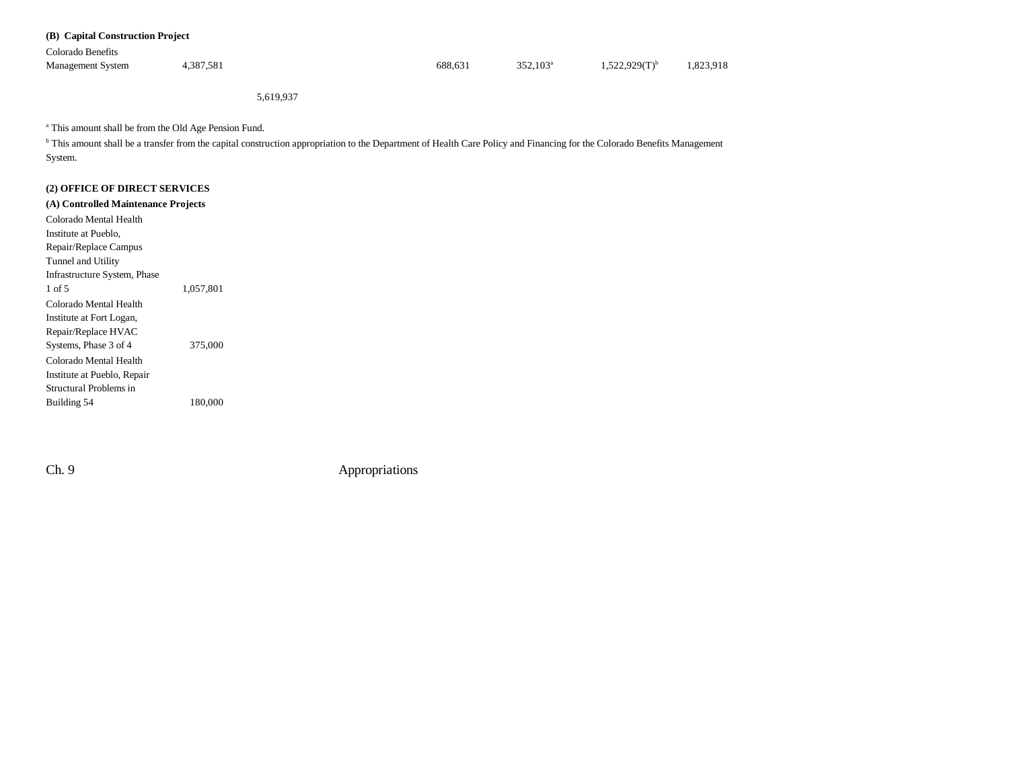| (B) Capital Construction Project |           |         |             |                    |         |
|----------------------------------|-----------|---------|-------------|--------------------|---------|
| Colorado Benefits                |           |         |             |                    |         |
| <b>Management System</b>         | 4,387,581 | 688.631 | $352.103^a$ | $1,522,929(T)^{b}$ | 823,918 |
|                                  |           |         |             |                    |         |

5,619,937

a This amount shall be from the Old Age Pension Fund.

<sup>b</sup> This amount shall be a transfer from the capital construction appropriation to the Department of Health Care Policy and Financing for the Colorado Benefits Management System.

### **(2) OFFICE OF DIRECT SERVICES**

**(A) Controlled Maintenance Projects** Colorado Mental Health Institute at Pueblo, Repair/Replace Campus Tunnel and Utility Infrastructure System, Phase 1,057,801 Colorado Mental Health Institute at Fort Logan, Repair/Replace HVAC Systems, Phase 3 of 4 375,000 Colorado Mental HealthInstitute at Pueblo, Repair Structural Problems in Building 54 180,000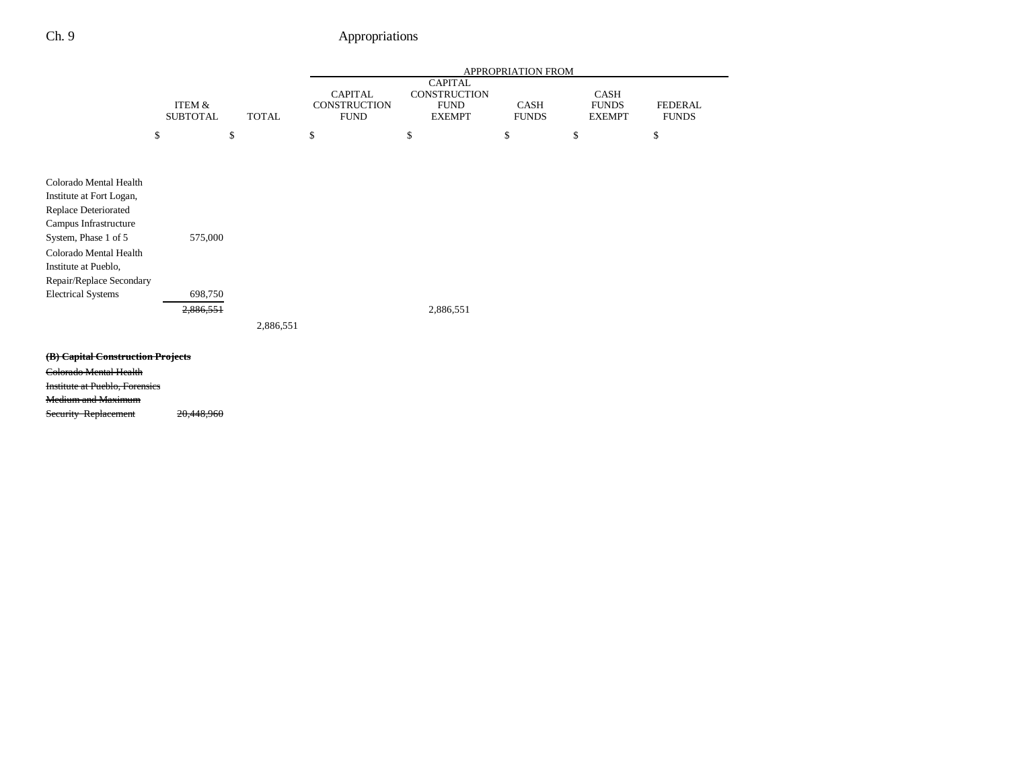|                                                                                                                                                                                                                                        |                                      |              | APPROPRIATION FROM                                   |                                                                |                             |                                       |                                |  |
|----------------------------------------------------------------------------------------------------------------------------------------------------------------------------------------------------------------------------------------|--------------------------------------|--------------|------------------------------------------------------|----------------------------------------------------------------|-----------------------------|---------------------------------------|--------------------------------|--|
|                                                                                                                                                                                                                                        | <b>ITEM &amp;</b><br><b>SUBTOTAL</b> | <b>TOTAL</b> | <b>CAPITAL</b><br><b>CONSTRUCTION</b><br><b>FUND</b> | <b>CAPITAL</b><br>CONSTRUCTION<br><b>FUND</b><br><b>EXEMPT</b> | <b>CASH</b><br><b>FUNDS</b> | CASH<br><b>FUNDS</b><br><b>EXEMPT</b> | <b>FEDERAL</b><br><b>FUNDS</b> |  |
|                                                                                                                                                                                                                                        | \$                                   | \$           | \$                                                   | \$                                                             | \$                          | \$                                    | \$                             |  |
| Colorado Mental Health<br>Institute at Fort Logan,<br>Replace Deteriorated<br>Campus Infrastructure<br>System, Phase 1 of 5<br>Colorado Mental Health<br>Institute at Pueblo,<br>Repair/Replace Secondary<br><b>Electrical Systems</b> | 575,000<br>698,750<br>2,886,551      | 2,886,551    |                                                      | 2,886,551                                                      |                             |                                       |                                |  |
| (B) Capital Construction Projects<br>Colorado Mental Health<br><b>Institute at Pueblo, Forensies</b><br><b>Medium and Maximum</b><br>Security Replacement                                                                              | 20,448,960                           |              |                                                      |                                                                |                             |                                       |                                |  |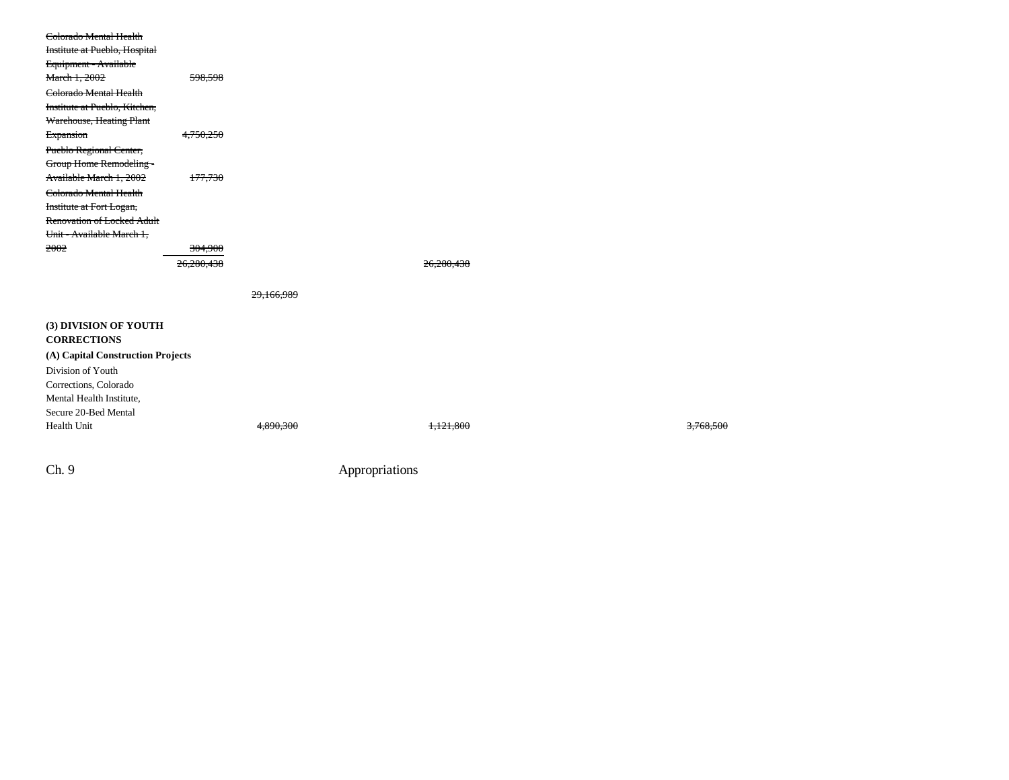| Colorado Mental Health            |                    |            |                      |  |                      |
|-----------------------------------|--------------------|------------|----------------------|--|----------------------|
| Institute at Pueblo, Hospital     |                    |            |                      |  |                      |
| Equipment - Available             |                    |            |                      |  |                      |
| March 1, 2002                     | 598,598            |            |                      |  |                      |
| Colorado Mental Health            |                    |            |                      |  |                      |
| Institute at Pueblo, Kitchen,     |                    |            |                      |  |                      |
| Warehouse, Heating Plant          |                    |            |                      |  |                      |
| Expansion                         | 4,750,250          |            |                      |  |                      |
| Pueblo Regional Center,           |                    |            |                      |  |                      |
| Group Home Remodeling -           |                    |            |                      |  |                      |
| Available March 1, 2002           | 177,730            |            |                      |  |                      |
| Colorado Mental Health            |                    |            |                      |  |                      |
| Institute at Fort Logan,          |                    |            |                      |  |                      |
| Renovation of Locked Adult        |                    |            |                      |  |                      |
| Unit - Available March 1,         |                    |            |                      |  |                      |
| 2002                              | <del>304,900</del> |            |                      |  |                      |
|                                   | 26,280,438         |            | 26,280,438           |  |                      |
|                                   |                    |            |                      |  |                      |
|                                   |                    | 29,166,989 |                      |  |                      |
|                                   |                    |            |                      |  |                      |
| (3) DIVISION OF YOUTH             |                    |            |                      |  |                      |
| <b>CORRECTIONS</b>                |                    |            |                      |  |                      |
| (A) Capital Construction Projects |                    |            |                      |  |                      |
| Division of Youth                 |                    |            |                      |  |                      |
| Corrections, Colorado             |                    |            |                      |  |                      |
| Mental Health Institute,          |                    |            |                      |  |                      |
| Secure 20-Bed Mental              |                    |            |                      |  |                      |
| Health Unit                       |                    | 4,890,300  | <del>1,121,800</del> |  | <del>3,768,500</del> |
|                                   |                    |            |                      |  |                      |
|                                   |                    |            |                      |  |                      |
|                                   |                    |            |                      |  |                      |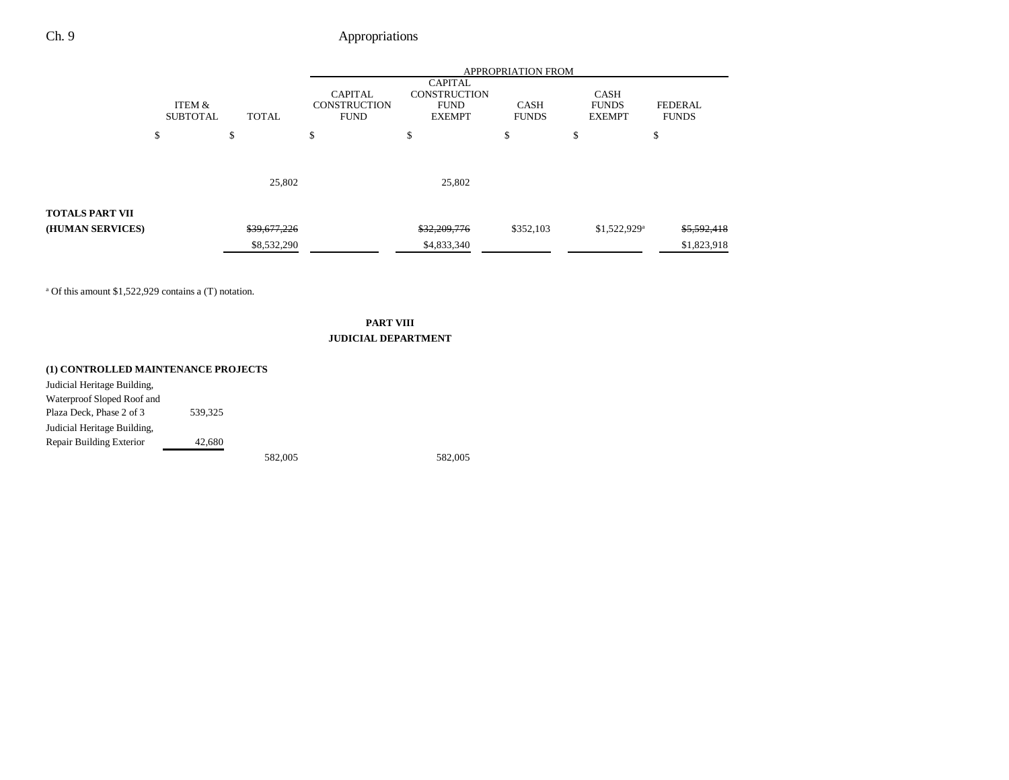|                                                                  |                                           |              | <b>APPROPRIATION FROM</b>                                                                                                     |              |                             |                                       |             |  |
|------------------------------------------------------------------|-------------------------------------------|--------------|-------------------------------------------------------------------------------------------------------------------------------|--------------|-----------------------------|---------------------------------------|-------------|--|
|                                                                  | ITEM &<br><b>TOTAL</b><br><b>SUBTOTAL</b> |              | <b>CAPITAL</b><br><b>CAPITAL</b><br><b>CONSTRUCTION</b><br><b>CONSTRUCTION</b><br><b>FUND</b><br><b>FUND</b><br><b>EXEMPT</b> |              | <b>CASH</b><br><b>FUNDS</b> | CASH<br><b>FUNDS</b><br><b>EXEMPT</b> |             |  |
|                                                                  | \$                                        | \$           | \$                                                                                                                            | \$           | \$                          | \$                                    | \$          |  |
|                                                                  |                                           | 25,802       |                                                                                                                               | 25,802       |                             |                                       |             |  |
| <b>TOTALS PART VII</b>                                           |                                           |              |                                                                                                                               |              |                             |                                       |             |  |
| (HUMAN SERVICES)                                                 |                                           | \$39,677,226 |                                                                                                                               | \$32,209,776 | \$352,103                   | $$1,522,929$ <sup>a</sup>             | \$5,592,418 |  |
|                                                                  |                                           | \$8,532,290  |                                                                                                                               | \$4,833,340  |                             |                                       | \$1,823,918 |  |
| <sup>a</sup> Of this amount \$1,522,929 contains a (T) notation. |                                           |              |                                                                                                                               |              |                             |                                       |             |  |

### **PART VIII JUDICIAL DEPARTMENT**

### **(1) CONTROLLED MAINTENANCE PROJECTS**

| Judicial Heritage Building, |         |         |         |
|-----------------------------|---------|---------|---------|
| Waterproof Sloped Roof and  |         |         |         |
| Plaza Deck, Phase 2 of 3    | 539.325 |         |         |
| Judicial Heritage Building, |         |         |         |
| Repair Building Exterior    | 42.680  |         |         |
|                             |         | 582,005 | 582,005 |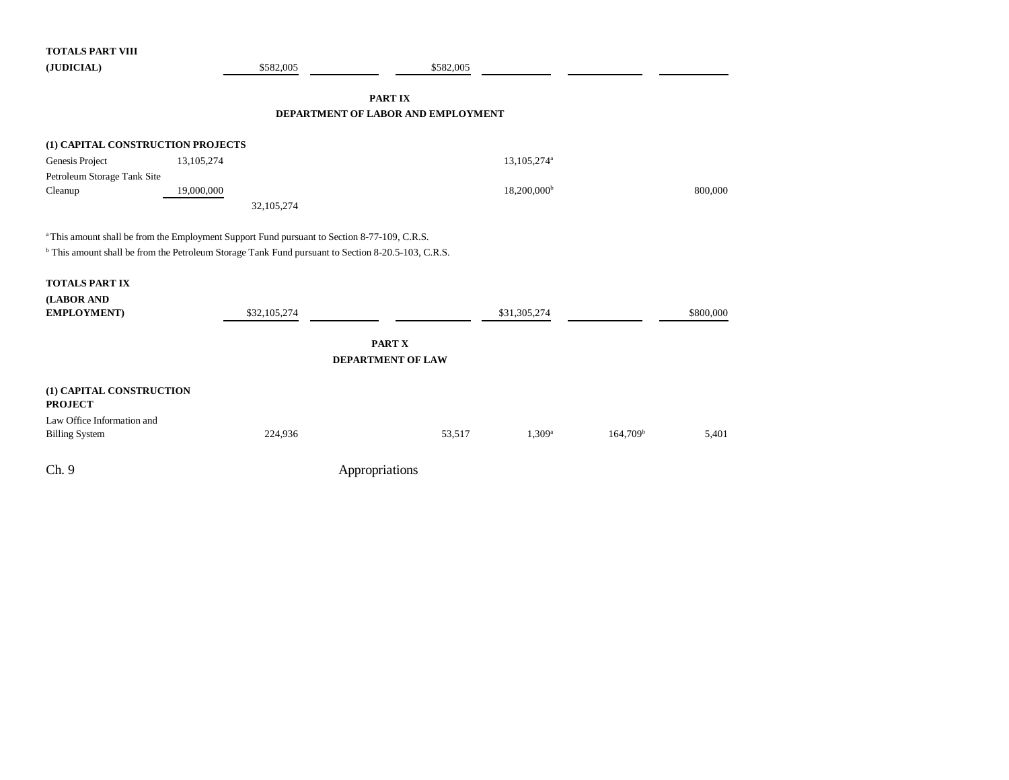| <b>TOTALS PART VIII</b>           |                                                                                                               |                                    |                   |           |
|-----------------------------------|---------------------------------------------------------------------------------------------------------------|------------------------------------|-------------------|-----------|
| (JUDICIAL)                        | \$582,005                                                                                                     | \$582,005                          |                   |           |
|                                   |                                                                                                               |                                    |                   |           |
|                                   |                                                                                                               | <b>PARTIX</b>                      |                   |           |
|                                   |                                                                                                               | DEPARTMENT OF LABOR AND EMPLOYMENT |                   |           |
|                                   |                                                                                                               |                                    |                   |           |
| (1) CAPITAL CONSTRUCTION PROJECTS |                                                                                                               |                                    |                   |           |
| Genesis Project                   | 13,105,274                                                                                                    | 13,105,274 <sup>a</sup>            |                   |           |
| Petroleum Storage Tank Site       |                                                                                                               |                                    |                   |           |
| Cleanup                           | 19,000,000                                                                                                    | $18,200,000^{\rm b}$               |                   | 800,000   |
|                                   | 32,105,274                                                                                                    |                                    |                   |           |
|                                   |                                                                                                               |                                    |                   |           |
|                                   | <sup>a</sup> This amount shall be from the Employment Support Fund pursuant to Section 8-77-109, C.R.S.       |                                    |                   |           |
|                                   | <sup>b</sup> This amount shall be from the Petroleum Storage Tank Fund pursuant to Section 8-20.5-103, C.R.S. |                                    |                   |           |
|                                   |                                                                                                               |                                    |                   |           |
| <b>TOTALS PART IX</b>             |                                                                                                               |                                    |                   |           |
| (LABOR AND                        |                                                                                                               |                                    |                   |           |
| EMPLOYMENT)                       | \$32,105,274                                                                                                  | \$31,305,274                       |                   | \$800,000 |
|                                   |                                                                                                               |                                    |                   |           |
|                                   |                                                                                                               | PART X                             |                   |           |
|                                   |                                                                                                               | <b>DEPARTMENT OF LAW</b>           |                   |           |
|                                   |                                                                                                               |                                    |                   |           |
| (1) CAPITAL CONSTRUCTION          |                                                                                                               |                                    |                   |           |
| <b>PROJECT</b>                    |                                                                                                               |                                    |                   |           |
| Law Office Information and        |                                                                                                               |                                    |                   |           |
| <b>Billing System</b>             | 224,936                                                                                                       | 53,517<br>$1,309^a$                | $164,709^{\rm b}$ | 5,401     |
|                                   |                                                                                                               |                                    |                   |           |
| Ch.9                              |                                                                                                               | Appropriations                     |                   |           |
|                                   |                                                                                                               |                                    |                   |           |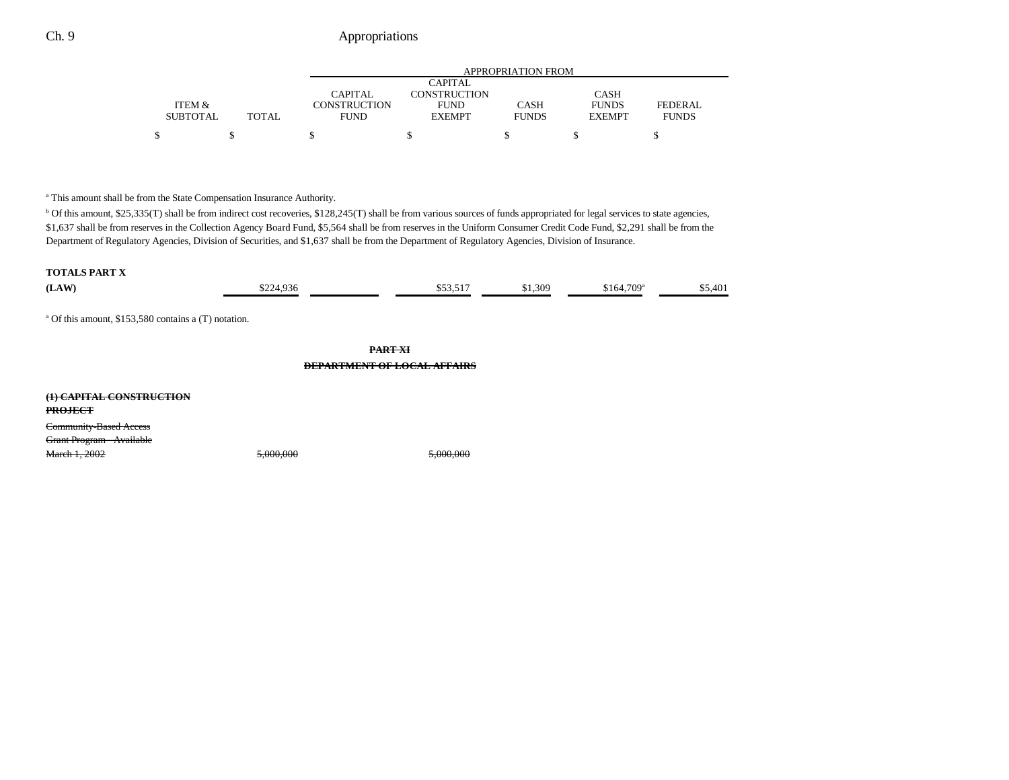|                                 |                | <b>APPROPRIATION FROM</b> |              |               |                |  |  |  |
|---------------------------------|----------------|---------------------------|--------------|---------------|----------------|--|--|--|
|                                 |                | <b>CAPITAL</b>            |              |               |                |  |  |  |
|                                 | <b>CAPITAL</b> | CONSTRUCTION              |              | <b>CASH</b>   |                |  |  |  |
| ITEM &                          | CONSTRUCTION   | <b>FUND</b>               | <b>CASH</b>  | <b>FUNDS</b>  | <b>FEDERAL</b> |  |  |  |
| <b>TOTAL</b><br><b>SUBTOTAL</b> | <b>FUND</b>    | <b>EXEMPT</b>             | <b>FUNDS</b> | <b>EXEMPT</b> | <b>FUNDS</b>   |  |  |  |
|                                 |                |                           |              |               |                |  |  |  |
|                                 |                |                           |              |               |                |  |  |  |

<sup>a</sup> This amount shall be from the State Compensation Insurance Authority.

<sup>b</sup> Of this amount, \$25,335(T) shall be from indirect cost recoveries, \$128,245(T) shall be from various sources of funds appropriated for legal services to state agencies, \$1,637 shall be from reserves in the Collection Agency Board Fund, \$5,564 shall be from reserves in the Uniform Consumer Credit Code Fund, \$2,291 shall be from the Department of Regulatory Agencies, Division of Securities, and \$1,637 shall be from the Department of Regulatory Agencies, Division of Insurance.

#### **TOTALS PART X**

| (LAW)                                                           | \$224,936 | \$53,517                                             | \$1,309 | $$164,709$ <sup>a</sup> | \$5,401 |
|-----------------------------------------------------------------|-----------|------------------------------------------------------|---------|-------------------------|---------|
| <sup>a</sup> Of this amount, \$153,580 contains a (T) notation. |           |                                                      |         |                         |         |
|                                                                 |           | <b>PART XI</b><br><b>DEPARTMENT OF LOCAL AFFAIRS</b> |         |                         |         |
| (1) CAPITAL CONSTRUCTION<br><b>PROJECT</b>                      |           |                                                      |         |                         |         |
| Community-Based Access<br>Grant Program - Available             |           |                                                      |         |                         |         |
| March 1, 2002                                                   | 5,000,000 | 5,000,000                                            |         |                         |         |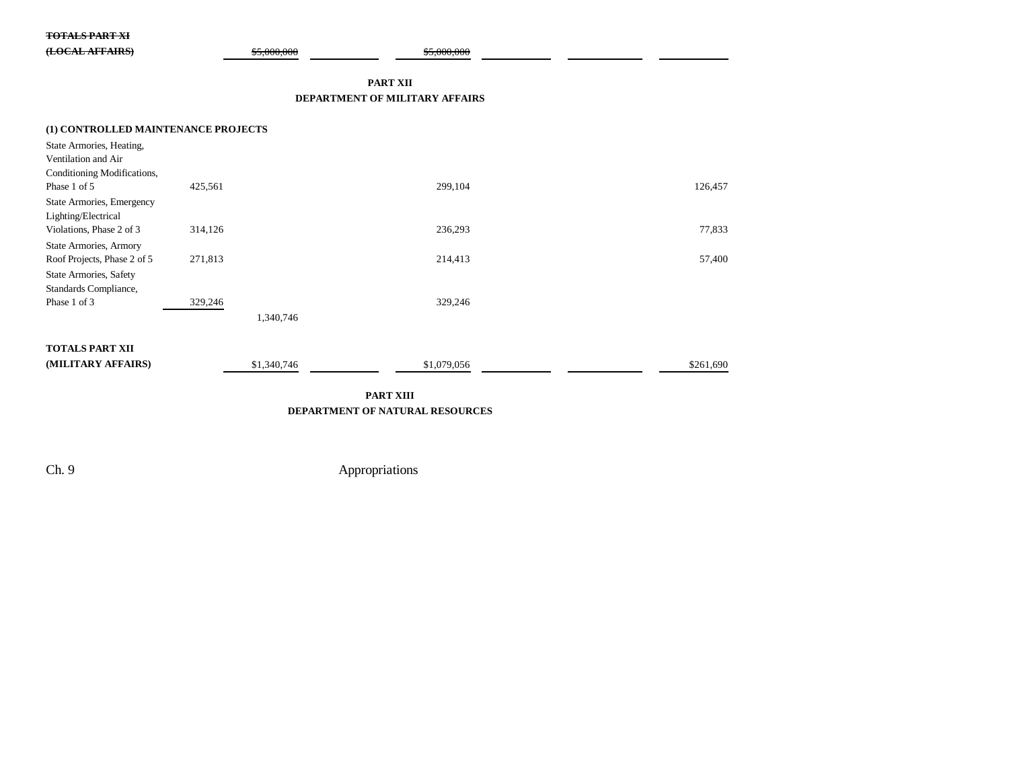#### **TOTALS PART XI**

| $(T \cap CAT$ AFEAIDEV | $E_{0000000}$ | $E_{000000}$ |
|------------------------|---------------|--------------|
| <b>(LOCAL AFTAINS)</b> | 33.000.000    | 33.000.000   |
|                        |               |              |

#### **PART XII**

#### **DEPARTMENT OF MILITARY AFFAIRS**

| (1) CONTROLLED MAINTENANCE PROJECTS<br>State Armories, Heating,<br>Ventilation and Air |             |             |           |
|----------------------------------------------------------------------------------------|-------------|-------------|-----------|
| Conditioning Modifications,                                                            |             |             |           |
| Phase 1 of 5                                                                           | 425,561     | 299,104     | 126,457   |
| State Armories, Emergency<br>Lighting/Electrical                                       |             |             |           |
| Violations, Phase 2 of 3                                                               | 314,126     | 236,293     | 77,833    |
| <b>State Armories, Armory</b>                                                          |             |             |           |
| Roof Projects, Phase 2 of 5                                                            | 271,813     | 214,413     | 57,400    |
| State Armories, Safety                                                                 |             |             |           |
| Standards Compliance,                                                                  |             |             |           |
| Phase 1 of 3                                                                           | 329,246     | 329,246     |           |
|                                                                                        | 1,340,746   |             |           |
|                                                                                        |             |             |           |
| <b>TOTALS PART XII</b>                                                                 |             |             |           |
| (MILITARY AFFAIRS)                                                                     | \$1,340,746 | \$1,079,056 | \$261,690 |

### **PART XIII DEPARTMENT OF NATURAL RESOURCES**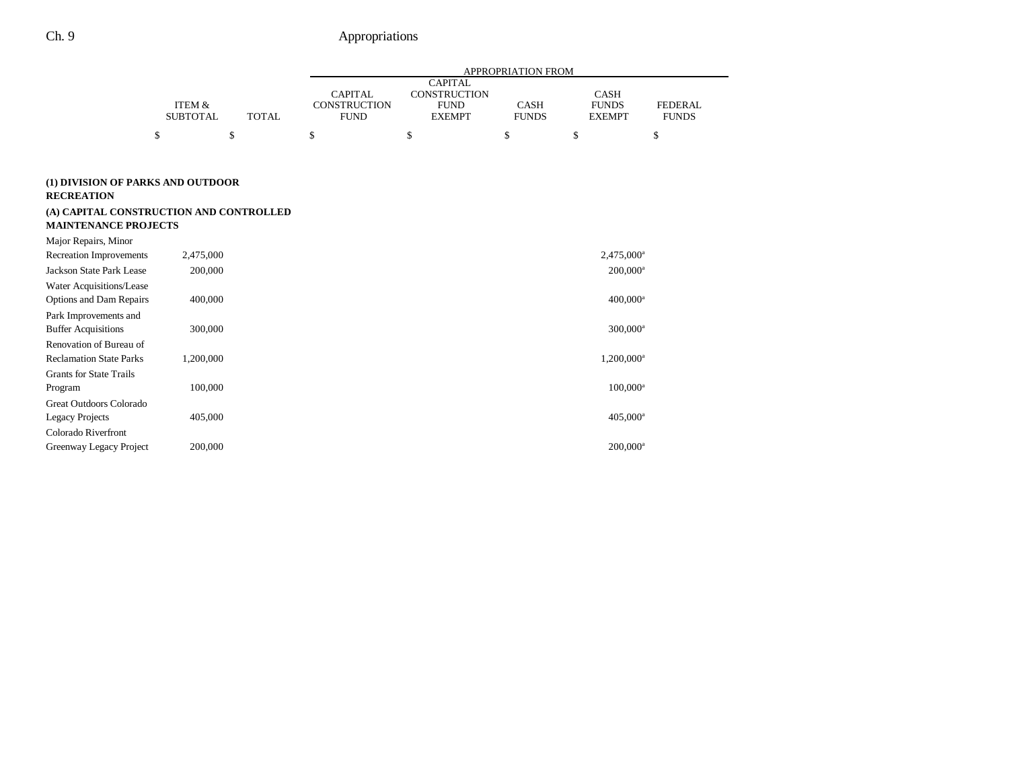|                                                                                                                                  |                           |              | APPROPRIATION FROM                                   |                                                                |                             |                                              |                                |
|----------------------------------------------------------------------------------------------------------------------------------|---------------------------|--------------|------------------------------------------------------|----------------------------------------------------------------|-----------------------------|----------------------------------------------|--------------------------------|
|                                                                                                                                  | ITEM &<br><b>SUBTOTAL</b> | <b>TOTAL</b> | <b>CAPITAL</b><br><b>CONSTRUCTION</b><br><b>FUND</b> | <b>CAPITAL</b><br>CONSTRUCTION<br><b>FUND</b><br><b>EXEMPT</b> | <b>CASH</b><br><b>FUNDS</b> | <b>CASH</b><br><b>FUNDS</b><br><b>EXEMPT</b> | <b>FEDERAL</b><br><b>FUNDS</b> |
|                                                                                                                                  | \$                        | \$           | \$                                                   | \$                                                             | \$                          | \$                                           | \$                             |
| (1) DIVISION OF PARKS AND OUTDOOR<br><b>RECREATION</b><br>(A) CAPITAL CONSTRUCTION AND CONTROLLED<br><b>MAINTENANCE PROJECTS</b> |                           |              |                                                      |                                                                |                             |                                              |                                |
| Major Repairs, Minor                                                                                                             |                           |              |                                                      |                                                                |                             |                                              |                                |
| <b>Recreation Improvements</b>                                                                                                   | 2,475,000                 |              |                                                      |                                                                |                             | 2,475,000 <sup>a</sup>                       |                                |
| Jackson State Park Lease                                                                                                         | 200,000                   |              |                                                      |                                                                |                             | $200,000^a$                                  |                                |
| Water Acquisitions/Lease                                                                                                         |                           |              |                                                      |                                                                |                             |                                              |                                |
| Options and Dam Repairs                                                                                                          | 400,000                   |              |                                                      |                                                                |                             | $400,000$ <sup>a</sup>                       |                                |
| Park Improvements and                                                                                                            |                           |              |                                                      |                                                                |                             |                                              |                                |
| <b>Buffer Acquisitions</b>                                                                                                       | 300,000                   |              |                                                      |                                                                |                             | 300,000 <sup>a</sup>                         |                                |
| Renovation of Bureau of                                                                                                          |                           |              |                                                      |                                                                |                             |                                              |                                |
| <b>Reclamation State Parks</b>                                                                                                   | 1,200,000                 |              |                                                      |                                                                |                             | 1,200,000 <sup>a</sup>                       |                                |
| <b>Grants for State Trails</b>                                                                                                   |                           |              |                                                      |                                                                |                             |                                              |                                |
| Program                                                                                                                          | 100,000                   |              |                                                      |                                                                |                             | $100,000^a$                                  |                                |
| Great Outdoors Colorado                                                                                                          |                           |              |                                                      |                                                                |                             |                                              |                                |
| Legacy Projects                                                                                                                  | 405,000                   |              |                                                      |                                                                |                             | $405,000^a$                                  |                                |
| Colorado Riverfront                                                                                                              |                           |              |                                                      |                                                                |                             |                                              |                                |
| Greenway Legacy Project                                                                                                          | 200,000                   |              |                                                      |                                                                |                             | $200,000$ <sup>a</sup>                       |                                |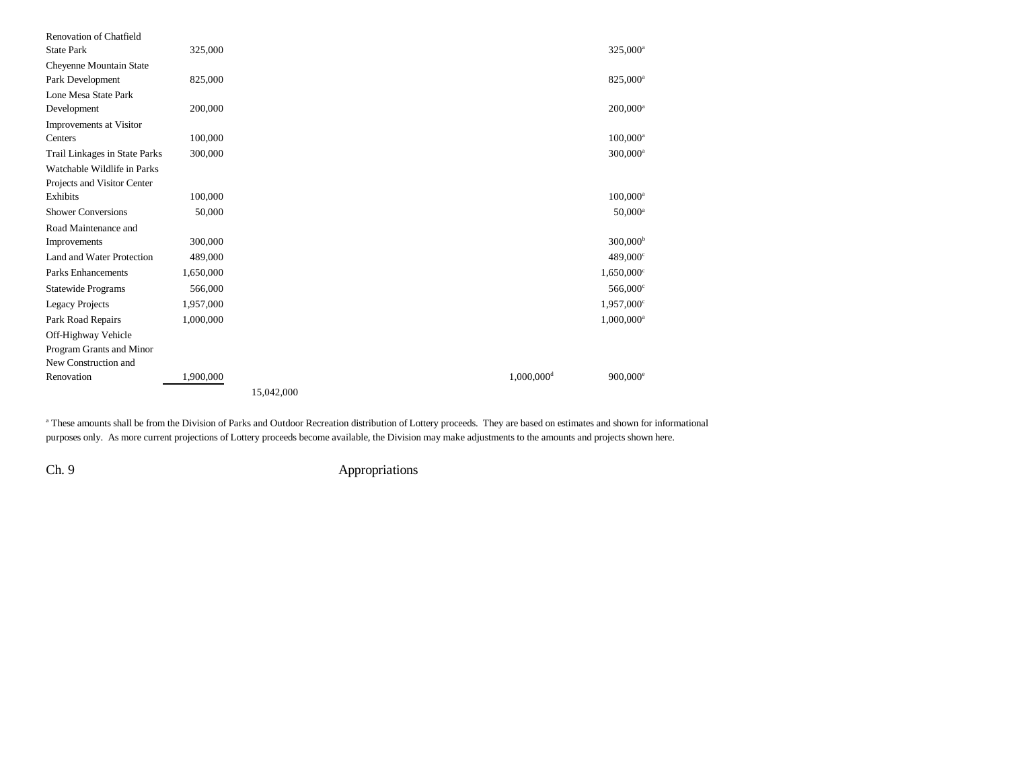| Renovation of Chatfield       |           |            |                          |                      |
|-------------------------------|-----------|------------|--------------------------|----------------------|
| <b>State Park</b>             | 325,000   |            |                          | 325,000 <sup>a</sup> |
| Cheyenne Mountain State       |           |            |                          |                      |
| Park Development              | 825,000   |            |                          | 825,000 <sup>a</sup> |
| Lone Mesa State Park          |           |            |                          |                      |
| Development                   | 200,000   |            |                          | $200,000^a$          |
| Improvements at Visitor       |           |            |                          |                      |
| Centers                       | 100,000   |            |                          | $100,000^a$          |
| Trail Linkages in State Parks | 300,000   |            |                          | 300,000 <sup>a</sup> |
| Watchable Wildlife in Parks   |           |            |                          |                      |
| Projects and Visitor Center   |           |            |                          |                      |
| Exhibits                      | 100,000   |            |                          | $100,000^{\rm a}$    |
| <b>Shower Conversions</b>     | 50,000    |            |                          | $50,000^{\rm a}$     |
| Road Maintenance and          |           |            |                          |                      |
| Improvements                  | 300,000   |            |                          | 300,000 <sup>b</sup> |
| Land and Water Protection     | 489,000   |            |                          | 489,000°             |
| <b>Parks Enhancements</b>     | 1,650,000 |            |                          | $1,650,000^{\circ}$  |
| <b>Statewide Programs</b>     | 566,000   |            |                          | 566,000°             |
| <b>Legacy Projects</b>        | 1,957,000 |            |                          | 1,957,000°           |
| Park Road Repairs             | 1,000,000 |            |                          | $1,000,000^a$        |
| Off-Highway Vehicle           |           |            |                          |                      |
| Program Grants and Minor      |           |            |                          |                      |
| New Construction and          |           |            |                          |                      |
| Renovation                    | 1,900,000 |            | $1,000,000$ <sup>d</sup> | $900,000^{\circ}$    |
|                               |           | 15,042,000 |                          |                      |

<sup>a</sup> These amounts shall be from the Division of Parks and Outdoor Recreation distribution of Lottery proceeds. They are based on estimates and shown for informational purposes only. As more current projections of Lottery proceeds become available, the Division may make adjustments to the amounts and projects shown here.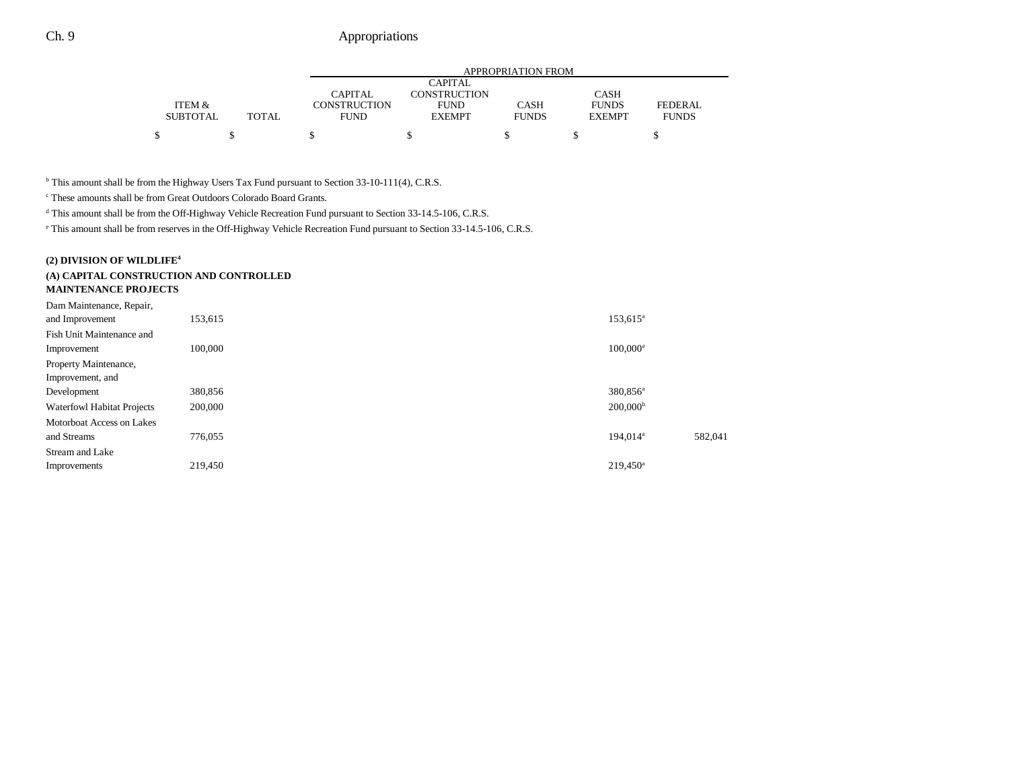|                 |       |              |               | APPROPRIATION FROM |               |                |
|-----------------|-------|--------------|---------------|--------------------|---------------|----------------|
|                 |       |              | CAPITAL       |                    |               |                |
|                 |       | CAPITAL      | CONSTRUCTION  |                    | <b>CASH</b>   |                |
| ITEM &          |       | CONSTRUCTION | <b>FUND</b>   | <b>CASH</b>        | <b>FUNDS</b>  | <b>FEDERAL</b> |
| <b>SUBTOTAL</b> | TOTAL | <b>FUND</b>  | <b>EXEMPT</b> | <b>FUNDS</b>       | <b>EXEMPT</b> | <b>FUNDS</b>   |
|                 |       |              |               |                    |               |                |
|                 |       |              |               |                    |               |                |

<sup>b</sup> This amount shall be from the Highway Users Tax Fund pursuant to Section 33-10-111(4), C.R.S.

c These amounts shall be from Great Outdoors Colorado Board Grants.

d This amount shall be from the Off-Highway Vehicle Recreation Fund pursuant to Section 33-14.5-106, C.R.S.

e This amount shall be from reserves in the Off-Highway Vehicle Recreation Fund pursuant to Section 33-14.5-106, C.R.S.

### **(2) DIVISION OF WILDLIFE4**

# **(A) CAPITAL CONSTRUCTION AND CONTROLLED**

|        |  | <b>MAINTENANCE PROJECTS</b> |  |  |
|--------|--|-----------------------------|--|--|
| $\sim$ |  |                             |  |  |

| Dam Maintenance, Repair,          |         |                      |         |
|-----------------------------------|---------|----------------------|---------|
| and Improvement                   | 153,615 | 153,615 <sup>a</sup> |         |
| Fish Unit Maintenance and         |         |                      |         |
| Improvement                       | 100,000 | $100,000^a$          |         |
| Property Maintenance,             |         |                      |         |
| Improvement, and                  |         |                      |         |
| Development                       | 380,856 | 380,856 <sup>a</sup> |         |
| <b>Waterfowl Habitat Projects</b> | 200,000 | 200,000 <sup>b</sup> |         |
| Motorboat Access on Lakes         |         |                      |         |
| and Streams                       | 776,055 | 194,014 <sup>a</sup> | 582,041 |
| Stream and Lake                   |         |                      |         |
| Improvements                      | 219,450 | $219.450^a$          |         |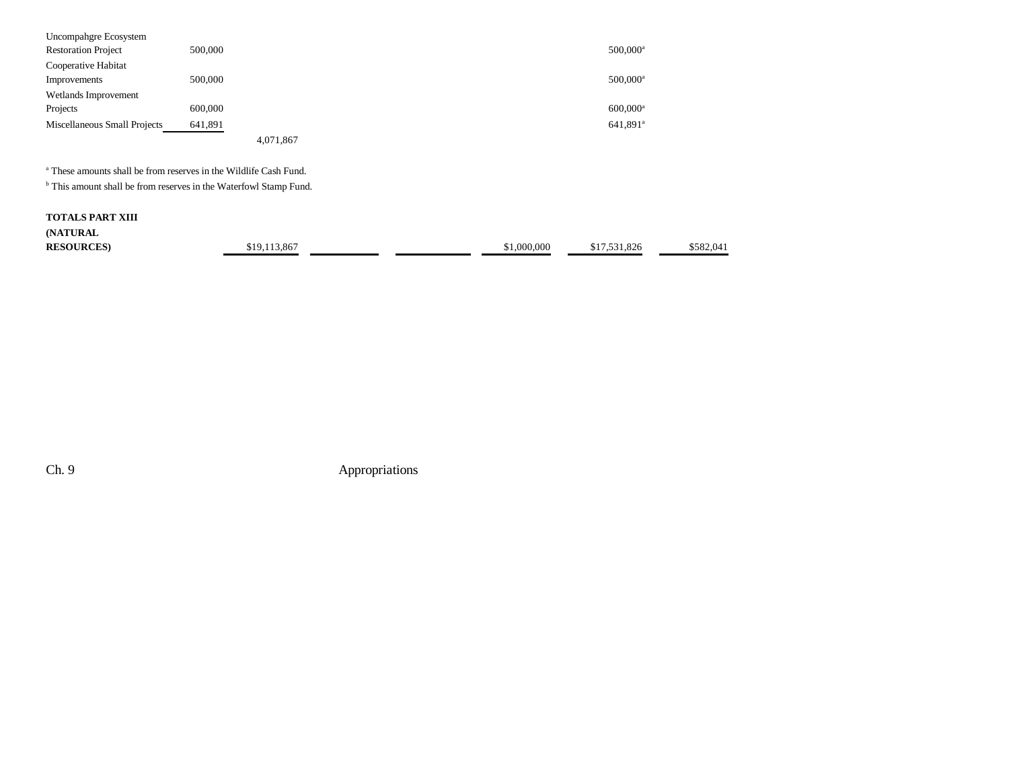| Uncompahgre Ecosystem        |                                                                              |             |                        |           |
|------------------------------|------------------------------------------------------------------------------|-------------|------------------------|-----------|
| <b>Restoration Project</b>   | 500,000                                                                      |             | 500,000 <sup>a</sup>   |           |
| Cooperative Habitat          |                                                                              |             |                        |           |
| Improvements                 | 500,000                                                                      |             | $500,000^a$            |           |
| Wetlands Improvement         |                                                                              |             |                        |           |
| Projects                     | 600,000                                                                      |             | $600,000$ <sup>a</sup> |           |
| Miscellaneous Small Projects | 641,891                                                                      |             | 641,891 <sup>a</sup>   |           |
|                              | 4,071,867                                                                    |             |                        |           |
|                              | <sup>a</sup> These amounts shall be from reserves in the Wildlife Cash Fund. |             |                        |           |
|                              | <sup>b</sup> This amount shall be from reserves in the Waterfowl Stamp Fund. |             |                        |           |
| <b>TOTALS PART XIII</b>      |                                                                              |             |                        |           |
| (NATURAL                     |                                                                              |             |                        |           |
| <b>RESOURCES</b>             | \$19,113,867                                                                 | \$1,000,000 | \$17,531,826           | \$582,041 |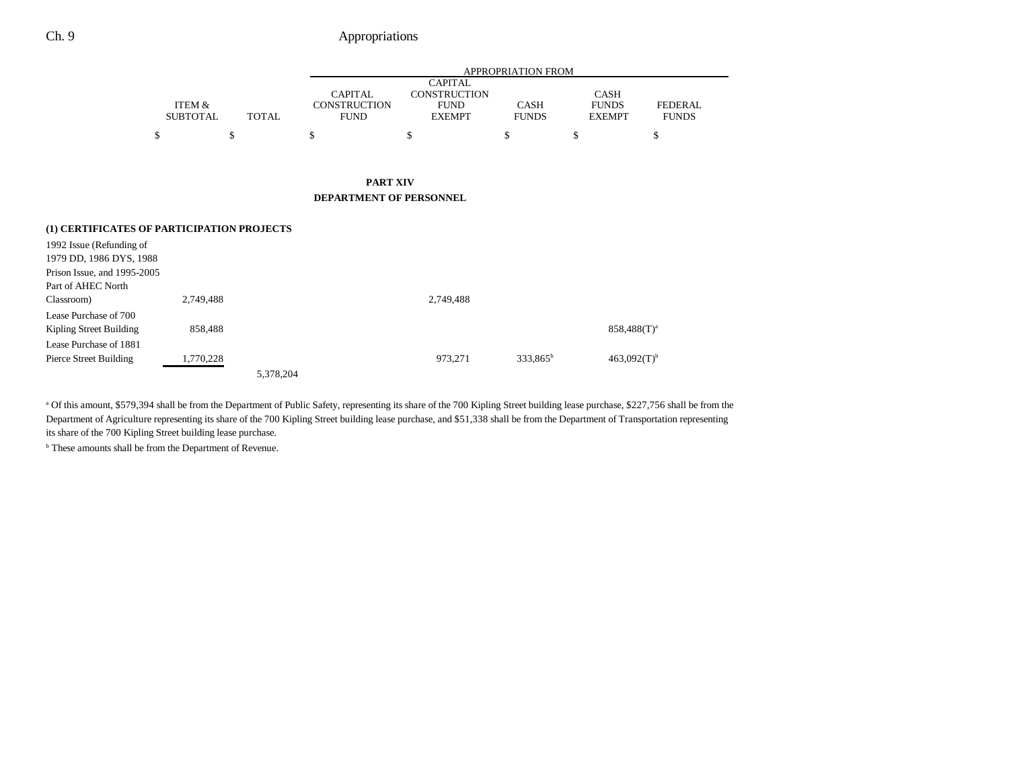|                           |   |              | <b>APPROPRIATION FROM</b>          |                              |                             |                               |                                |  |  |  |
|---------------------------|---|--------------|------------------------------------|------------------------------|-----------------------------|-------------------------------|--------------------------------|--|--|--|
|                           |   |              |                                    | <b>CAPITAL</b>               |                             |                               |                                |  |  |  |
|                           |   |              | <b>CAPITAL</b>                     | <b>CONSTRUCTION</b>          |                             | <b>CASH</b>                   |                                |  |  |  |
| ITEM &<br><b>SUBTOTAL</b> |   | <b>TOTAL</b> | <b>CONSTRUCTION</b><br><b>FUND</b> | <b>FUND</b><br><b>EXEMPT</b> | <b>CASH</b><br><b>FUNDS</b> | <b>FUNDS</b><br><b>EXEMPT</b> | <b>FEDERAL</b><br><b>FUNDS</b> |  |  |  |
|                           |   |              |                                    |                              |                             |                               |                                |  |  |  |
|                           | S | \$           |                                    |                              |                             |                               | S                              |  |  |  |
|                           |   |              |                                    |                              |                             |                               |                                |  |  |  |
|                           |   |              |                                    |                              |                             |                               |                                |  |  |  |

#### **PART XIV DEPARTMENT OF PERSONNEL**

| (1) CERTIFICATES OF PARTICIPATION PROJECTS |           |           |           |             |                           |
|--------------------------------------------|-----------|-----------|-----------|-------------|---------------------------|
| 1992 Issue (Refunding of                   |           |           |           |             |                           |
| 1979 DD, 1986 DYS, 1988                    |           |           |           |             |                           |
| Prison Issue, and 1995-2005                |           |           |           |             |                           |
| Part of AHEC North                         |           |           |           |             |                           |
| Classroom)                                 | 2,749,488 |           | 2,749,488 |             |                           |
| Lease Purchase of 700                      |           |           |           |             |                           |
| Kipling Street Building                    | 858.488   |           |           |             | $858,488(T)^a$            |
| Lease Purchase of 1881                     |           |           |           |             |                           |
| Pierce Street Building                     | 1,770,228 |           | 973.271   | $333.865^b$ | $463.092(T)$ <sup>b</sup> |
|                                            |           | 5.378.204 |           |             |                           |

<sup>a</sup> Of this amount, \$579,394 shall be from the Department of Public Safety, representing its share of the 700 Kipling Street building lease purchase, \$227,756 shall be from the Department of Agriculture representing its share of the 700 Kipling Street building lease purchase, and \$51,338 shall be from the Department of Transportation representing its share of the 700 Kipling Street building lease purchase.

b These amounts shall be from the Department of Revenue.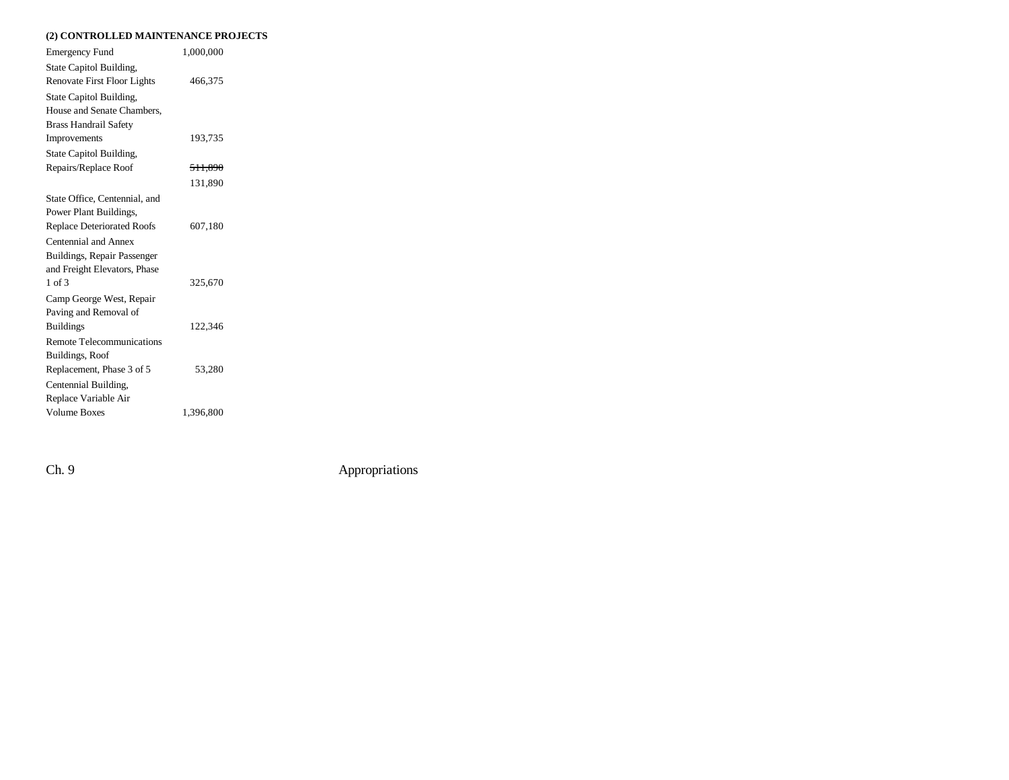### **(2) CONTROLLED MAINTENANCE PROJECTS**

| <b>Emergency Fund</b>             | 1,000,000          |  |
|-----------------------------------|--------------------|--|
| State Capitol Building,           |                    |  |
| Renovate First Floor Lights       | 466,375            |  |
| State Capitol Building,           |                    |  |
| House and Senate Chambers,        |                    |  |
| <b>Brass Handrail Safety</b>      |                    |  |
| Improvements                      | 193,735            |  |
| State Capitol Building,           |                    |  |
| Repairs/Replace Roof              | <del>511,890</del> |  |
|                                   | 131,890            |  |
| State Office, Centennial, and     |                    |  |
| Power Plant Buildings,            |                    |  |
| <b>Replace Deteriorated Roofs</b> | 607,180            |  |
| Centennial and Annex              |                    |  |
| Buildings, Repair Passenger       |                    |  |
| and Freight Elevators, Phase      |                    |  |
| $1$ of $3$                        | 325,670            |  |
| Camp George West, Repair          |                    |  |
| Paving and Removal of             |                    |  |
| <b>Buildings</b>                  | 122,346            |  |
| Remote Telecommunications         |                    |  |
| Buildings, Roof                   |                    |  |
| Replacement, Phase 3 of 5         | 53,280             |  |
| Centennial Building,              |                    |  |
| Replace Variable Air              |                    |  |
| <b>Volume Boxes</b>               | 1,396,800          |  |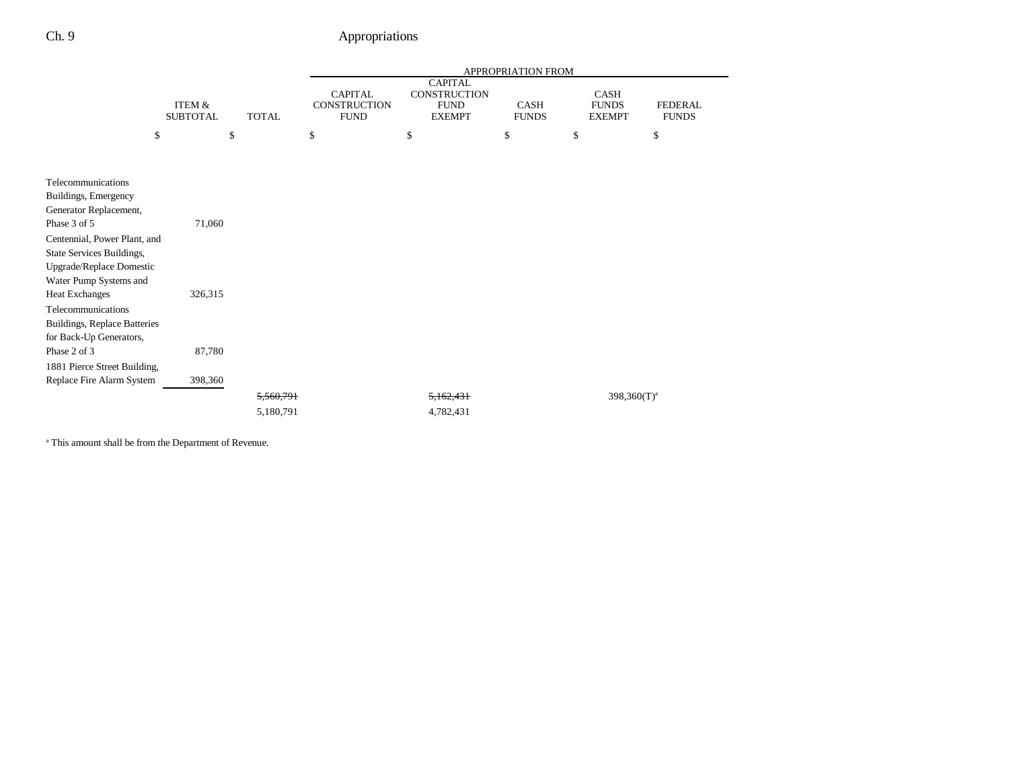|                                                                                                                 |                           |              |                                               |                                                                       | APPROPRIATION FROM   |                                                                         |  |
|-----------------------------------------------------------------------------------------------------------------|---------------------------|--------------|-----------------------------------------------|-----------------------------------------------------------------------|----------------------|-------------------------------------------------------------------------|--|
|                                                                                                                 | ITEM &<br><b>SUBTOTAL</b> | <b>TOTAL</b> | <b>CAPITAL</b><br>CONSTRUCTION<br><b>FUND</b> | <b>CAPITAL</b><br><b>CONSTRUCTION</b><br><b>FUND</b><br><b>EXEMPT</b> | CASH<br><b>FUNDS</b> | CASH<br><b>FUNDS</b><br><b>FEDERAL</b><br><b>FUNDS</b><br><b>EXEMPT</b> |  |
|                                                                                                                 | \$                        | \$           | \$                                            | \$                                                                    | \$                   | \$<br>\$                                                                |  |
|                                                                                                                 |                           |              |                                               |                                                                       |                      |                                                                         |  |
| Telecommunications<br>Buildings, Emergency                                                                      |                           |              |                                               |                                                                       |                      |                                                                         |  |
| Generator Replacement,<br>Phase 3 of 5                                                                          | 71,060                    |              |                                               |                                                                       |                      |                                                                         |  |
| Centennial, Power Plant, and<br>State Services Buildings,<br>Upgrade/Replace Domestic<br>Water Pump Systems and |                           |              |                                               |                                                                       |                      |                                                                         |  |
| <b>Heat Exchanges</b>                                                                                           | 326,315                   |              |                                               |                                                                       |                      |                                                                         |  |
| Telecommunications<br>Buildings, Replace Batteries<br>for Back-Up Generators,                                   |                           |              |                                               |                                                                       |                      |                                                                         |  |
| Phase 2 of 3                                                                                                    | 87,780                    |              |                                               |                                                                       |                      |                                                                         |  |
| 1881 Pierce Street Building,                                                                                    |                           |              |                                               |                                                                       |                      |                                                                         |  |
| Replace Fire Alarm System                                                                                       | 398,360                   |              |                                               |                                                                       |                      |                                                                         |  |
|                                                                                                                 |                           | 5,560,791    |                                               | 5,162,431                                                             |                      | $398,360(T)^a$                                                          |  |
|                                                                                                                 |                           | 5,180,791    |                                               | 4,782,431                                                             |                      |                                                                         |  |

a This amount shall be from the Department of Revenue.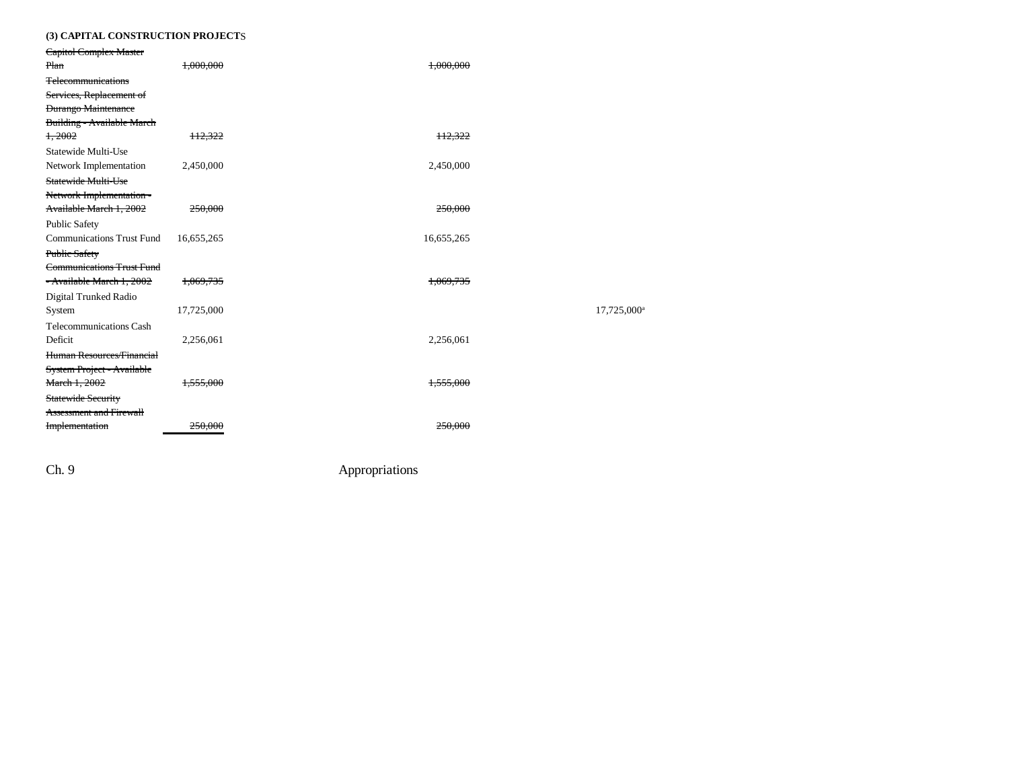### **(3) CAPITAL CONSTRUCTION PROJECT**S

| Capitol Complex Master                          |                    |            |                         |
|-------------------------------------------------|--------------------|------------|-------------------------|
| Plan                                            | 1,000,000          | 1,000,000  |                         |
| <b>Telecommunications</b>                       |                    |            |                         |
| Services, Replacement of                        |                    |            |                         |
| <b>Durango Maintenance</b>                      |                    |            |                         |
| Building - Available March                      |                    |            |                         |
| 1,2002                                          | 112,322            | 112,322    |                         |
| Statewide Multi-Use                             |                    |            |                         |
| Network Implementation                          | 2,450,000          | 2,450,000  |                         |
| Statewide Multi-Use<br>Network Implementation - |                    |            |                         |
| Available March 1, 2002                         | 250,000            | 250,000    |                         |
| <b>Public Safety</b>                            |                    |            |                         |
| <b>Communications Trust Fund</b>                | 16,655,265         | 16,655,265 |                         |
| Public Safety                                   |                    |            |                         |
| <b>Communications Trust Fund</b>                |                    |            |                         |
| - Available March 1, 2002                       | 1,069,735          | 1,069,735  |                         |
| Digital Trunked Radio                           |                    |            |                         |
| System                                          | 17,725,000         |            | 17,725,000 <sup>a</sup> |
| <b>Telecommunications Cash</b>                  |                    |            |                         |
| Deficit                                         | 2,256,061          | 2,256,061  |                         |
| Human Resources/Financial                       |                    |            |                         |
| System Project - Available                      |                    |            |                         |
| March 1, 2002                                   | 1.555.000          | 1.555.000  |                         |
| Statewide Security                              |                    |            |                         |
| <b>Assessment and Firewall</b>                  |                    |            |                         |
| Implementation                                  | <del>250,000</del> | 250,000    |                         |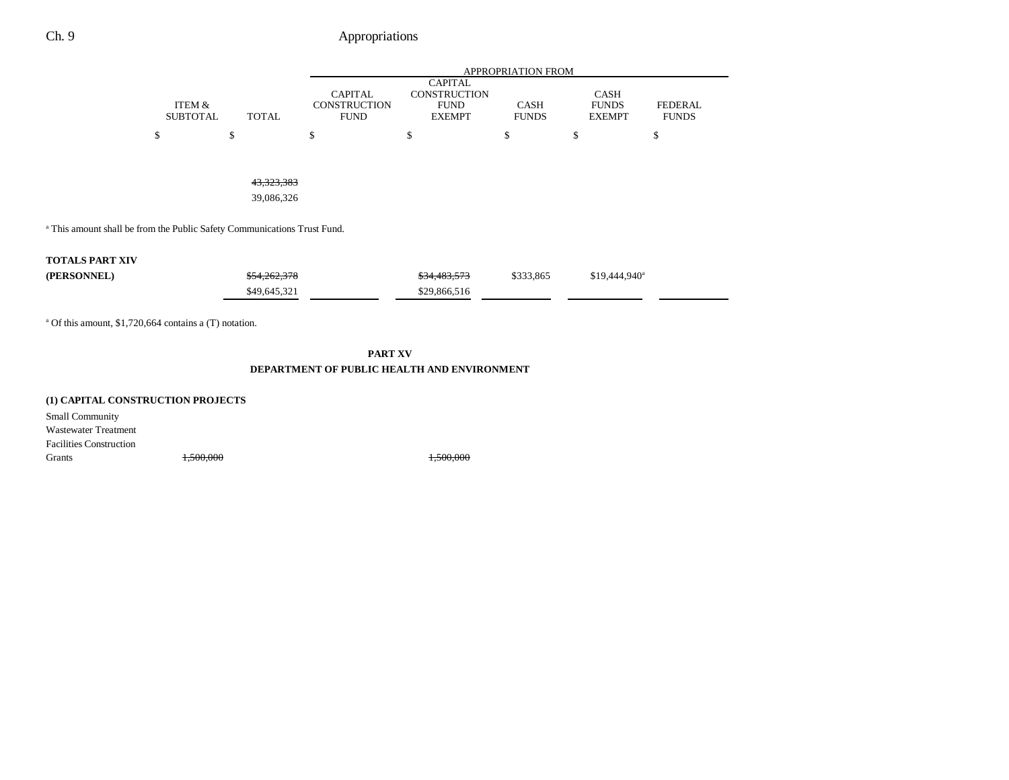|                                                                                     |                                           |                          | APPROPRIATION FROM                                   |                                                                       |                             |                                       |                                |  |
|-------------------------------------------------------------------------------------|-------------------------------------------|--------------------------|------------------------------------------------------|-----------------------------------------------------------------------|-----------------------------|---------------------------------------|--------------------------------|--|
|                                                                                     | ITEM &<br><b>SUBTOTAL</b><br><b>TOTAL</b> |                          | <b>CAPITAL</b><br><b>CONSTRUCTION</b><br><b>FUND</b> | <b>CAPITAL</b><br><b>CONSTRUCTION</b><br><b>FUND</b><br><b>EXEMPT</b> | <b>CASH</b><br><b>FUNDS</b> | CASH<br><b>FUNDS</b><br><b>EXEMPT</b> | <b>FEDERAL</b><br><b>FUNDS</b> |  |
|                                                                                     | \$                                        | \$                       | \$                                                   | \$                                                                    | \$                          | \$                                    | \$                             |  |
|                                                                                     |                                           | 43,323,383<br>39,086,326 |                                                      |                                                                       |                             |                                       |                                |  |
| <sup>a</sup> This amount shall be from the Public Safety Communications Trust Fund. |                                           |                          |                                                      |                                                                       |                             |                                       |                                |  |
| <b>TOTALS PART XIV</b>                                                              |                                           |                          |                                                      |                                                                       |                             |                                       |                                |  |
| (PERSONNEL)                                                                         |                                           | \$54,262,378             |                                                      | \$34,483,573                                                          | \$333,865                   | \$19,444,940 <sup>a</sup>             |                                |  |
|                                                                                     |                                           | \$49,645,321             |                                                      | \$29,866,516                                                          |                             |                                       |                                |  |
|                                                                                     |                                           |                          |                                                      |                                                                       |                             |                                       |                                |  |

 $\blacksquare$ 

 $\overline{\phantom{0}}$ 

a Of this amount, \$1,720,664 contains a (T) notation.

**PART XV**

#### **DEPARTMENT OF PUBLIC HEALTH AND ENVIRONMENT**

### **(1) CAPITAL CONSTRUCTION PROJECTS**

Small Community Wastewater Treatment Facilities ConstructionGrants 1,500,000 1,500,000 1,500,000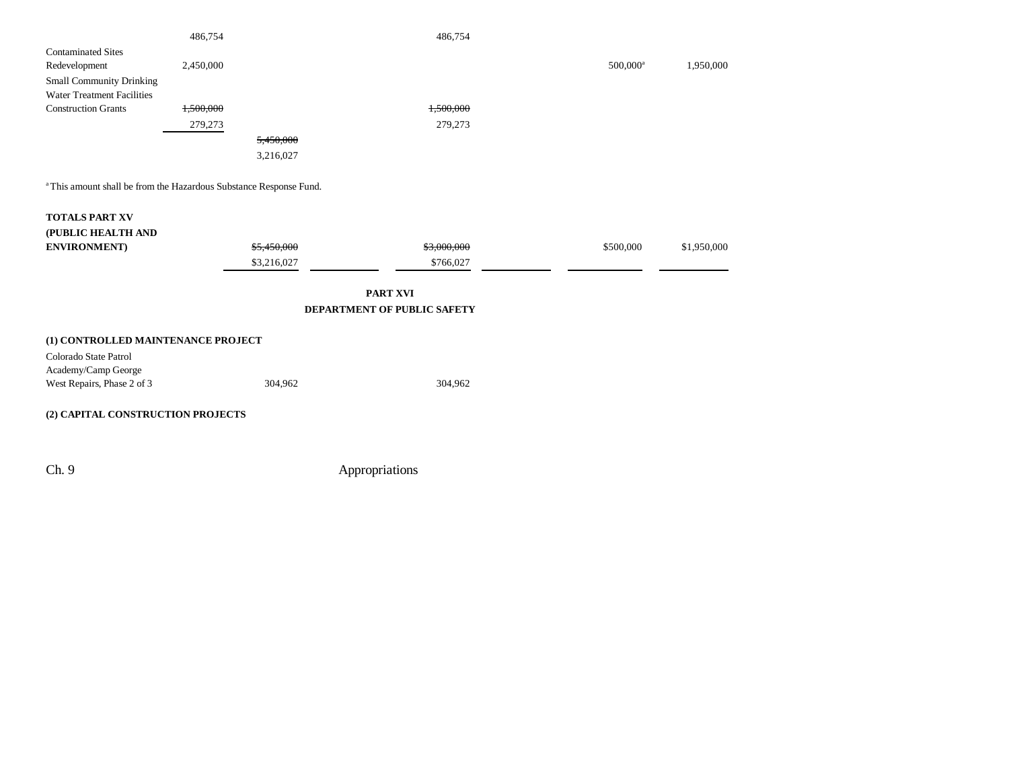|                                                                               | 486,754   |             | 486,754                     |                        |             |
|-------------------------------------------------------------------------------|-----------|-------------|-----------------------------|------------------------|-------------|
| <b>Contaminated Sites</b>                                                     |           |             |                             |                        |             |
| Redevelopment                                                                 | 2,450,000 |             |                             | $500,000$ <sup>a</sup> | 1,950,000   |
| <b>Small Community Drinking</b>                                               |           |             |                             |                        |             |
| <b>Water Treatment Facilities</b>                                             |           |             |                             |                        |             |
| <b>Construction Grants</b>                                                    | 1,500,000 |             | 1,500,000                   |                        |             |
|                                                                               | 279,273   |             | 279,273                     |                        |             |
|                                                                               |           | 5,450,000   |                             |                        |             |
|                                                                               |           | 3,216,027   |                             |                        |             |
|                                                                               |           |             |                             |                        |             |
| <sup>a</sup> This amount shall be from the Hazardous Substance Response Fund. |           |             |                             |                        |             |
| <b>TOTALS PART XV</b>                                                         |           |             |                             |                        |             |
| (PUBLIC HEALTH AND                                                            |           |             |                             |                        |             |
| <b>ENVIRONMENT</b> )                                                          |           | \$5,450,000 | \$3,000,000                 | \$500,000              | \$1,950,000 |
|                                                                               |           | \$3,216,027 | \$766,027                   |                        |             |
|                                                                               |           |             | <b>PART XVI</b>             |                        |             |
|                                                                               |           |             | DEPARTMENT OF PUBLIC SAFETY |                        |             |
|                                                                               |           |             |                             |                        |             |

| (1) CONTROLLED MAINTENANCE PROJECT |         |         |
|------------------------------------|---------|---------|
| Colorado State Patrol              |         |         |
| Academy/Camp George                |         |         |
| West Repairs, Phase 2 of 3         | 304.962 | 304.962 |
|                                    |         |         |

### **(2) CAPITAL CONSTRUCTION PROJECTS**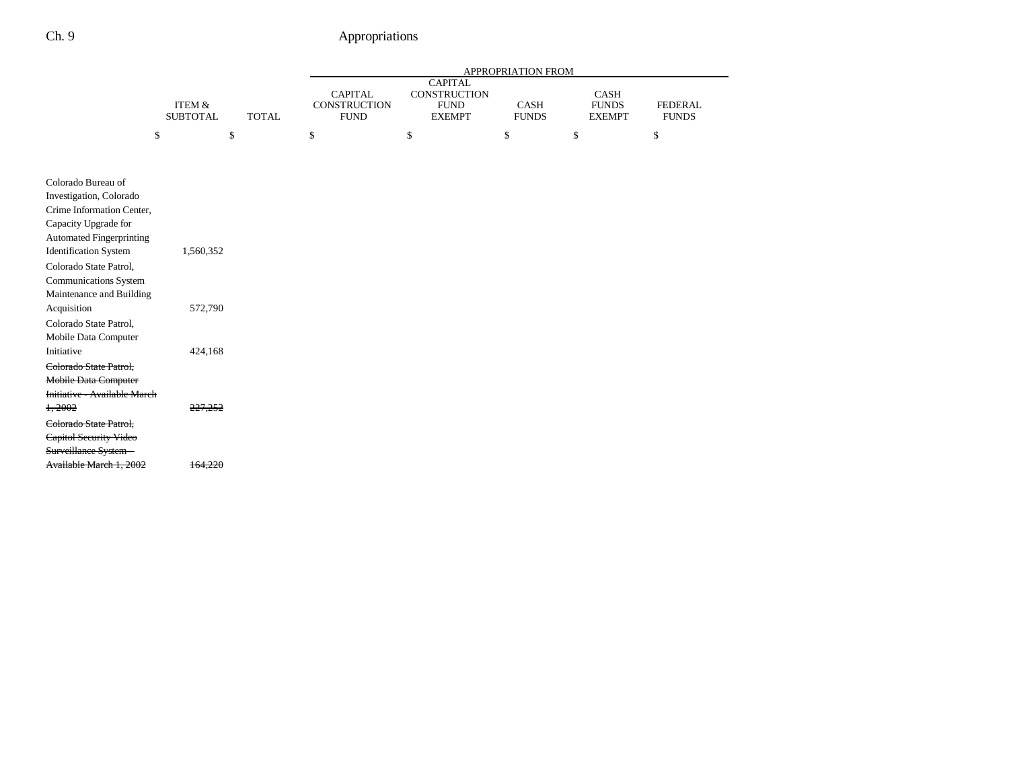|                                                                                                                                                                       |                                      |              | APPROPRIATION FROM                            |                                                                       |                             |                                       |                                |  |  |
|-----------------------------------------------------------------------------------------------------------------------------------------------------------------------|--------------------------------------|--------------|-----------------------------------------------|-----------------------------------------------------------------------|-----------------------------|---------------------------------------|--------------------------------|--|--|
|                                                                                                                                                                       | <b>ITEM &amp;</b><br><b>SUBTOTAL</b> | <b>TOTAL</b> | <b>CAPITAL</b><br>CONSTRUCTION<br><b>FUND</b> | <b>CAPITAL</b><br><b>CONSTRUCTION</b><br><b>FUND</b><br><b>EXEMPT</b> | <b>CASH</b><br><b>FUNDS</b> | CASH<br><b>FUNDS</b><br><b>EXEMPT</b> | <b>FEDERAL</b><br><b>FUNDS</b> |  |  |
|                                                                                                                                                                       | \$<br>\$                             |              | \$                                            | \$                                                                    | \$                          | \$                                    | \$                             |  |  |
|                                                                                                                                                                       |                                      |              |                                               |                                                                       |                             |                                       |                                |  |  |
| Colorado Bureau of<br>Investigation, Colorado<br>Crime Information Center,<br>Capacity Upgrade for<br><b>Automated Fingerprinting</b><br><b>Identification System</b> | 1,560,352                            |              |                                               |                                                                       |                             |                                       |                                |  |  |
| Colorado State Patrol,<br><b>Communications System</b><br>Maintenance and Building                                                                                    |                                      |              |                                               |                                                                       |                             |                                       |                                |  |  |
| Acquisition<br>Colorado State Patrol,<br>Mobile Data Computer                                                                                                         | 572,790                              |              |                                               |                                                                       |                             |                                       |                                |  |  |
| Initiative<br>Colorado State Patrol,<br>Mobile Data Computer<br>Initiative - Available March                                                                          | 424,168                              |              |                                               |                                                                       |                             |                                       |                                |  |  |
| 1,2002<br>Colorado State Patrol,<br>Capitol Security Video<br>Surveillance System -                                                                                   | 227,252                              |              |                                               |                                                                       |                             |                                       |                                |  |  |
| Available March 1, 2002                                                                                                                                               | 164,220                              |              |                                               |                                                                       |                             |                                       |                                |  |  |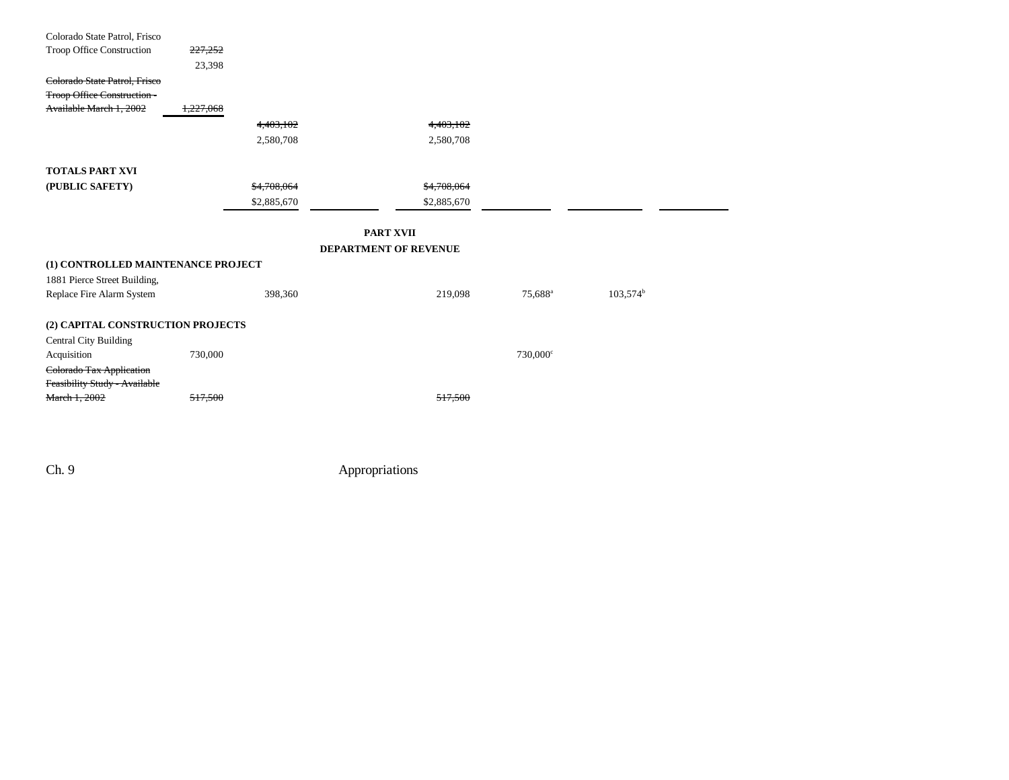| Colorado State Patrol, Frisco      |             |                              |                     |                   |  |
|------------------------------------|-------------|------------------------------|---------------------|-------------------|--|
| Troop Office Construction          | 227,252     |                              |                     |                   |  |
|                                    | 23,398      |                              |                     |                   |  |
| Colorado State Patrol, Frisco      |             |                              |                     |                   |  |
| <b>Troop Office Construction -</b> |             |                              |                     |                   |  |
| Available March 1, 2002            | 1,227,068   |                              |                     |                   |  |
|                                    | 4,403,102   | 4,403,102                    |                     |                   |  |
|                                    | 2,580,708   | 2,580,708                    |                     |                   |  |
|                                    |             |                              |                     |                   |  |
| <b>TOTALS PART XVI</b>             |             |                              |                     |                   |  |
| (PUBLIC SAFETY)                    | \$4,708,064 | \$4,708,064                  |                     |                   |  |
|                                    | \$2,885,670 | \$2,885,670                  |                     |                   |  |
|                                    |             | <b>PART XVII</b>             |                     |                   |  |
|                                    |             | <b>DEPARTMENT OF REVENUE</b> |                     |                   |  |
| (1) CONTROLLED MAINTENANCE PROJECT |             |                              |                     |                   |  |
|                                    |             |                              |                     |                   |  |
| 1881 Pierce Street Building,       |             |                              |                     |                   |  |
| Replace Fire Alarm System          | 398,360     | 219,098                      | 75,688 <sup>a</sup> | $103,574^{\rm b}$ |  |
| (2) CAPITAL CONSTRUCTION PROJECTS  |             |                              |                     |                   |  |
| <b>Central City Building</b>       |             |                              |                     |                   |  |
| Acquisition                        | 730,000     |                              | $730,000^{\circ}$   |                   |  |
| Colorado Tax Application           |             |                              |                     |                   |  |
| Feasibility Study - Available      |             |                              |                     |                   |  |
| March 1, 2002                      | 517,500     | 517,500                      |                     |                   |  |
|                                    |             |                              |                     |                   |  |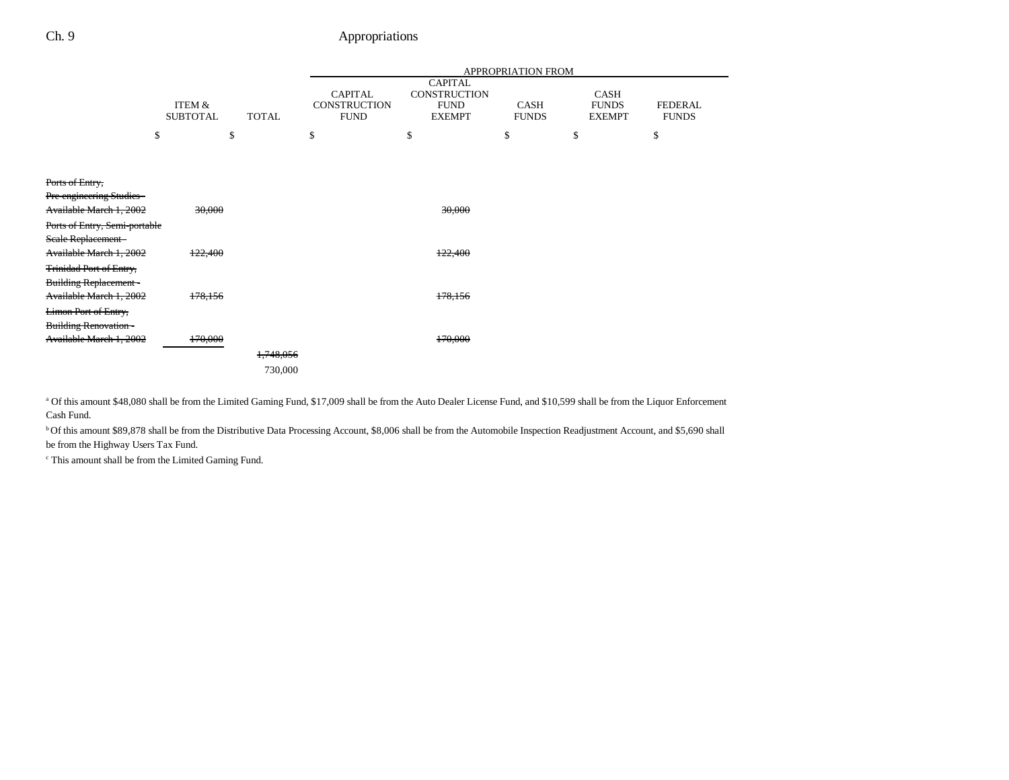|                                                                |                           |              |                                               |                                                                       | <b>APPROPRIATION FROM</b>   |                                              |                                |
|----------------------------------------------------------------|---------------------------|--------------|-----------------------------------------------|-----------------------------------------------------------------------|-----------------------------|----------------------------------------------|--------------------------------|
|                                                                | ITEM &<br><b>SUBTOTAL</b> | <b>TOTAL</b> | <b>CAPITAL</b><br>CONSTRUCTION<br><b>FUND</b> | <b>CAPITAL</b><br><b>CONSTRUCTION</b><br><b>FUND</b><br><b>EXEMPT</b> | <b>CASH</b><br><b>FUNDS</b> | <b>CASH</b><br><b>FUNDS</b><br><b>EXEMPT</b> | <b>FEDERAL</b><br><b>FUNDS</b> |
|                                                                | \$                        | \$<br>\$     |                                               | \$                                                                    | \$                          | \$                                           | \$                             |
|                                                                |                           |              |                                               |                                                                       |                             |                                              |                                |
| Ports of Entry,                                                |                           |              |                                               |                                                                       |                             |                                              |                                |
| Pre-engineering Studies -<br>Available March 1, 2002           | 30,000                    |              |                                               | 30,000                                                                |                             |                                              |                                |
| Ports of Entry, Semi-portable                                  |                           |              |                                               |                                                                       |                             |                                              |                                |
| Seale Replacement-                                             |                           |              |                                               |                                                                       |                             |                                              |                                |
| Available March 1, 2002                                        | 122,400                   |              |                                               | 122,400                                                               |                             |                                              |                                |
| <b>Trinidad Port of Entry,</b><br><b>Building Replacement-</b> |                           |              |                                               |                                                                       |                             |                                              |                                |
| Available March 1, 2002                                        | 178,156                   |              |                                               | 178,156                                                               |                             |                                              |                                |
| <b>Limon Port of Entry,</b>                                    |                           |              |                                               |                                                                       |                             |                                              |                                |
| <b>Building Renovation -</b>                                   |                           |              |                                               |                                                                       |                             |                                              |                                |
| Available March 1, 2002                                        | 170,000                   | 1,748,056    |                                               | 170,000                                                               |                             |                                              |                                |
|                                                                |                           |              |                                               |                                                                       |                             |                                              |                                |
|                                                                |                           | 730,000      |                                               |                                                                       |                             |                                              |                                |

a Of this amount \$48,080 shall be from the Limited Gaming Fund, \$17,009 shall be from the Auto Dealer License Fund, and \$10,599 shall be from the Liquor Enforcement Cash Fund.

b Of this amount \$89,878 shall be from the Distributive Data Processing Account, \$8,006 shall be from the Automobile Inspection Readjustment Account, and \$5,690 shall be from the Highway Users Tax Fund.

c This amount shall be from the Limited Gaming Fund.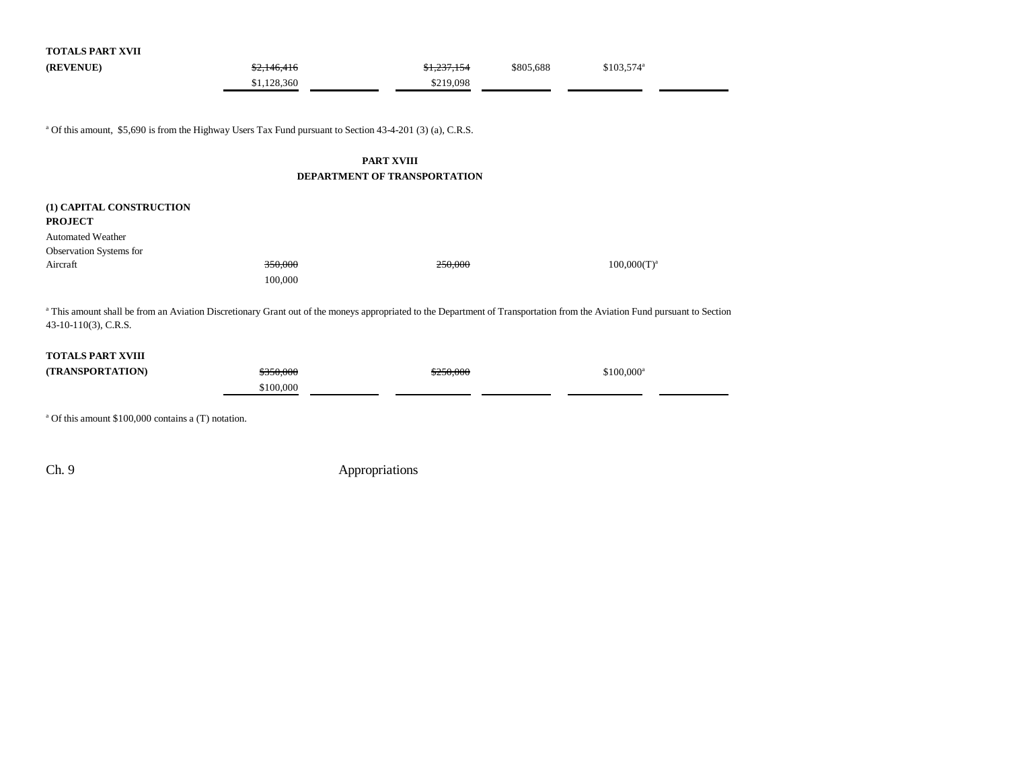| <b>TOTALS PART XVII</b>                                                                                                                                                                           |             |             |           |                    |  |  |
|---------------------------------------------------------------------------------------------------------------------------------------------------------------------------------------------------|-------------|-------------|-----------|--------------------|--|--|
| (REVENUE)                                                                                                                                                                                         | \$2,146,416 | \$1,237,154 | \$805,688 | $$103,574^{\circ}$ |  |  |
|                                                                                                                                                                                                   | \$1,128,360 | \$219,098   |           |                    |  |  |
|                                                                                                                                                                                                   |             |             |           |                    |  |  |
| <sup>a</sup> Of this amount, \$5,690 is from the Highway Users Tax Fund pursuant to Section 43-4-201 (3) (a), C.R.S.                                                                              |             |             |           |                    |  |  |
| <b>PART XVIII</b>                                                                                                                                                                                 |             |             |           |                    |  |  |
| DEPARTMENT OF TRANSPORTATION                                                                                                                                                                      |             |             |           |                    |  |  |
|                                                                                                                                                                                                   |             |             |           |                    |  |  |
| (1) CAPITAL CONSTRUCTION                                                                                                                                                                          |             |             |           |                    |  |  |
| <b>PROJECT</b>                                                                                                                                                                                    |             |             |           |                    |  |  |
| <b>Automated Weather</b>                                                                                                                                                                          |             |             |           |                    |  |  |
| Observation Systems for<br>Aircraft                                                                                                                                                               | 350,000     | 250,000     |           | $100,000(T)^a$     |  |  |
|                                                                                                                                                                                                   | 100,000     |             |           |                    |  |  |
|                                                                                                                                                                                                   |             |             |           |                    |  |  |
| a This amount shall be from an Aviation Discretionary Grant out of the moneys appropriated to the Department of Transportation from the Aviation Fund pursuant to Section<br>43-10-110(3), C.R.S. |             |             |           |                    |  |  |
|                                                                                                                                                                                                   |             |             |           |                    |  |  |
| <b>TOTALS PART XVIII</b>                                                                                                                                                                          |             |             |           |                    |  |  |
| (TRANSPORTATION)                                                                                                                                                                                  | \$350,000   | \$250.000   |           | $$100,000^a$       |  |  |
|                                                                                                                                                                                                   | \$100,000   |             |           |                    |  |  |

a Of this amount \$100,000 contains a (T) notation.

Ch. 9 Appropriations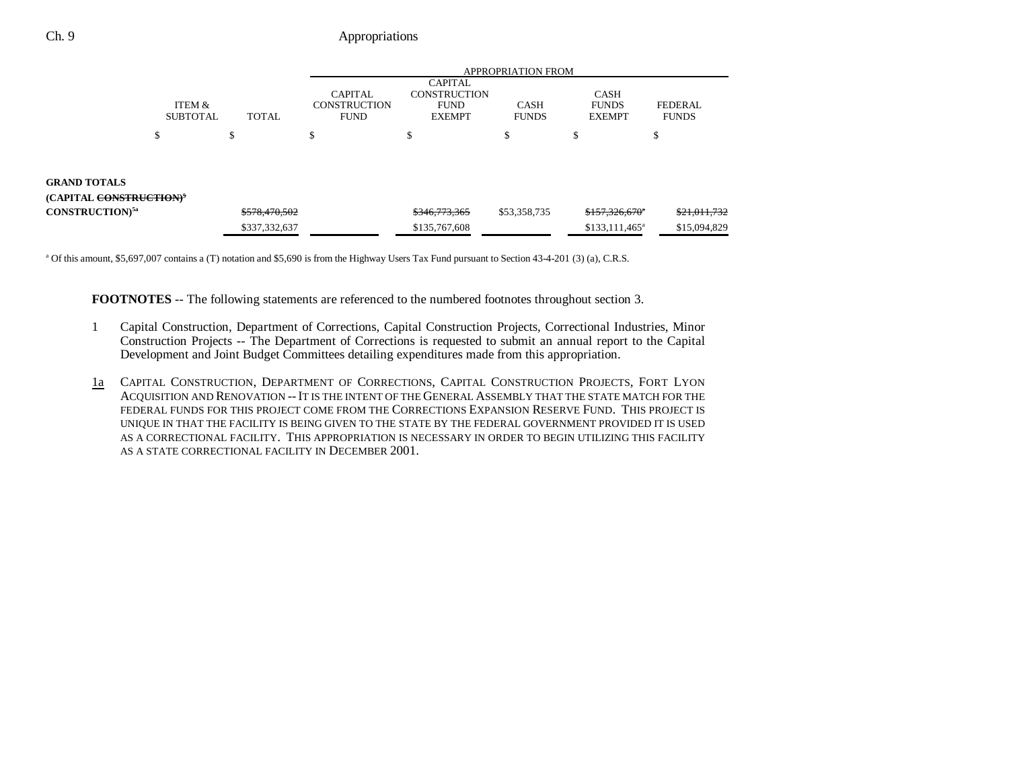## Ch. 9 Appropriations

|                                                                       |                           |               | <b>APPROPRIATION FROM</b>                            |                                                                       |                             |                                              |                                |  |
|-----------------------------------------------------------------------|---------------------------|---------------|------------------------------------------------------|-----------------------------------------------------------------------|-----------------------------|----------------------------------------------|--------------------------------|--|
|                                                                       | ITEM &<br><b>SUBTOTAL</b> | <b>TOTAL</b>  | <b>CAPITAL</b><br><b>CONSTRUCTION</b><br><b>FUND</b> | <b>CAPITAL</b><br><b>CONSTRUCTION</b><br><b>FUND</b><br><b>EXEMPT</b> | <b>CASH</b><br><b>FUNDS</b> | <b>CASH</b><br><b>FUNDS</b><br><b>EXEMPT</b> | <b>FEDERAL</b><br><b>FUNDS</b> |  |
|                                                                       | P                         | J.            | S                                                    | ъ                                                                     | \$                          | \$                                           | \$                             |  |
|                                                                       |                           |               |                                                      |                                                                       |                             |                                              |                                |  |
| <b>GRAND TOTALS</b><br>(CAPITAL <del>CONSTRUCTION)</del> <sup>5</sup> |                           |               |                                                      |                                                                       |                             |                                              |                                |  |
| CONSTRUCTION) <sup>5a</sup>                                           |                           | \$578,470,502 |                                                      | \$346,773,365                                                         | \$53,358,735                | \$157,326,670                                | \$21,011,732                   |  |
|                                                                       |                           | \$337,332,637 |                                                      | \$135,767,608                                                         |                             | $$133,111,465^a$                             | \$15,094,829                   |  |

<sup>a</sup> Of this amount, \$5,697,007 contains a (T) notation and \$5,690 is from the Highway Users Tax Fund pursuant to Section 43-4-201 (3) (a), C.R.S.

**FOOTNOTES** -- The following statements are referenced to the numbered footnotes throughout section 3.

- 1 Capital Construction, Department of Corrections, Capital Construction Projects, Correctional Industries, Minor Construction Projects -- The Department of Corrections is requested to submit an annual report to the Capital Development and Joint Budget Committees detailing expenditures made from this appropriation.
- 1a CAPITAL CONSTRUCTION, DEPARTMENT OF CORRECTIONS, CAPITAL CONSTRUCTION PROJECTS, FORT LYON ACQUISITION AND RENOVATION --IT IS THE INTENT OF THE GENERAL ASSEMBLY THAT THE STATE MATCH FOR THE FEDERAL FUNDS FOR THIS PROJECT COME FROM THE CORRECTIONS EXPANSION RESERVE FUND. THIS PROJECT ISUNIQUE IN THAT THE FACILITY IS BEING GIVEN TO THE STATE BY THE FEDERAL GOVERNMENT PROVIDED IT IS USED AS A CORRECTIONAL FACILITY. THIS APPROPRIATION IS NECESSARY IN ORDER TO BEGIN UTILIZING THIS FACILITYAS A STATE CORRECTIONAL FACILITY IN DECEMBER 2001.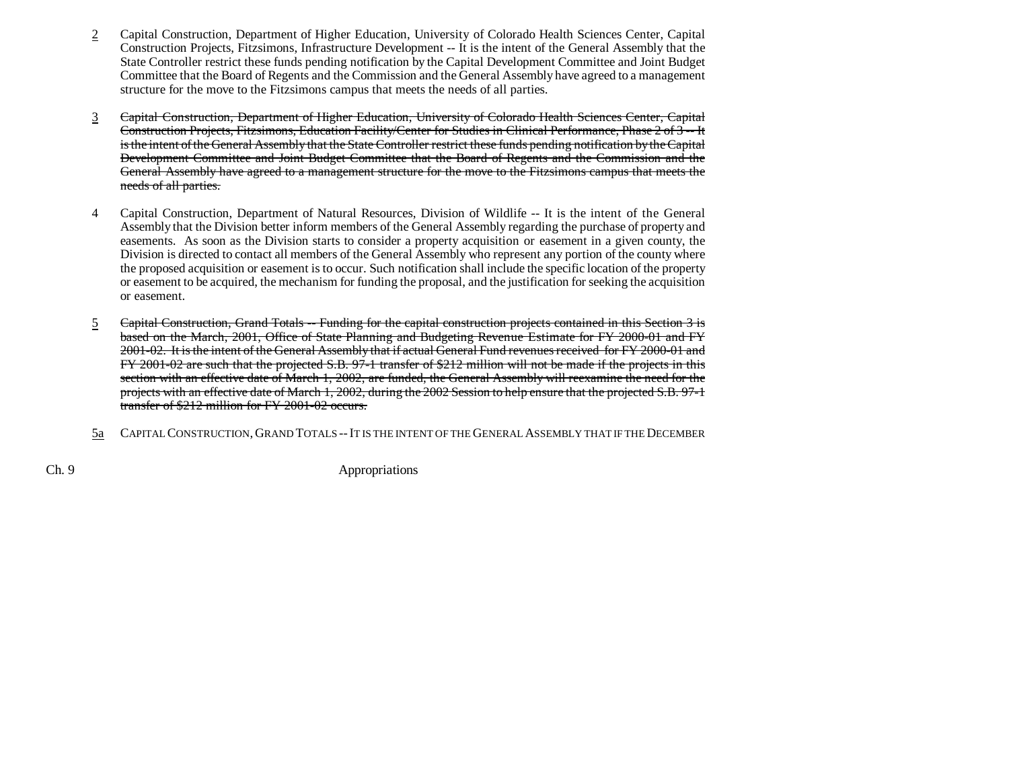- 2 Capital Construction, Department of Higher Education, University of Colorado Health Sciences Center, Capital Construction Projects, Fitzsimons, Infrastructure Development -- It is the intent of the General Assembly that the State Controller restrict these funds pending notification by the Capital Development Committee and Joint Budget Committee that the Board of Regents and the Commission and the General Assembly have agreed to a management structure for the move to the Fitzsimons campus that meets the needs of all parties.
- 3 Capital Construction, Department of Higher Education, University of Colorado Health Sciences Center, Capital Construction Projects, Fitzsimons, Education Facility/Center for Studies in Clinical Performance, Phase 2 of 3 -- It is the intent of the General Assembly that the State Controller restrict these funds pending notification by the Capital Development Committee and Joint Budget Committee that the Board of Regents and the Commission and the General Assembly have agreed to a management structure for the move to the Fitzsimons campus that meets the needs of all parties.
- 4 Capital Construction, Department of Natural Resources, Division of Wildlife -- It is the intent of the General Assembly that the Division better inform members of the General Assembly regarding the purchase of property and easements. As soon as the Division starts to consider a property acquisition or easement in a given county, the Division is directed to contact all members of the General Assembly who represent any portion of the county where the proposed acquisition or easement is to occur. Such notification shall include the specific location of the property or easement to be acquired, the mechanism for funding the proposal, and the justification for seeking the acquisition or easement.
- 5 Capital Construction, Grand Totals -- Funding for the capital construction projects contained in this Section 3 is based on the March, 2001, Office of State Planning and Budgeting Revenue Estimate for FY 2000-01 and FY 2001-02. It is the intent of the General Assembly that if actual General Fund revenues received for FY 2000-01 and FY 2001-02 are such that the projected S.B. 97-1 transfer of \$212 million will not be made if the projects in this section with an effective date of March 1, 2002, are funded, the General Assembly will reexamine the need for the projects with an effective date of March 1, 2002, during the 2002 Session to help ensure that the projected S.B. 97-1 transfer of \$212 million for FY 2001-02 occurs.
- 5a CAPITAL CONSTRUCTION, GRAND TOTALS -- IT IS THE INTENT OF THE GENERAL ASSEMBLY THAT IF THE DECEMBER

Ch. 9 Appropriations